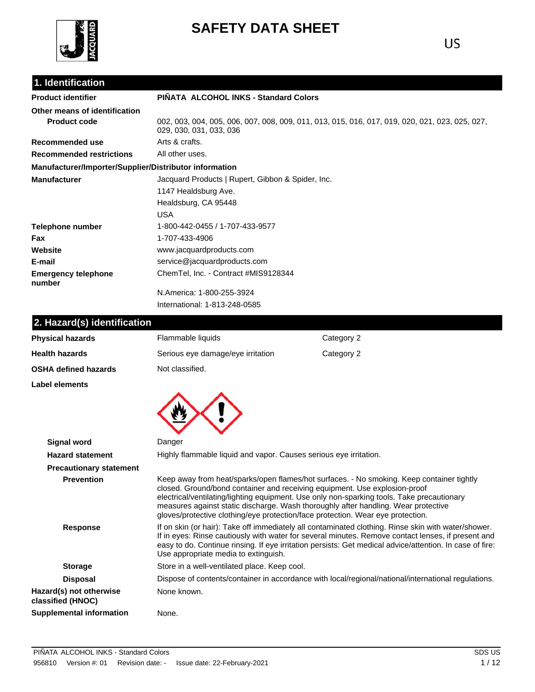

# **SAFETY DATA SHEET**

## **1. Identification**

| 1. Identification                                      |                                                                                                                           |                                                                                        |  |  |
|--------------------------------------------------------|---------------------------------------------------------------------------------------------------------------------------|----------------------------------------------------------------------------------------|--|--|
| <b>Product identifier</b>                              | PIÑATA ALCOHOL INKS - Standard Colors                                                                                     |                                                                                        |  |  |
| Other means of identification                          |                                                                                                                           |                                                                                        |  |  |
| <b>Product code</b>                                    | 002, 003, 004, 005, 006, 007, 008, 009, 011, 013, 015, 016, 017, 019, 020, 021, 023, 025, 027,<br>029, 030, 031, 033, 036 |                                                                                        |  |  |
| Recommended use                                        | Arts & crafts.                                                                                                            |                                                                                        |  |  |
| <b>Recommended restrictions</b>                        | All other uses.                                                                                                           |                                                                                        |  |  |
| Manufacturer/Importer/Supplier/Distributor information |                                                                                                                           |                                                                                        |  |  |
| <b>Manufacturer</b>                                    | Jacquard Products   Rupert, Gibbon & Spider, Inc.                                                                         |                                                                                        |  |  |
|                                                        | 1147 Healdsburg Ave.                                                                                                      |                                                                                        |  |  |
|                                                        | Healdsburg, CA 95448                                                                                                      |                                                                                        |  |  |
|                                                        | <b>USA</b>                                                                                                                |                                                                                        |  |  |
| <b>Telephone number</b>                                | 1-800-442-0455 / 1-707-433-9577                                                                                           |                                                                                        |  |  |
| Fax                                                    | 1-707-433-4906                                                                                                            |                                                                                        |  |  |
| Website                                                | www.jacquardproducts.com                                                                                                  |                                                                                        |  |  |
| E-mail                                                 | service@jacquardproducts.com                                                                                              |                                                                                        |  |  |
| <b>Emergency telephone</b><br>number                   | ChemTel, Inc. - Contract #MIS9128344                                                                                      |                                                                                        |  |  |
|                                                        | N.America: 1-800-255-3924                                                                                                 |                                                                                        |  |  |
|                                                        | International: 1-813-248-0585                                                                                             |                                                                                        |  |  |
| 2. Hazard(s) identification                            |                                                                                                                           |                                                                                        |  |  |
| <b>Physical hazards</b>                                | Flammable liquids                                                                                                         | Category 2                                                                             |  |  |
| <b>Health hazards</b>                                  | Serious eye damage/eye irritation                                                                                         | Category 2                                                                             |  |  |
| <b>OSHA defined hazards</b>                            | Not classified.                                                                                                           |                                                                                        |  |  |
| Label elements                                         |                                                                                                                           |                                                                                        |  |  |
|                                                        |                                                                                                                           |                                                                                        |  |  |
| <b>Signal word</b>                                     | Danger                                                                                                                    |                                                                                        |  |  |
| <b>Hazard statement</b>                                | Highly flammable liquid and vapor. Causes serious eye irritation.                                                         |                                                                                        |  |  |
| <b>Precautionary statement</b>                         |                                                                                                                           |                                                                                        |  |  |
| <b>Dealisation</b>                                     |                                                                                                                           | Keep away from boot/aparka/apan flames/bot aurrasse. No empling Keep septeiner tightly |  |  |

| <b>Prevention</b>                            | Keep away from heat/sparks/open flames/hot surfaces. - No smoking. Keep container tightly<br>closed. Ground/bond container and receiving equipment. Use explosion-proof<br>electrical/ventilating/lighting equipment. Use only non-sparking tools. Take precautionary<br>measures against static discharge. Wash thoroughly after handling. Wear protective<br>gloves/protective clothing/eye protection/face protection. Wear eye protection. |
|----------------------------------------------|------------------------------------------------------------------------------------------------------------------------------------------------------------------------------------------------------------------------------------------------------------------------------------------------------------------------------------------------------------------------------------------------------------------------------------------------|
| <b>Response</b>                              | If on skin (or hair): Take off immediately all contaminated clothing. Rinse skin with water/shower.<br>If in eyes: Rinse cautiously with water for several minutes. Remove contact lenses, if present and<br>easy to do. Continue rinsing. If eye irritation persists: Get medical advice/attention. In case of fire:<br>Use appropriate media to extinguish.                                                                                  |
| <b>Storage</b>                               | Store in a well-ventilated place. Keep cool.                                                                                                                                                                                                                                                                                                                                                                                                   |
| <b>Disposal</b>                              | Dispose of contents/container in accordance with local/regional/national/international regulations.                                                                                                                                                                                                                                                                                                                                            |
| Hazard(s) not otherwise<br>classified (HNOC) | None known.                                                                                                                                                                                                                                                                                                                                                                                                                                    |
|                                              |                                                                                                                                                                                                                                                                                                                                                                                                                                                |

**Supplemental information** None.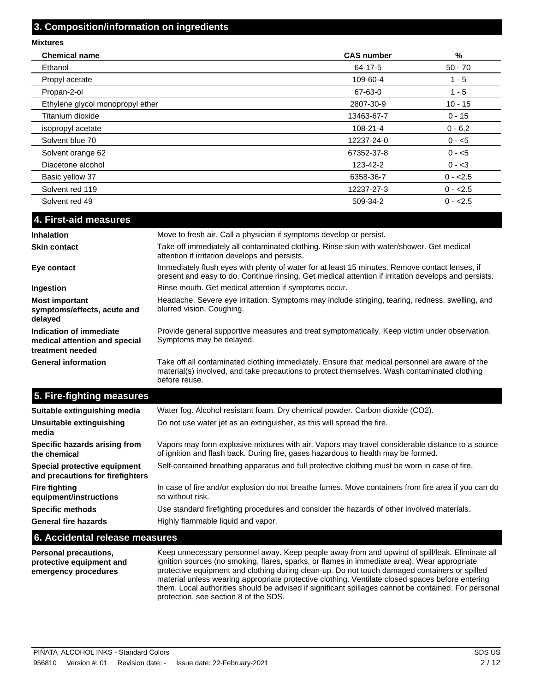#### **3. Composition/information on ingredients**

**Mixtures Chemical name CAS number %** Ethanol 64-17-5 50 - 70 Propyl acetate 109-60-4 1 - 5 Propan-2-ol 67-63-0 1 - 5 Ethylene glycol monopropyl ether 2807-30-9 10 - 15 Titanium dioxide 13463-67-7 0 - 15  $\mu$  isopropyl acetate 0 - 6.2 Solvent blue 70 0 - <5 Solvent orange 62 67352-37-8 0 - <5 Diacetone alcohol 0 - <3 Basic yellow 37 0 - <2.5 Solvent red 119 0 - <2.5 Solvent red 49 0 - <2.5

| 4. First-aid measures                                                        |                                                                                                                                                                                                                 |
|------------------------------------------------------------------------------|-----------------------------------------------------------------------------------------------------------------------------------------------------------------------------------------------------------------|
| <b>Inhalation</b>                                                            | Move to fresh air. Call a physician if symptoms develop or persist.                                                                                                                                             |
| <b>Skin contact</b>                                                          | Take off immediately all contaminated clothing. Rinse skin with water/shower. Get medical<br>attention if irritation develops and persists.                                                                     |
| Eye contact                                                                  | Immediately flush eyes with plenty of water for at least 15 minutes. Remove contact lenses, if<br>present and easy to do. Continue rinsing. Get medical attention if irritation develops and persists.          |
| Ingestion                                                                    | Rinse mouth. Get medical attention if symptoms occur.                                                                                                                                                           |
| <b>Most important</b><br>symptoms/effects, acute and<br>delayed              | Headache. Severe eye irritation. Symptoms may include stinging, tearing, redness, swelling, and<br>blurred vision. Coughing.                                                                                    |
| Indication of immediate<br>medical attention and special<br>treatment needed | Provide general supportive measures and treat symptomatically. Keep victim under observation.<br>Symptoms may be delayed.                                                                                       |
| <b>General information</b>                                                   | Take off all contaminated clothing immediately. Ensure that medical personnel are aware of the<br>material(s) involved, and take precautions to protect themselves. Wash contaminated clothing<br>before reuse. |
| 5. Fire-fighting measures                                                    |                                                                                                                                                                                                                 |
| Suitable extinguishing media                                                 | Water fog. Alcohol resistant foam. Dry chemical powder. Carbon dioxide (CO2).                                                                                                                                   |

| Suitable extinguishing media                                     | Water fog. Alcohol resistant foam. Dry chemical powder. Carbon dioxide (CO2).                                                                                                         |
|------------------------------------------------------------------|---------------------------------------------------------------------------------------------------------------------------------------------------------------------------------------|
| Unsuitable extinguishing<br>media                                | Do not use water jet as an extinguisher, as this will spread the fire.                                                                                                                |
| Specific hazards arising from<br>the chemical                    | Vapors may form explosive mixtures with air. Vapors may travel considerable distance to a source<br>of ignition and flash back. During fire, gases hazardous to health may be formed. |
| Special protective equipment<br>and precautions for firefighters | Self-contained breathing apparatus and full protective clothing must be worn in case of fire.                                                                                         |
| Fire fighting<br>equipment/instructions                          | In case of fire and/or explosion do not breathe fumes. Move containers from fire area if you can do<br>so without risk.                                                               |
| <b>Specific methods</b>                                          | Use standard firefighting procedures and consider the hazards of other involved materials.                                                                                            |
| <b>General fire hazards</b>                                      | Highly flammable liquid and vapor.                                                                                                                                                    |
|                                                                  |                                                                                                                                                                                       |

#### **6. Accidental release measures**

**Personal precautions, protective equipment and emergency procedures**

Keep unnecessary personnel away. Keep people away from and upwind of spill/leak. Eliminate all ignition sources (no smoking, flares, sparks, or flames in immediate area). Wear appropriate protective equipment and clothing during clean-up. Do not touch damaged containers or spilled material unless wearing appropriate protective clothing. Ventilate closed spaces before entering them. Local authorities should be advised if significant spillages cannot be contained. For personal protection, see section 8 of the SDS.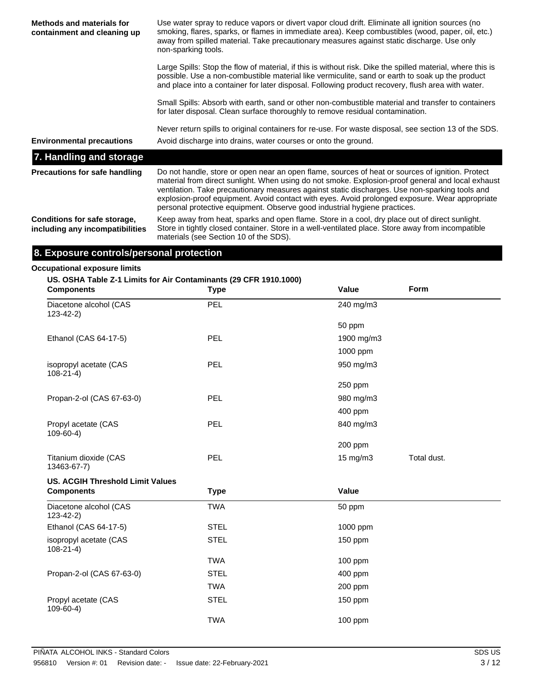| <b>Methods and materials for</b><br>containment and cleaning up | Use water spray to reduce vapors or divert vapor cloud drift. Eliminate all ignition sources (no<br>smoking, flares, sparks, or flames in immediate area). Keep combustibles (wood, paper, oil, etc.)<br>away from spilled material. Take precautionary measures against static discharge. Use only<br>non-sparking tools.                                                                                                                                                             |
|-----------------------------------------------------------------|----------------------------------------------------------------------------------------------------------------------------------------------------------------------------------------------------------------------------------------------------------------------------------------------------------------------------------------------------------------------------------------------------------------------------------------------------------------------------------------|
|                                                                 | Large Spills: Stop the flow of material, if this is without risk. Dike the spilled material, where this is<br>possible. Use a non-combustible material like vermiculite, sand or earth to soak up the product<br>and place into a container for later disposal. Following product recovery, flush area with water.                                                                                                                                                                     |
|                                                                 | Small Spills: Absorb with earth, sand or other non-combustible material and transfer to containers<br>for later disposal. Clean surface thoroughly to remove residual contamination.                                                                                                                                                                                                                                                                                                   |
| <b>Environmental precautions</b>                                | Never return spills to original containers for re-use. For waste disposal, see section 13 of the SDS.<br>Avoid discharge into drains, water courses or onto the ground.                                                                                                                                                                                                                                                                                                                |
| 7. Handling and storage                                         |                                                                                                                                                                                                                                                                                                                                                                                                                                                                                        |
| <b>Precautions for safe handling</b>                            | Do not handle, store or open near an open flame, sources of heat or sources of ignition. Protect<br>material from direct sunlight. When using do not smoke. Explosion-proof general and local exhaust<br>ventilation. Take precautionary measures against static discharges. Use non-sparking tools and<br>explosion-proof equipment. Avoid contact with eyes. Avoid prolonged exposure. Wear appropriate<br>personal protective equipment. Observe good industrial hygiene practices. |
| Conditions for safe storage,<br>including any incompatibilities | Keep away from heat, sparks and open flame. Store in a cool, dry place out of direct sunlight.<br>Store in tightly closed container. Store in a well-ventilated place. Store away from incompatible<br>materials (see Section 10 of the SDS).                                                                                                                                                                                                                                          |
| 8. Exposure controls/personal protection                        |                                                                                                                                                                                                                                                                                                                                                                                                                                                                                        |

## **Occupational exposure limits**

| <b>Components</b>                        | US. OSHA Table Z-1 Limits for Air Contaminants (29 CFR 1910.1000)<br><b>Type</b> | Value             | <b>Form</b> |
|------------------------------------------|----------------------------------------------------------------------------------|-------------------|-------------|
| Diacetone alcohol (CAS<br>$123 - 42 - 2$ | <b>PEL</b>                                                                       | 240 mg/m3         |             |
|                                          |                                                                                  | 50 ppm            |             |
| Ethanol (CAS 64-17-5)                    | PEL                                                                              | 1900 mg/m3        |             |
|                                          |                                                                                  | $1000$ ppm        |             |
| isopropyl acetate (CAS<br>$108 - 21 - 4$ | PEL.                                                                             | 950 mg/m3         |             |
|                                          |                                                                                  | $250$ ppm         |             |
| Propan-2-ol (CAS 67-63-0)                | PEL                                                                              | 980 mg/m3         |             |
|                                          |                                                                                  | $400$ ppm         |             |
| Propyl acetate (CAS<br>$109 - 60 - 4$    | PEL                                                                              | 840 mg/m3         |             |
|                                          |                                                                                  | 200 ppm           |             |
| Titanium dioxide (CAS<br>13463-67-7)     | PEL                                                                              | $15 \text{ mg/m}$ | Total dust. |

## **US. ACGIH Threshold Limit Values**

| <b>Components</b>                        | <b>Type</b> | Value     |  |
|------------------------------------------|-------------|-----------|--|
| Diacetone alcohol (CAS<br>$123 - 42 - 2$ | <b>TWA</b>  | 50 ppm    |  |
| Ethanol (CAS 64-17-5)                    | <b>STEL</b> | 1000 ppm  |  |
| isopropyl acetate (CAS<br>$108 - 21 - 4$ | <b>STEL</b> | $150$ ppm |  |
|                                          | <b>TWA</b>  | $100$ ppm |  |
| Propan-2-ol (CAS 67-63-0)                | <b>STEL</b> | 400 ppm   |  |
|                                          | TWA         | 200 ppm   |  |
| Propyl acetate (CAS<br>$109-60-4$        | <b>STEL</b> | $150$ ppm |  |
|                                          | <b>TWA</b>  | 100 ppm   |  |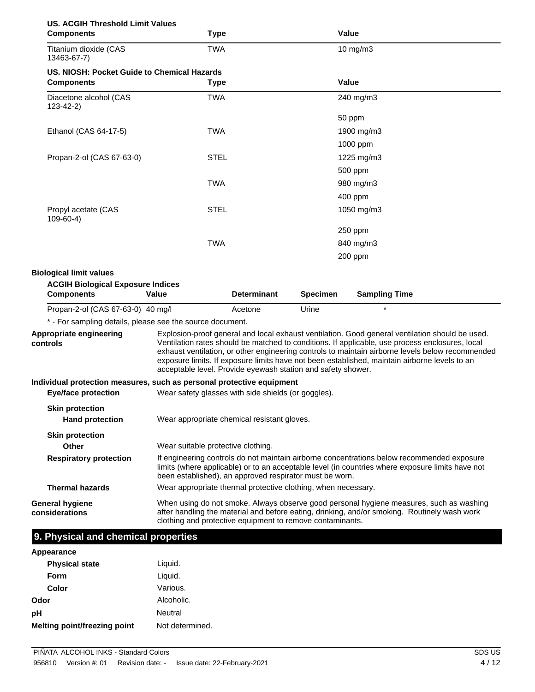| <b>US. ACGIH Threshold Limit Values</b><br><b>Components</b>                                                                                                                                                                                                                                                                                                                                                                                                                                                   | <b>Type</b>                                                   |         |         | <b>Value</b>                                                                                                                                                                                   |  |
|----------------------------------------------------------------------------------------------------------------------------------------------------------------------------------------------------------------------------------------------------------------------------------------------------------------------------------------------------------------------------------------------------------------------------------------------------------------------------------------------------------------|---------------------------------------------------------------|---------|---------|------------------------------------------------------------------------------------------------------------------------------------------------------------------------------------------------|--|
| Titanium dioxide (CAS<br>13463-67-7)                                                                                                                                                                                                                                                                                                                                                                                                                                                                           | <b>TWA</b>                                                    |         |         | 10 mg/m3                                                                                                                                                                                       |  |
| US. NIOSH: Pocket Guide to Chemical Hazards                                                                                                                                                                                                                                                                                                                                                                                                                                                                    |                                                               |         |         |                                                                                                                                                                                                |  |
| <b>Components</b>                                                                                                                                                                                                                                                                                                                                                                                                                                                                                              | <b>Type</b>                                                   |         |         | Value                                                                                                                                                                                          |  |
| Diacetone alcohol (CAS<br>$123 - 42 - 2$                                                                                                                                                                                                                                                                                                                                                                                                                                                                       | <b>TWA</b>                                                    |         |         | 240 mg/m3                                                                                                                                                                                      |  |
|                                                                                                                                                                                                                                                                                                                                                                                                                                                                                                                |                                                               |         |         | 50 ppm                                                                                                                                                                                         |  |
| Ethanol (CAS 64-17-5)                                                                                                                                                                                                                                                                                                                                                                                                                                                                                          | <b>TWA</b>                                                    |         |         | 1900 mg/m3                                                                                                                                                                                     |  |
|                                                                                                                                                                                                                                                                                                                                                                                                                                                                                                                |                                                               |         |         | 1000 ppm                                                                                                                                                                                       |  |
| Propan-2-ol (CAS 67-63-0)                                                                                                                                                                                                                                                                                                                                                                                                                                                                                      | <b>STEL</b>                                                   |         |         | 1225 mg/m3                                                                                                                                                                                     |  |
|                                                                                                                                                                                                                                                                                                                                                                                                                                                                                                                |                                                               |         |         | 500 ppm                                                                                                                                                                                        |  |
|                                                                                                                                                                                                                                                                                                                                                                                                                                                                                                                | <b>TWA</b>                                                    |         |         | 980 mg/m3                                                                                                                                                                                      |  |
|                                                                                                                                                                                                                                                                                                                                                                                                                                                                                                                |                                                               |         | 400 ppm |                                                                                                                                                                                                |  |
| Propyl acetate (CAS<br>$109-60-4)$                                                                                                                                                                                                                                                                                                                                                                                                                                                                             | <b>STEL</b>                                                   |         |         | 1050 mg/m3                                                                                                                                                                                     |  |
|                                                                                                                                                                                                                                                                                                                                                                                                                                                                                                                |                                                               |         |         | 250 ppm                                                                                                                                                                                        |  |
|                                                                                                                                                                                                                                                                                                                                                                                                                                                                                                                | <b>TWA</b>                                                    |         |         | 840 mg/m3                                                                                                                                                                                      |  |
|                                                                                                                                                                                                                                                                                                                                                                                                                                                                                                                |                                                               |         |         | 200 ppm                                                                                                                                                                                        |  |
| Propan-2-ol (CAS 67-63-0) 40 mg/l                                                                                                                                                                                                                                                                                                                                                                                                                                                                              |                                                               | Acetone | Urine   |                                                                                                                                                                                                |  |
| * - For sampling details, please see the source document.                                                                                                                                                                                                                                                                                                                                                                                                                                                      |                                                               |         |         |                                                                                                                                                                                                |  |
| Explosion-proof general and local exhaust ventilation. Good general ventilation should be used.<br>Appropriate engineering<br>Ventilation rates should be matched to conditions. If applicable, use process enclosures, local<br>controls<br>exhaust ventilation, or other engineering controls to maintain airborne levels below recommended<br>exposure limits. If exposure limits have not been established, maintain airborne levels to an<br>acceptable level. Provide eyewash station and safety shower. |                                                               |         |         |                                                                                                                                                                                                |  |
| Individual protection measures, such as personal protective equipment                                                                                                                                                                                                                                                                                                                                                                                                                                          |                                                               |         |         |                                                                                                                                                                                                |  |
| <b>Eye/face protection</b>                                                                                                                                                                                                                                                                                                                                                                                                                                                                                     | Wear safety glasses with side shields (or goggles).           |         |         |                                                                                                                                                                                                |  |
| <b>Skin protection</b><br><b>Hand protection</b>                                                                                                                                                                                                                                                                                                                                                                                                                                                               | Wear appropriate chemical resistant gloves.                   |         |         |                                                                                                                                                                                                |  |
| <b>Skin protection</b><br><b>Other</b>                                                                                                                                                                                                                                                                                                                                                                                                                                                                         | Wear suitable protective clothing.                            |         |         |                                                                                                                                                                                                |  |
| <b>Respiratory protection</b>                                                                                                                                                                                                                                                                                                                                                                                                                                                                                  | been established), an approved respirator must be worn.       |         |         | If engineering controls do not maintain airborne concentrations below recommended exposure<br>limits (where applicable) or to an acceptable level (in countries where exposure limits have not |  |
| <b>Thermal hazards</b>                                                                                                                                                                                                                                                                                                                                                                                                                                                                                         | Wear appropriate thermal protective clothing, when necessary. |         |         |                                                                                                                                                                                                |  |
| <b>General hygiene</b><br>considerations                                                                                                                                                                                                                                                                                                                                                                                                                                                                       | clothing and protective equipment to remove contaminants.     |         |         | When using do not smoke. Always observe good personal hygiene measures, such as washing<br>after handling the material and before eating, drinking, and/or smoking. Routinely wash work        |  |
| 9. Physical and chemical properties                                                                                                                                                                                                                                                                                                                                                                                                                                                                            |                                                               |         |         |                                                                                                                                                                                                |  |
| Appearance                                                                                                                                                                                                                                                                                                                                                                                                                                                                                                     |                                                               |         |         |                                                                                                                                                                                                |  |
| <b>Physical state</b>                                                                                                                                                                                                                                                                                                                                                                                                                                                                                          | Liquid.                                                       |         |         |                                                                                                                                                                                                |  |

| <b>Physical state</b>        | Liquid.         |
|------------------------------|-----------------|
| <b>Form</b>                  | Liquid.         |
| Color                        | Various.        |
| Odor                         | Alcoholic.      |
| рH                           | <b>Neutral</b>  |
| Melting point/freezing point | Not determined. |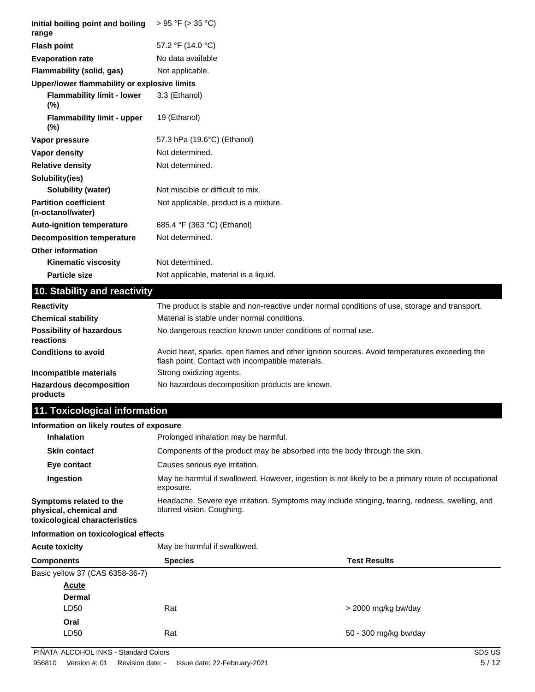| Initial boiling point and boiling<br>range        | $> 95$ °F ( $> 35$ °C)                                                                                          |
|---------------------------------------------------|-----------------------------------------------------------------------------------------------------------------|
| <b>Flash point</b>                                | 57.2 °F (14.0 °C)                                                                                               |
| <b>Evaporation rate</b>                           | No data available                                                                                               |
| Flammability (solid, gas)                         | Not applicable.                                                                                                 |
| Upper/lower flammability or explosive limits      |                                                                                                                 |
| <b>Flammability limit - lower</b><br>(%)          | 3.3 (Ethanol)                                                                                                   |
| <b>Flammability limit - upper</b><br>$(\% )$      | 19 (Ethanol)                                                                                                    |
| Vapor pressure                                    | 57.3 hPa (19.6°C) (Ethanol)                                                                                     |
| Vapor density                                     | Not determined.                                                                                                 |
| <b>Relative density</b>                           | Not determined.                                                                                                 |
| Solubility(ies)                                   |                                                                                                                 |
| <b>Solubility (water)</b>                         | Not miscible or difficult to mix.                                                                               |
| <b>Partition coefficient</b><br>(n-octanol/water) | Not applicable, product is a mixture.                                                                           |
| <b>Auto-ignition temperature</b>                  | 685.4 °F (363 °C) (Ethanol)                                                                                     |
| <b>Decomposition temperature</b>                  | Not determined.                                                                                                 |
| <b>Other information</b>                          |                                                                                                                 |
| Kinematic viscosity                               | Not determined.                                                                                                 |
| <b>Particle size</b>                              | Not applicable, material is a liquid.                                                                           |
| 10. Stability and reactivity                      |                                                                                                                 |
| <b>Reactivity</b>                                 | The product is stable and non-reactive under normal conditions of use, storage and transport.                   |
| <b>Chemical stability</b>                         | Material is stable under normal conditions.                                                                     |
| <b>Possibility of hazardous</b><br>reactions      | No dangerous reaction known under conditions of normal use.                                                     |
|                                                   | the contract of the contract of the contract of the contract of the contract of the contract of the contract of |

Avoid heat, sparks, open flames and other ignition sources. Avoid temperatures exceeding the flash point. Contact with incompatible materials. **Conditions to avoid Incompatible materials** Strong oxidizing agents. Hazardous decomposition No hazardous decomposition products are known. **products**

## **11. Toxicological information**

### **Information on likely routes of exposure**

| <b>Inhalation</b>                                                                  | Prolonged inhalation may be harmful.                                                                                         |  |  |  |
|------------------------------------------------------------------------------------|------------------------------------------------------------------------------------------------------------------------------|--|--|--|
| <b>Skin contact</b>                                                                | Components of the product may be absorbed into the body through the skin.                                                    |  |  |  |
| Eye contact                                                                        | Causes serious eye irritation.                                                                                               |  |  |  |
| Ingestion                                                                          | May be harmful if swallowed. However, ingestion is not likely to be a primary route of occupational<br>exposure.             |  |  |  |
| Symptoms related to the<br>physical, chemical and<br>toxicological characteristics | Headache. Severe eye irritation. Symptoms may include stinging, tearing, redness, swelling, and<br>blurred vision. Coughing. |  |  |  |

## **Information on toxicological effects**

|  |  |  | Information on toxicological effects |  |
|--|--|--|--------------------------------------|--|
|  |  |  |                                      |  |

| <b>Acute toxicity</b><br><b>Components</b> |                                 | May be harmful if swallowed. |                       |  |
|--------------------------------------------|---------------------------------|------------------------------|-----------------------|--|
|                                            |                                 | <b>Species</b>               | <b>Test Results</b>   |  |
|                                            | Basic yellow 37 (CAS 6358-36-7) |                              |                       |  |
|                                            | <b>Acute</b>                    |                              |                       |  |
|                                            | <b>Dermal</b>                   |                              |                       |  |
|                                            | LD50                            | Rat                          | > 2000 mg/kg bw/day   |  |
|                                            | Oral                            |                              |                       |  |
|                                            | LD50                            | Rat                          | 50 - 300 mg/kg bw/day |  |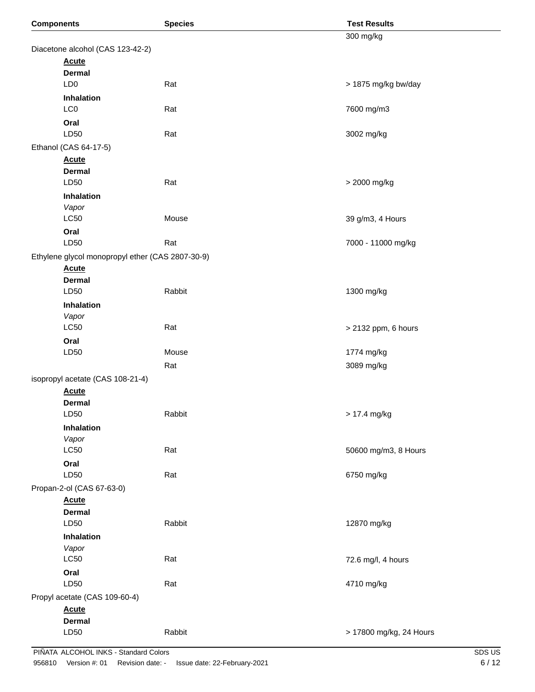| <b>Components</b>                                | <b>Species</b> | <b>Test Results</b>     |  |
|--------------------------------------------------|----------------|-------------------------|--|
|                                                  |                | 300 mg/kg               |  |
| Diacetone alcohol (CAS 123-42-2)                 |                |                         |  |
| <b>Acute</b>                                     |                |                         |  |
| <b>Dermal</b>                                    |                |                         |  |
| LD <sub>0</sub>                                  | Rat            | > 1875 mg/kg bw/day     |  |
| Inhalation<br>LC <sub>0</sub>                    | Rat            | 7600 mg/m3              |  |
|                                                  |                |                         |  |
| Oral<br>LD50                                     | Rat            | 3002 mg/kg              |  |
| Ethanol (CAS 64-17-5)                            |                |                         |  |
| <b>Acute</b>                                     |                |                         |  |
| <b>Dermal</b>                                    |                |                         |  |
| LD50                                             | Rat            | > 2000 mg/kg            |  |
| Inhalation                                       |                |                         |  |
| Vapor                                            |                |                         |  |
| LC50                                             | Mouse          | 39 g/m3, 4 Hours        |  |
| Oral                                             |                |                         |  |
| LD50                                             | Rat            | 7000 - 11000 mg/kg      |  |
| Ethylene glycol monopropyl ether (CAS 2807-30-9) |                |                         |  |
| <b>Acute</b>                                     |                |                         |  |
| <b>Dermal</b>                                    |                |                         |  |
| LD50                                             | Rabbit         | 1300 mg/kg              |  |
| <b>Inhalation</b>                                |                |                         |  |
| Vapor<br><b>LC50</b>                             | Rat            | > 2132 ppm, 6 hours     |  |
| Oral                                             |                |                         |  |
| LD50                                             | Mouse          | 1774 mg/kg              |  |
|                                                  | Rat            | 3089 mg/kg              |  |
| isopropyl acetate (CAS 108-21-4)                 |                |                         |  |
| <b>Acute</b>                                     |                |                         |  |
| <b>Dermal</b>                                    |                |                         |  |
| LD50                                             | Rabbit         | > 17.4 mg/kg            |  |
| Inhalation                                       |                |                         |  |
| Vapor                                            |                |                         |  |
| LC50                                             | Rat            | 50600 mg/m3, 8 Hours    |  |
| Oral                                             |                |                         |  |
| LD50                                             | Rat            | 6750 mg/kg              |  |
| Propan-2-ol (CAS 67-63-0)                        |                |                         |  |
| <b>Acute</b>                                     |                |                         |  |
| <b>Dermal</b>                                    |                |                         |  |
| LD50                                             | Rabbit         | 12870 mg/kg             |  |
| <b>Inhalation</b>                                |                |                         |  |
| Vapor<br>LC50                                    | Rat            | 72.6 mg/l, 4 hours      |  |
| Oral                                             |                |                         |  |
| LD50                                             | Rat            | 4710 mg/kg              |  |
| Propyl acetate (CAS 109-60-4)                    |                |                         |  |
| <b>Acute</b>                                     |                |                         |  |
| <b>Dermal</b>                                    |                |                         |  |
| LD50                                             | Rabbit         | > 17800 mg/kg, 24 Hours |  |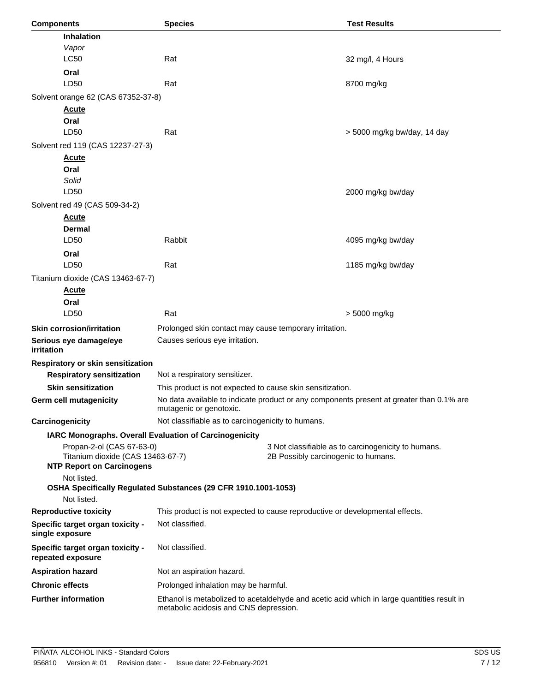| <b>Components</b>                                                     | <b>Species</b>                                                                             |                                     | <b>Test Results</b>                                                                      |  |  |
|-----------------------------------------------------------------------|--------------------------------------------------------------------------------------------|-------------------------------------|------------------------------------------------------------------------------------------|--|--|
| <b>Inhalation</b>                                                     |                                                                                            |                                     |                                                                                          |  |  |
| Vapor                                                                 |                                                                                            |                                     |                                                                                          |  |  |
| <b>LC50</b>                                                           | Rat                                                                                        |                                     | 32 mg/l, 4 Hours                                                                         |  |  |
| Oral                                                                  |                                                                                            |                                     |                                                                                          |  |  |
| LD50                                                                  | Rat                                                                                        |                                     | 8700 mg/kg                                                                               |  |  |
| Solvent orange 62 (CAS 67352-37-8)                                    |                                                                                            |                                     |                                                                                          |  |  |
| <b>Acute</b>                                                          |                                                                                            |                                     |                                                                                          |  |  |
| Oral                                                                  |                                                                                            |                                     |                                                                                          |  |  |
| LD50                                                                  | Rat                                                                                        |                                     | > 5000 mg/kg bw/day, 14 day                                                              |  |  |
| Solvent red 119 (CAS 12237-27-3)                                      |                                                                                            |                                     |                                                                                          |  |  |
| <b>Acute</b>                                                          |                                                                                            |                                     |                                                                                          |  |  |
| Oral<br>Solid                                                         |                                                                                            |                                     |                                                                                          |  |  |
| LD50                                                                  |                                                                                            |                                     | 2000 mg/kg bw/day                                                                        |  |  |
| Solvent red 49 (CAS 509-34-2)                                         |                                                                                            |                                     |                                                                                          |  |  |
| <b>Acute</b>                                                          |                                                                                            |                                     |                                                                                          |  |  |
| <b>Dermal</b>                                                         |                                                                                            |                                     |                                                                                          |  |  |
| LD50                                                                  | Rabbit                                                                                     |                                     | 4095 mg/kg bw/day                                                                        |  |  |
| Oral                                                                  |                                                                                            |                                     |                                                                                          |  |  |
| LD50                                                                  | Rat                                                                                        |                                     | 1185 mg/kg bw/day                                                                        |  |  |
| Titanium dioxide (CAS 13463-67-7)                                     |                                                                                            |                                     |                                                                                          |  |  |
| <b>Acute</b>                                                          |                                                                                            |                                     |                                                                                          |  |  |
| Oral                                                                  |                                                                                            |                                     |                                                                                          |  |  |
| LD50                                                                  | Rat                                                                                        |                                     | > 5000 mg/kg                                                                             |  |  |
| <b>Skin corrosion/irritation</b>                                      | Prolonged skin contact may cause temporary irritation.                                     |                                     |                                                                                          |  |  |
| Serious eye damage/eye<br><i>irritation</i>                           | Causes serious eye irritation.                                                             |                                     |                                                                                          |  |  |
| Respiratory or skin sensitization                                     |                                                                                            |                                     |                                                                                          |  |  |
| <b>Respiratory sensitization</b>                                      | Not a respiratory sensitizer.                                                              |                                     |                                                                                          |  |  |
| <b>Skin sensitization</b>                                             | This product is not expected to cause skin sensitization.                                  |                                     |                                                                                          |  |  |
| Germ cell mutagenicity                                                | mutagenic or genotoxic.                                                                    |                                     | No data available to indicate product or any components present at greater than 0.1% are |  |  |
| Carcinogenicity                                                       | Not classifiable as to carcinogenicity to humans.                                          |                                     |                                                                                          |  |  |
| IARC Monographs. Overall Evaluation of Carcinogenicity                |                                                                                            |                                     |                                                                                          |  |  |
| Propan-2-ol (CAS 67-63-0)                                             |                                                                                            |                                     | 3 Not classifiable as to carcinogenicity to humans.                                      |  |  |
| Titanium dioxide (CAS 13463-67-7)<br><b>NTP Report on Carcinogens</b> |                                                                                            | 2B Possibly carcinogenic to humans. |                                                                                          |  |  |
| Not listed.                                                           |                                                                                            |                                     |                                                                                          |  |  |
| Not listed.                                                           | OSHA Specifically Regulated Substances (29 CFR 1910.1001-1053)                             |                                     |                                                                                          |  |  |
| <b>Reproductive toxicity</b>                                          | This product is not expected to cause reproductive or developmental effects.               |                                     |                                                                                          |  |  |
| Specific target organ toxicity -<br>single exposure                   | Not classified.                                                                            |                                     |                                                                                          |  |  |
| Specific target organ toxicity -<br>repeated exposure                 | Not classified.                                                                            |                                     |                                                                                          |  |  |
| <b>Aspiration hazard</b>                                              | Not an aspiration hazard.                                                                  |                                     |                                                                                          |  |  |
| <b>Chronic effects</b>                                                | Prolonged inhalation may be harmful.                                                       |                                     |                                                                                          |  |  |
| <b>Further information</b>                                            | Ethanol is metabolized to acetaldehyde and acetic acid which in large quantities result in |                                     |                                                                                          |  |  |
|                                                                       | metabolic acidosis and CNS depression.                                                     |                                     |                                                                                          |  |  |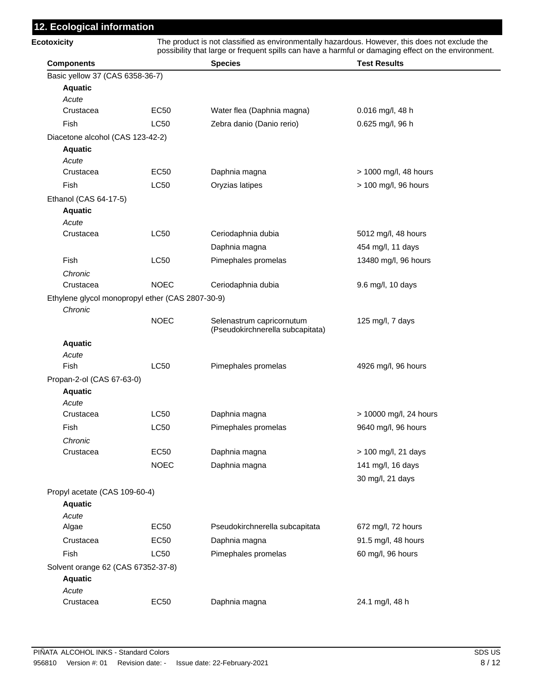## **12. Ecological information**

| <b>Ecotoxicity</b>                               |             | The product is not classified as environmentally hazardous. However, this does not exclude the<br>possibility that large or frequent spills can have a harmful or damaging effect on the environment. |                        |  |  |
|--------------------------------------------------|-------------|-------------------------------------------------------------------------------------------------------------------------------------------------------------------------------------------------------|------------------------|--|--|
| <b>Components</b>                                |             | <b>Species</b>                                                                                                                                                                                        | <b>Test Results</b>    |  |  |
| Basic yellow 37 (CAS 6358-36-7)                  |             |                                                                                                                                                                                                       |                        |  |  |
| <b>Aquatic</b>                                   |             |                                                                                                                                                                                                       |                        |  |  |
| Acute                                            |             |                                                                                                                                                                                                       |                        |  |  |
| Crustacea                                        | EC50        | Water flea (Daphnia magna)                                                                                                                                                                            | 0.016 mg/l, 48 h       |  |  |
| Fish                                             | <b>LC50</b> | Zebra danio (Danio rerio)                                                                                                                                                                             | $0.625$ mg/l, 96 h     |  |  |
| Diacetone alcohol (CAS 123-42-2)                 |             |                                                                                                                                                                                                       |                        |  |  |
| <b>Aquatic</b>                                   |             |                                                                                                                                                                                                       |                        |  |  |
| Acute                                            |             |                                                                                                                                                                                                       |                        |  |  |
| Crustacea                                        | <b>EC50</b> | Daphnia magna                                                                                                                                                                                         | > 1000 mg/l, 48 hours  |  |  |
| Fish                                             | <b>LC50</b> | Oryzias latipes                                                                                                                                                                                       | > 100 mg/l, 96 hours   |  |  |
| Ethanol (CAS 64-17-5)                            |             |                                                                                                                                                                                                       |                        |  |  |
| <b>Aquatic</b>                                   |             |                                                                                                                                                                                                       |                        |  |  |
| Acute                                            |             |                                                                                                                                                                                                       |                        |  |  |
| Crustacea                                        | <b>LC50</b> | Ceriodaphnia dubia                                                                                                                                                                                    | 5012 mg/l, 48 hours    |  |  |
|                                                  |             | Daphnia magna                                                                                                                                                                                         | 454 mg/l, 11 days      |  |  |
| Fish                                             | <b>LC50</b> | Pimephales promelas                                                                                                                                                                                   | 13480 mg/l, 96 hours   |  |  |
| Chronic                                          |             |                                                                                                                                                                                                       |                        |  |  |
| Crustacea                                        | <b>NOEC</b> | Ceriodaphnia dubia                                                                                                                                                                                    | 9.6 mg/l, 10 days      |  |  |
| Ethylene glycol monopropyl ether (CAS 2807-30-9) |             |                                                                                                                                                                                                       |                        |  |  |
| Chronic                                          |             |                                                                                                                                                                                                       |                        |  |  |
|                                                  | <b>NOEC</b> | Selenastrum capricornutum<br>(Pseudokirchnerella subcapitata)                                                                                                                                         | 125 mg/l, 7 days       |  |  |
| <b>Aquatic</b>                                   |             |                                                                                                                                                                                                       |                        |  |  |
| Acute                                            |             |                                                                                                                                                                                                       |                        |  |  |
| <b>Fish</b>                                      | <b>LC50</b> | Pimephales promelas                                                                                                                                                                                   | 4926 mg/l, 96 hours    |  |  |
| Propan-2-ol (CAS 67-63-0)                        |             |                                                                                                                                                                                                       |                        |  |  |
| <b>Aquatic</b>                                   |             |                                                                                                                                                                                                       |                        |  |  |
| Acute                                            |             |                                                                                                                                                                                                       |                        |  |  |
| Crustacea                                        | <b>LC50</b> | Daphnia magna                                                                                                                                                                                         | > 10000 mg/l, 24 hours |  |  |
| Fish                                             | LC50        | Pimephales promelas                                                                                                                                                                                   | 9640 mg/l, 96 hours    |  |  |
| Chronic                                          |             |                                                                                                                                                                                                       |                        |  |  |
| Crustacea                                        | <b>EC50</b> | Daphnia magna                                                                                                                                                                                         | > 100 mg/l, 21 days    |  |  |
|                                                  | <b>NOEC</b> | Daphnia magna                                                                                                                                                                                         | 141 mg/l, 16 days      |  |  |
|                                                  |             |                                                                                                                                                                                                       | 30 mg/l, 21 days       |  |  |
| Propyl acetate (CAS 109-60-4)                    |             |                                                                                                                                                                                                       |                        |  |  |
| <b>Aquatic</b>                                   |             |                                                                                                                                                                                                       |                        |  |  |
| Acute                                            |             |                                                                                                                                                                                                       |                        |  |  |
| Algae                                            | <b>EC50</b> | Pseudokirchnerella subcapitata                                                                                                                                                                        | 672 mg/l, 72 hours     |  |  |
| Crustacea                                        | <b>EC50</b> | Daphnia magna                                                                                                                                                                                         | 91.5 mg/l, 48 hours    |  |  |
| Fish                                             | <b>LC50</b> | Pimephales promelas                                                                                                                                                                                   | 60 mg/l, 96 hours      |  |  |
| Solvent orange 62 (CAS 67352-37-8)               |             |                                                                                                                                                                                                       |                        |  |  |
| <b>Aquatic</b>                                   |             |                                                                                                                                                                                                       |                        |  |  |
| Acute                                            |             |                                                                                                                                                                                                       |                        |  |  |
| Crustacea                                        | <b>EC50</b> | Daphnia magna                                                                                                                                                                                         | 24.1 mg/l, 48 h        |  |  |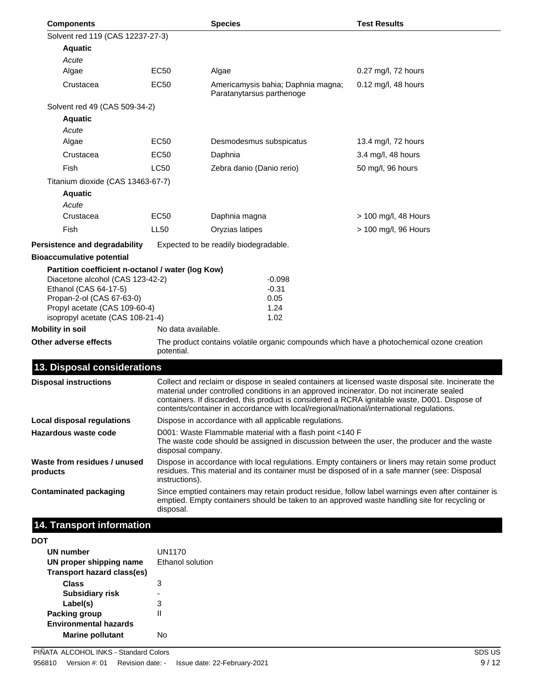| Solvent red 119 (CAS 12237-27-3)<br><b>Aquatic</b><br>Acute<br>EC <sub>50</sub><br>Algae<br>Algae<br>0.27 mg/l, 72 hours<br><b>EC50</b><br>Crustacea<br>Americamysis bahia; Daphnia magna;<br>0.12 mg/l, 48 hours<br>Paratanytarsus parthenoge<br>Solvent red 49 (CAS 509-34-2)<br><b>Aquatic</b><br>Acute<br><b>EC50</b><br>Desmodesmus subspicatus<br>Algae<br>13.4 mg/l, 72 hours<br><b>EC50</b><br>Crustacea<br>Daphnia<br>3.4 mg/l, 48 hours<br><b>Fish</b><br><b>LC50</b><br>Zebra danio (Danio rerio)<br>50 mg/l, 96 hours<br>Titanium dioxide (CAS 13463-67-7)<br><b>Aquatic</b><br>Acute<br>EC50<br>Daphnia magna<br>Crustacea<br>$> 100$ mg/l, 48 Hours<br>Fish<br><b>LL50</b><br>Oryzias latipes<br>> 100 mg/l, 96 Hours<br>Persistence and degradability<br>Expected to be readily biodegradable.<br><b>Bioaccumulative potential</b><br>Partition coefficient n-octanol / water (log Kow)<br>Diacetone alcohol (CAS 123-42-2)<br>-0.098<br>Ethanol (CAS 64-17-5)<br>$-0.31$<br>Propan-2-ol (CAS 67-63-0)<br>0.05<br>Propyl acetate (CAS 109-60-4)<br>1.24<br>isopropyl acetate (CAS 108-21-4)<br>1.02<br><b>Mobility in soil</b><br>No data available.<br>Other adverse effects<br>The product contains volatile organic compounds which have a photochemical ozone creation<br>potential.<br>13. Disposal considerations<br>Collect and reclaim or dispose in sealed containers at licensed waste disposal site. Incinerate the<br><b>Disposal instructions</b><br>material under controlled conditions in an approved incinerator. Do not incinerate sealed<br>containers. If discarded, this product is considered a RCRA ignitable waste, D001. Dispose of<br>contents/container in accordance with local/regional/national/international regulations.<br>Dispose in accordance with all applicable regulations.<br><b>Local disposal regulations</b><br>Hazardous waste code<br>D001: Waste Flammable material with a flash point <140 F<br>The waste code should be assigned in discussion between the user, the producer and the waste<br>disposal company.<br>Dispose in accordance with local regulations. Empty containers or liners may retain some product<br>Waste from residues / unused<br>residues. This material and its container must be disposed of in a safe manner (see: Disposal<br>products<br>instructions).<br>Since emptied containers may retain product residue, follow label warnings even after container is<br>Contaminated packaging<br>emptied. Empty containers should be taken to an approved waste handling site for recycling or<br>disposal.<br>14. Transport information<br>DOT | <b>Components</b> |  | <b>Species</b> | <b>Test Results</b> |
|--------------------------------------------------------------------------------------------------------------------------------------------------------------------------------------------------------------------------------------------------------------------------------------------------------------------------------------------------------------------------------------------------------------------------------------------------------------------------------------------------------------------------------------------------------------------------------------------------------------------------------------------------------------------------------------------------------------------------------------------------------------------------------------------------------------------------------------------------------------------------------------------------------------------------------------------------------------------------------------------------------------------------------------------------------------------------------------------------------------------------------------------------------------------------------------------------------------------------------------------------------------------------------------------------------------------------------------------------------------------------------------------------------------------------------------------------------------------------------------------------------------------------------------------------------------------------------------------------------------------------------------------------------------------------------------------------------------------------------------------------------------------------------------------------------------------------------------------------------------------------------------------------------------------------------------------------------------------------------------------------------------------------------------------------------------------------------------------------------------------------------------------------------------------------------------------------------------------------------------------------------------------------------------------------------------------------------------------------------------------------------------------------------------------------------------------------------------------------------------------------------------------------------------------------------------------------------------------------------------------------------------|-------------------|--|----------------|---------------------|
|                                                                                                                                                                                                                                                                                                                                                                                                                                                                                                                                                                                                                                                                                                                                                                                                                                                                                                                                                                                                                                                                                                                                                                                                                                                                                                                                                                                                                                                                                                                                                                                                                                                                                                                                                                                                                                                                                                                                                                                                                                                                                                                                                                                                                                                                                                                                                                                                                                                                                                                                                                                                                                      |                   |  |                |                     |
|                                                                                                                                                                                                                                                                                                                                                                                                                                                                                                                                                                                                                                                                                                                                                                                                                                                                                                                                                                                                                                                                                                                                                                                                                                                                                                                                                                                                                                                                                                                                                                                                                                                                                                                                                                                                                                                                                                                                                                                                                                                                                                                                                                                                                                                                                                                                                                                                                                                                                                                                                                                                                                      |                   |  |                |                     |
|                                                                                                                                                                                                                                                                                                                                                                                                                                                                                                                                                                                                                                                                                                                                                                                                                                                                                                                                                                                                                                                                                                                                                                                                                                                                                                                                                                                                                                                                                                                                                                                                                                                                                                                                                                                                                                                                                                                                                                                                                                                                                                                                                                                                                                                                                                                                                                                                                                                                                                                                                                                                                                      |                   |  |                |                     |
|                                                                                                                                                                                                                                                                                                                                                                                                                                                                                                                                                                                                                                                                                                                                                                                                                                                                                                                                                                                                                                                                                                                                                                                                                                                                                                                                                                                                                                                                                                                                                                                                                                                                                                                                                                                                                                                                                                                                                                                                                                                                                                                                                                                                                                                                                                                                                                                                                                                                                                                                                                                                                                      |                   |  |                |                     |
|                                                                                                                                                                                                                                                                                                                                                                                                                                                                                                                                                                                                                                                                                                                                                                                                                                                                                                                                                                                                                                                                                                                                                                                                                                                                                                                                                                                                                                                                                                                                                                                                                                                                                                                                                                                                                                                                                                                                                                                                                                                                                                                                                                                                                                                                                                                                                                                                                                                                                                                                                                                                                                      |                   |  |                |                     |
|                                                                                                                                                                                                                                                                                                                                                                                                                                                                                                                                                                                                                                                                                                                                                                                                                                                                                                                                                                                                                                                                                                                                                                                                                                                                                                                                                                                                                                                                                                                                                                                                                                                                                                                                                                                                                                                                                                                                                                                                                                                                                                                                                                                                                                                                                                                                                                                                                                                                                                                                                                                                                                      |                   |  |                |                     |
|                                                                                                                                                                                                                                                                                                                                                                                                                                                                                                                                                                                                                                                                                                                                                                                                                                                                                                                                                                                                                                                                                                                                                                                                                                                                                                                                                                                                                                                                                                                                                                                                                                                                                                                                                                                                                                                                                                                                                                                                                                                                                                                                                                                                                                                                                                                                                                                                                                                                                                                                                                                                                                      |                   |  |                |                     |
|                                                                                                                                                                                                                                                                                                                                                                                                                                                                                                                                                                                                                                                                                                                                                                                                                                                                                                                                                                                                                                                                                                                                                                                                                                                                                                                                                                                                                                                                                                                                                                                                                                                                                                                                                                                                                                                                                                                                                                                                                                                                                                                                                                                                                                                                                                                                                                                                                                                                                                                                                                                                                                      |                   |  |                |                     |
|                                                                                                                                                                                                                                                                                                                                                                                                                                                                                                                                                                                                                                                                                                                                                                                                                                                                                                                                                                                                                                                                                                                                                                                                                                                                                                                                                                                                                                                                                                                                                                                                                                                                                                                                                                                                                                                                                                                                                                                                                                                                                                                                                                                                                                                                                                                                                                                                                                                                                                                                                                                                                                      |                   |  |                |                     |
|                                                                                                                                                                                                                                                                                                                                                                                                                                                                                                                                                                                                                                                                                                                                                                                                                                                                                                                                                                                                                                                                                                                                                                                                                                                                                                                                                                                                                                                                                                                                                                                                                                                                                                                                                                                                                                                                                                                                                                                                                                                                                                                                                                                                                                                                                                                                                                                                                                                                                                                                                                                                                                      |                   |  |                |                     |
|                                                                                                                                                                                                                                                                                                                                                                                                                                                                                                                                                                                                                                                                                                                                                                                                                                                                                                                                                                                                                                                                                                                                                                                                                                                                                                                                                                                                                                                                                                                                                                                                                                                                                                                                                                                                                                                                                                                                                                                                                                                                                                                                                                                                                                                                                                                                                                                                                                                                                                                                                                                                                                      |                   |  |                |                     |
|                                                                                                                                                                                                                                                                                                                                                                                                                                                                                                                                                                                                                                                                                                                                                                                                                                                                                                                                                                                                                                                                                                                                                                                                                                                                                                                                                                                                                                                                                                                                                                                                                                                                                                                                                                                                                                                                                                                                                                                                                                                                                                                                                                                                                                                                                                                                                                                                                                                                                                                                                                                                                                      |                   |  |                |                     |
|                                                                                                                                                                                                                                                                                                                                                                                                                                                                                                                                                                                                                                                                                                                                                                                                                                                                                                                                                                                                                                                                                                                                                                                                                                                                                                                                                                                                                                                                                                                                                                                                                                                                                                                                                                                                                                                                                                                                                                                                                                                                                                                                                                                                                                                                                                                                                                                                                                                                                                                                                                                                                                      |                   |  |                |                     |
|                                                                                                                                                                                                                                                                                                                                                                                                                                                                                                                                                                                                                                                                                                                                                                                                                                                                                                                                                                                                                                                                                                                                                                                                                                                                                                                                                                                                                                                                                                                                                                                                                                                                                                                                                                                                                                                                                                                                                                                                                                                                                                                                                                                                                                                                                                                                                                                                                                                                                                                                                                                                                                      |                   |  |                |                     |
|                                                                                                                                                                                                                                                                                                                                                                                                                                                                                                                                                                                                                                                                                                                                                                                                                                                                                                                                                                                                                                                                                                                                                                                                                                                                                                                                                                                                                                                                                                                                                                                                                                                                                                                                                                                                                                                                                                                                                                                                                                                                                                                                                                                                                                                                                                                                                                                                                                                                                                                                                                                                                                      |                   |  |                |                     |
|                                                                                                                                                                                                                                                                                                                                                                                                                                                                                                                                                                                                                                                                                                                                                                                                                                                                                                                                                                                                                                                                                                                                                                                                                                                                                                                                                                                                                                                                                                                                                                                                                                                                                                                                                                                                                                                                                                                                                                                                                                                                                                                                                                                                                                                                                                                                                                                                                                                                                                                                                                                                                                      |                   |  |                |                     |
|                                                                                                                                                                                                                                                                                                                                                                                                                                                                                                                                                                                                                                                                                                                                                                                                                                                                                                                                                                                                                                                                                                                                                                                                                                                                                                                                                                                                                                                                                                                                                                                                                                                                                                                                                                                                                                                                                                                                                                                                                                                                                                                                                                                                                                                                                                                                                                                                                                                                                                                                                                                                                                      |                   |  |                |                     |
|                                                                                                                                                                                                                                                                                                                                                                                                                                                                                                                                                                                                                                                                                                                                                                                                                                                                                                                                                                                                                                                                                                                                                                                                                                                                                                                                                                                                                                                                                                                                                                                                                                                                                                                                                                                                                                                                                                                                                                                                                                                                                                                                                                                                                                                                                                                                                                                                                                                                                                                                                                                                                                      |                   |  |                |                     |
|                                                                                                                                                                                                                                                                                                                                                                                                                                                                                                                                                                                                                                                                                                                                                                                                                                                                                                                                                                                                                                                                                                                                                                                                                                                                                                                                                                                                                                                                                                                                                                                                                                                                                                                                                                                                                                                                                                                                                                                                                                                                                                                                                                                                                                                                                                                                                                                                                                                                                                                                                                                                                                      |                   |  |                |                     |
|                                                                                                                                                                                                                                                                                                                                                                                                                                                                                                                                                                                                                                                                                                                                                                                                                                                                                                                                                                                                                                                                                                                                                                                                                                                                                                                                                                                                                                                                                                                                                                                                                                                                                                                                                                                                                                                                                                                                                                                                                                                                                                                                                                                                                                                                                                                                                                                                                                                                                                                                                                                                                                      |                   |  |                |                     |
|                                                                                                                                                                                                                                                                                                                                                                                                                                                                                                                                                                                                                                                                                                                                                                                                                                                                                                                                                                                                                                                                                                                                                                                                                                                                                                                                                                                                                                                                                                                                                                                                                                                                                                                                                                                                                                                                                                                                                                                                                                                                                                                                                                                                                                                                                                                                                                                                                                                                                                                                                                                                                                      |                   |  |                |                     |
|                                                                                                                                                                                                                                                                                                                                                                                                                                                                                                                                                                                                                                                                                                                                                                                                                                                                                                                                                                                                                                                                                                                                                                                                                                                                                                                                                                                                                                                                                                                                                                                                                                                                                                                                                                                                                                                                                                                                                                                                                                                                                                                                                                                                                                                                                                                                                                                                                                                                                                                                                                                                                                      |                   |  |                |                     |
|                                                                                                                                                                                                                                                                                                                                                                                                                                                                                                                                                                                                                                                                                                                                                                                                                                                                                                                                                                                                                                                                                                                                                                                                                                                                                                                                                                                                                                                                                                                                                                                                                                                                                                                                                                                                                                                                                                                                                                                                                                                                                                                                                                                                                                                                                                                                                                                                                                                                                                                                                                                                                                      |                   |  |                |                     |
|                                                                                                                                                                                                                                                                                                                                                                                                                                                                                                                                                                                                                                                                                                                                                                                                                                                                                                                                                                                                                                                                                                                                                                                                                                                                                                                                                                                                                                                                                                                                                                                                                                                                                                                                                                                                                                                                                                                                                                                                                                                                                                                                                                                                                                                                                                                                                                                                                                                                                                                                                                                                                                      |                   |  |                |                     |
|                                                                                                                                                                                                                                                                                                                                                                                                                                                                                                                                                                                                                                                                                                                                                                                                                                                                                                                                                                                                                                                                                                                                                                                                                                                                                                                                                                                                                                                                                                                                                                                                                                                                                                                                                                                                                                                                                                                                                                                                                                                                                                                                                                                                                                                                                                                                                                                                                                                                                                                                                                                                                                      |                   |  |                |                     |
|                                                                                                                                                                                                                                                                                                                                                                                                                                                                                                                                                                                                                                                                                                                                                                                                                                                                                                                                                                                                                                                                                                                                                                                                                                                                                                                                                                                                                                                                                                                                                                                                                                                                                                                                                                                                                                                                                                                                                                                                                                                                                                                                                                                                                                                                                                                                                                                                                                                                                                                                                                                                                                      |                   |  |                |                     |
|                                                                                                                                                                                                                                                                                                                                                                                                                                                                                                                                                                                                                                                                                                                                                                                                                                                                                                                                                                                                                                                                                                                                                                                                                                                                                                                                                                                                                                                                                                                                                                                                                                                                                                                                                                                                                                                                                                                                                                                                                                                                                                                                                                                                                                                                                                                                                                                                                                                                                                                                                                                                                                      |                   |  |                |                     |
|                                                                                                                                                                                                                                                                                                                                                                                                                                                                                                                                                                                                                                                                                                                                                                                                                                                                                                                                                                                                                                                                                                                                                                                                                                                                                                                                                                                                                                                                                                                                                                                                                                                                                                                                                                                                                                                                                                                                                                                                                                                                                                                                                                                                                                                                                                                                                                                                                                                                                                                                                                                                                                      |                   |  |                |                     |
|                                                                                                                                                                                                                                                                                                                                                                                                                                                                                                                                                                                                                                                                                                                                                                                                                                                                                                                                                                                                                                                                                                                                                                                                                                                                                                                                                                                                                                                                                                                                                                                                                                                                                                                                                                                                                                                                                                                                                                                                                                                                                                                                                                                                                                                                                                                                                                                                                                                                                                                                                                                                                                      |                   |  |                |                     |

| UN number<br>UN proper shipping name<br>Transport hazard class(es) | UN1170<br>Ethanol solution |
|--------------------------------------------------------------------|----------------------------|
| Class                                                              | 3                          |
| <b>Subsidiary risk</b>                                             |                            |
| Label(s)                                                           | з                          |
| Packing group                                                      | Ш                          |
| <b>Environmental hazards</b>                                       |                            |
| <b>Marine pollutant</b>                                            | N۸                         |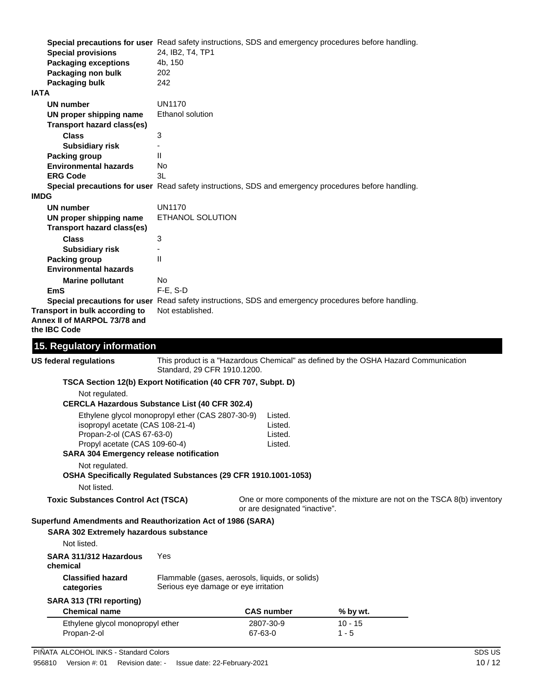|             | Special precautions for user Read safety instructions, SDS and emergency procedures before handling.<br><b>Special provisions</b><br><b>Packaging exceptions</b><br>Packaging non bulk<br>Packaging bulk | 24, IB2, T4, TP1<br>4b, 150<br>202<br>242                                               |                    |                               |                                                                                    |  |
|-------------|----------------------------------------------------------------------------------------------------------------------------------------------------------------------------------------------------------|-----------------------------------------------------------------------------------------|--------------------|-------------------------------|------------------------------------------------------------------------------------|--|
| <b>IATA</b> |                                                                                                                                                                                                          |                                                                                         |                    |                               |                                                                                    |  |
|             | UN number<br>UN proper shipping name<br><b>Transport hazard class(es)</b>                                                                                                                                | <b>UN1170</b><br>Ethanol solution                                                       |                    |                               |                                                                                    |  |
|             |                                                                                                                                                                                                          |                                                                                         |                    |                               |                                                                                    |  |
|             | <b>Class</b>                                                                                                                                                                                             | 3                                                                                       |                    |                               |                                                                                    |  |
|             | <b>Subsidiary risk</b>                                                                                                                                                                                   | $\blacksquare$                                                                          |                    |                               |                                                                                    |  |
|             | <b>Packing group</b>                                                                                                                                                                                     | Ш                                                                                       |                    |                               |                                                                                    |  |
|             | <b>Environmental hazards</b>                                                                                                                                                                             | No                                                                                      |                    |                               |                                                                                    |  |
|             | <b>ERG Code</b>                                                                                                                                                                                          | 3L                                                                                      |                    |                               |                                                                                    |  |
|             | Special precautions for user Read safety instructions, SDS and emergency procedures before handling.                                                                                                     |                                                                                         |                    |                               |                                                                                    |  |
| <b>IMDG</b> |                                                                                                                                                                                                          |                                                                                         |                    |                               |                                                                                    |  |
|             | UN number                                                                                                                                                                                                | <b>UN1170</b>                                                                           |                    |                               |                                                                                    |  |
|             | UN proper shipping name                                                                                                                                                                                  | ETHANOL SOLUTION                                                                        |                    |                               |                                                                                    |  |
|             | <b>Transport hazard class(es)</b>                                                                                                                                                                        |                                                                                         |                    |                               |                                                                                    |  |
|             | <b>Class</b>                                                                                                                                                                                             | 3                                                                                       |                    |                               |                                                                                    |  |
|             | <b>Subsidiary risk</b>                                                                                                                                                                                   |                                                                                         |                    |                               |                                                                                    |  |
|             | <b>Packing group</b>                                                                                                                                                                                     | Ш                                                                                       |                    |                               |                                                                                    |  |
|             | <b>Environmental hazards</b>                                                                                                                                                                             |                                                                                         |                    |                               |                                                                                    |  |
|             |                                                                                                                                                                                                          |                                                                                         |                    |                               |                                                                                    |  |
|             | <b>Marine pollutant</b>                                                                                                                                                                                  | No                                                                                      |                    |                               |                                                                                    |  |
|             | EmS<br>Special precautions for user Read safety instructions, SDS and emergency procedures before handling.                                                                                              | $F-E$ , S-D                                                                             |                    |                               |                                                                                    |  |
|             | Transport in bulk according to<br>Annex II of MARPOL 73/78 and<br>the IBC Code                                                                                                                           | Not established.                                                                        |                    |                               |                                                                                    |  |
|             | 15. Regulatory information                                                                                                                                                                               |                                                                                         |                    |                               |                                                                                    |  |
|             | <b>US federal regulations</b>                                                                                                                                                                            | Standard, 29 CFR 1910.1200.                                                             |                    |                               | This product is a "Hazardous Chemical" as defined by the OSHA Hazard Communication |  |
|             | TSCA Section 12(b) Export Notification (40 CFR 707, Subpt. D)                                                                                                                                            |                                                                                         |                    |                               |                                                                                    |  |
|             | Not regulated.                                                                                                                                                                                           |                                                                                         |                    |                               |                                                                                    |  |
|             | <b>CERCLA Hazardous Substance List (40 CFR 302.4)</b>                                                                                                                                                    |                                                                                         |                    |                               |                                                                                    |  |
|             |                                                                                                                                                                                                          |                                                                                         |                    |                               |                                                                                    |  |
|             |                                                                                                                                                                                                          | Ethylene glycol monopropyl ether (CAS 2807-30-9)                                        | Listed.            |                               |                                                                                    |  |
|             | isopropyl acetate (CAS 108-21-4)<br>Propan-2-ol (CAS 67-63-0)                                                                                                                                            |                                                                                         | Listed.            |                               |                                                                                    |  |
|             | Propyl acetate (CAS 109-60-4)                                                                                                                                                                            |                                                                                         | Listed.<br>Listed. |                               |                                                                                    |  |
|             | <b>SARA 304 Emergency release notification</b>                                                                                                                                                           |                                                                                         |                    |                               |                                                                                    |  |
|             |                                                                                                                                                                                                          |                                                                                         |                    |                               |                                                                                    |  |
|             | Not regulated.                                                                                                                                                                                           |                                                                                         |                    |                               |                                                                                    |  |
|             | OSHA Specifically Regulated Substances (29 CFR 1910.1001-1053)                                                                                                                                           |                                                                                         |                    |                               |                                                                                    |  |
|             | Not listed.                                                                                                                                                                                              |                                                                                         |                    |                               |                                                                                    |  |
|             | <b>Toxic Substances Control Act (TSCA)</b>                                                                                                                                                               |                                                                                         |                    | or are designated "inactive". | One or more components of the mixture are not on the TSCA 8(b) inventory           |  |
|             | Superfund Amendments and Reauthorization Act of 1986 (SARA)                                                                                                                                              |                                                                                         |                    |                               |                                                                                    |  |
|             | SARA 302 Extremely hazardous substance                                                                                                                                                                   |                                                                                         |                    |                               |                                                                                    |  |
|             | Not listed.                                                                                                                                                                                              |                                                                                         |                    |                               |                                                                                    |  |
|             |                                                                                                                                                                                                          |                                                                                         |                    |                               |                                                                                    |  |
|             | SARA 311/312 Hazardous<br>chemical                                                                                                                                                                       | Yes                                                                                     |                    |                               |                                                                                    |  |
|             | <b>Classified hazard</b><br>categories                                                                                                                                                                   | Flammable (gases, aerosols, liquids, or solids)<br>Serious eye damage or eye irritation |                    |                               |                                                                                    |  |
|             | SARA 313 (TRI reporting)                                                                                                                                                                                 |                                                                                         |                    |                               |                                                                                    |  |
|             | <b>Chemical name</b>                                                                                                                                                                                     |                                                                                         | <b>CAS number</b>  |                               | % by wt.                                                                           |  |
|             | Ethylene glycol monopropyl ether                                                                                                                                                                         |                                                                                         | 2807-30-9          |                               | $10 - 15$                                                                          |  |
|             | Propan-2-ol                                                                                                                                                                                              |                                                                                         | 67-63-0            |                               | $1 - 5$                                                                            |  |

PIÑATA ALCOHOL INKS - Standard Colors SDS US SOS US SOS US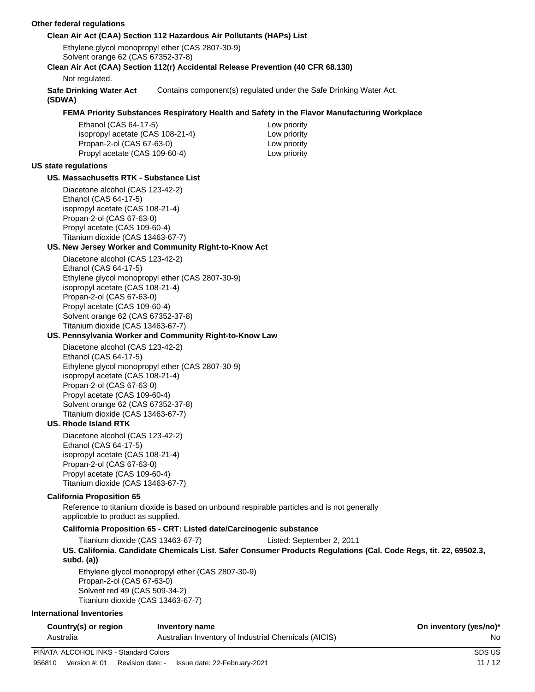#### **Other federal regulations**

#### **Clean Air Act (CAA) Section 112 Hazardous Air Pollutants (HAPs) List**

Ethylene glycol monopropyl ether (CAS 2807-30-9) Solvent orange 62 (CAS 67352-37-8)

#### **Clean Air Act (CAA) Section 112(r) Accidental Release Prevention (40 CFR 68.130)**

Not regulated.

**Safe Drinking Water Act** Contains component(s) regulated under the Safe Drinking Water Act.

**(SDWA)**

#### **FEMA Priority Substances Respiratory Health and Safety in the Flavor Manufacturing Workplace**

Ethanol (CAS 64-17-5) Low priority isopropyl acetate (CAS 108-21-4) Low priority Propan-2-ol (CAS 67-63-0) Low priority Propyl acetate (CAS 109-60-4) Low priority

#### **US state regulations**

#### **US. Massachusetts RTK - Substance List**

Diacetone alcohol (CAS 123-42-2) Ethanol (CAS 64-17-5) isopropyl acetate (CAS 108-21-4) Propan-2-ol (CAS 67-63-0) Propyl acetate (CAS 109-60-4) Titanium dioxide (CAS 13463-67-7)

#### **US. New Jersey Worker and Community Right-to-Know Act**

Diacetone alcohol (CAS 123-42-2) Ethanol (CAS 64-17-5) Ethylene glycol monopropyl ether (CAS 2807-30-9) isopropyl acetate (CAS 108-21-4) Propan-2-ol (CAS 67-63-0) Propyl acetate (CAS 109-60-4) Solvent orange 62 (CAS 67352-37-8) Titanium dioxide (CAS 13463-67-7)

#### **US. Pennsylvania Worker and Community Right-to-Know Law**

Diacetone alcohol (CAS 123-42-2) Ethanol (CAS 64-17-5) Ethylene glycol monopropyl ether (CAS 2807-30-9) isopropyl acetate (CAS 108-21-4) Propan-2-ol (CAS 67-63-0) Propyl acetate (CAS 109-60-4) Solvent orange 62 (CAS 67352-37-8) Titanium dioxide (CAS 13463-67-7)

#### **US. Rhode Island RTK**

Diacetone alcohol (CAS 123-42-2) Ethanol (CAS 64-17-5) isopropyl acetate (CAS 108-21-4) Propan-2-ol (CAS 67-63-0) Propyl acetate (CAS 109-60-4) Titanium dioxide (CAS 13463-67-7)

#### **California Proposition 65**

Reference to titanium dioxide is based on unbound respirable particles and is not generally applicable to product as supplied.

#### **California Proposition 65 - CRT: Listed date/Carcinogenic substance**

Titanium dioxide (CAS 13463-67-7) Listed: September 2, 2011

**US. California. Candidate Chemicals List. Safer Consumer Products Regulations (Cal. Code Regs, tit. 22, 69502.3, subd. (a))**

Ethylene glycol monopropyl ether (CAS 2807-30-9) Propan-2-ol (CAS 67-63-0) Solvent red 49 (CAS 509-34-2) Titanium dioxide (CAS 13463-67-7)

#### **International Inventories**

| Country(s) or region | Inventory name                                       | On inventory (yes/no)* |
|----------------------|------------------------------------------------------|------------------------|
| Australia            | Australian Inventory of Industrial Chemicals (AICIS) | No                     |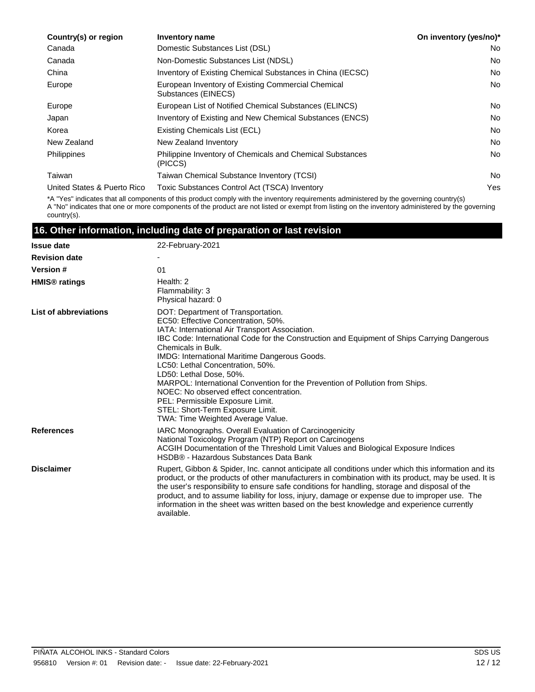| Country(s) or region        | Inventory name                                                            | On inventory (yes/no)* |
|-----------------------------|---------------------------------------------------------------------------|------------------------|
| Canada                      | Domestic Substances List (DSL)                                            | No.                    |
| Canada                      | Non-Domestic Substances List (NDSL)                                       | <b>No</b>              |
| China                       | Inventory of Existing Chemical Substances in China (IECSC)                | No.                    |
| Europe                      | European Inventory of Existing Commercial Chemical<br>Substances (EINECS) | <b>No</b>              |
| Europe                      | European List of Notified Chemical Substances (ELINCS)                    | No.                    |
| Japan                       | Inventory of Existing and New Chemical Substances (ENCS)                  | No.                    |
| Korea                       | Existing Chemicals List (ECL)                                             | <b>No</b>              |
| New Zealand                 | New Zealand Inventory                                                     | No.                    |
| <b>Philippines</b>          | Philippine Inventory of Chemicals and Chemical Substances<br>(PICCS)      | No.                    |
| Taiwan                      | Taiwan Chemical Substance Inventory (TCSI)                                | No.                    |
| United States & Puerto Rico | Toxic Substances Control Act (TSCA) Inventory                             | Yes                    |

\*A "Yes" indicates that all components of this product comply with the inventory requirements administered by the governing country(s) A "No" indicates that one or more components of the product are not listed or exempt from listing on the inventory administered by the governing country(s).

### **16. Other information, including date of preparation or last revision**

| <b>Issue date</b>         | 22-February-2021                                                                                                                                                                                                                                                                                                                                                                                                                                                                                                                                                                                         |
|---------------------------|----------------------------------------------------------------------------------------------------------------------------------------------------------------------------------------------------------------------------------------------------------------------------------------------------------------------------------------------------------------------------------------------------------------------------------------------------------------------------------------------------------------------------------------------------------------------------------------------------------|
| <b>Revision date</b>      |                                                                                                                                                                                                                                                                                                                                                                                                                                                                                                                                                                                                          |
| <b>Version #</b>          | 01                                                                                                                                                                                                                                                                                                                                                                                                                                                                                                                                                                                                       |
| HMIS <sup>®</sup> ratings | Health: 2<br>Flammability: 3<br>Physical hazard: 0                                                                                                                                                                                                                                                                                                                                                                                                                                                                                                                                                       |
| List of abbreviations     | DOT: Department of Transportation.<br>EC50: Effective Concentration, 50%.<br>IATA: International Air Transport Association.<br>IBC Code: International Code for the Construction and Equipment of Ships Carrying Dangerous<br>Chemicals in Bulk.<br>IMDG: International Maritime Dangerous Goods.<br>LC50: Lethal Concentration, 50%.<br>LD50: Lethal Dose, 50%.<br>MARPOL: International Convention for the Prevention of Pollution from Ships.<br>NOEC: No observed effect concentration.<br>PEL: Permissible Exposure Limit.<br>STEL: Short-Term Exposure Limit.<br>TWA: Time Weighted Average Value. |
| <b>References</b>         | IARC Monographs. Overall Evaluation of Carcinogenicity<br>National Toxicology Program (NTP) Report on Carcinogens<br>ACGIH Documentation of the Threshold Limit Values and Biological Exposure Indices<br>HSDB® - Hazardous Substances Data Bank                                                                                                                                                                                                                                                                                                                                                         |
| <b>Disclaimer</b>         | Rupert, Gibbon & Spider, Inc. cannot anticipate all conditions under which this information and its<br>product, or the products of other manufacturers in combination with its product, may be used. It is<br>the user's responsibility to ensure safe conditions for handling, storage and disposal of the<br>product, and to assume liability for loss, injury, damage or expense due to improper use. The<br>information in the sheet was written based on the best knowledge and experience currently<br>available.                                                                                  |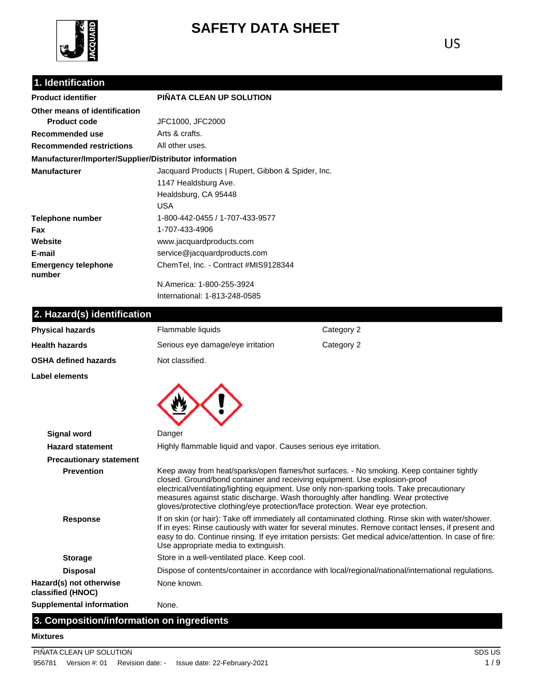

# **SAFETY DATA SHEET**

## **1. Identification**

| <b>Product identifier</b>                              | PIÑATA CLEAN UP SOLUTION                          |
|--------------------------------------------------------|---------------------------------------------------|
| Other means of identification                          |                                                   |
| <b>Product code</b>                                    | JFC1000, JFC2000                                  |
| Recommended use                                        | Arts & crafts.                                    |
| <b>Recommended restrictions</b>                        | All other uses.                                   |
| Manufacturer/Importer/Supplier/Distributor information |                                                   |
| <b>Manufacturer</b>                                    | Jacquard Products   Rupert, Gibbon & Spider, Inc. |
|                                                        | 1147 Healdsburg Ave.                              |
|                                                        | Healdsburg, CA 95448                              |
|                                                        | USA                                               |
| Telephone number                                       | 1-800-442-0455 / 1-707-433-9577                   |
| Fax                                                    | 1-707-433-4906                                    |
| Website                                                | www.jacquardproducts.com                          |
| E-mail                                                 | service@jacquardproducts.com                      |
| <b>Emergency telephone</b><br>number                   | ChemTel, Inc. - Contract #MIS9128344              |
|                                                        | N.America: 1-800-255-3924                         |

International: 1-813-248-0585

## **2. Hazard(s) identification**

| <b>Physical hazards</b>                      | Flammable liquids                                                                                                                                                                                                                                                                                                                                             | Category 2                                                                                                                                                                                                                                                                    |  |
|----------------------------------------------|---------------------------------------------------------------------------------------------------------------------------------------------------------------------------------------------------------------------------------------------------------------------------------------------------------------------------------------------------------------|-------------------------------------------------------------------------------------------------------------------------------------------------------------------------------------------------------------------------------------------------------------------------------|--|
| Health hazards                               | Serious eye damage/eye irritation                                                                                                                                                                                                                                                                                                                             | Category 2                                                                                                                                                                                                                                                                    |  |
| OSHA defined hazards                         | Not classified.                                                                                                                                                                                                                                                                                                                                               |                                                                                                                                                                                                                                                                               |  |
| Label elements                               |                                                                                                                                                                                                                                                                                                                                                               |                                                                                                                                                                                                                                                                               |  |
|                                              |                                                                                                                                                                                                                                                                                                                                                               |                                                                                                                                                                                                                                                                               |  |
| <b>Signal word</b>                           | Danger                                                                                                                                                                                                                                                                                                                                                        |                                                                                                                                                                                                                                                                               |  |
| <b>Hazard statement</b>                      | Highly flammable liquid and vapor. Causes serious eye irritation.                                                                                                                                                                                                                                                                                             |                                                                                                                                                                                                                                                                               |  |
| <b>Precautionary statement</b>               |                                                                                                                                                                                                                                                                                                                                                               |                                                                                                                                                                                                                                                                               |  |
| <b>Prevention</b>                            | closed. Ground/bond container and receiving equipment. Use explosion-proof<br>gloves/protective clothing/eye protection/face protection. Wear eye protection.                                                                                                                                                                                                 | Keep away from heat/sparks/open flames/hot surfaces. - No smoking. Keep container tightly<br>electrical/ventilating/lighting equipment. Use only non-sparking tools. Take precautionary<br>measures against static discharge. Wash thoroughly after handling. Wear protective |  |
| <b>Response</b>                              | If on skin (or hair): Take off immediately all contaminated clothing. Rinse skin with water/shower.<br>If in eyes: Rinse cautiously with water for several minutes. Remove contact lenses, if present and<br>easy to do. Continue rinsing. If eye irritation persists: Get medical advice/attention. In case of fire:<br>Use appropriate media to extinguish. |                                                                                                                                                                                                                                                                               |  |
| <b>Storage</b>                               | Store in a well-ventilated place. Keep cool.                                                                                                                                                                                                                                                                                                                  |                                                                                                                                                                                                                                                                               |  |
| <b>Disposal</b>                              |                                                                                                                                                                                                                                                                                                                                                               | Dispose of contents/container in accordance with local/regional/national/international regulations.                                                                                                                                                                           |  |
| Hazard(s) not otherwise<br>classified (HNOC) | None known.                                                                                                                                                                                                                                                                                                                                                   |                                                                                                                                                                                                                                                                               |  |
| <b>Supplemental information</b>              | None.                                                                                                                                                                                                                                                                                                                                                         |                                                                                                                                                                                                                                                                               |  |

## **3. Composition/information on ingredients**

#### **Mixtures**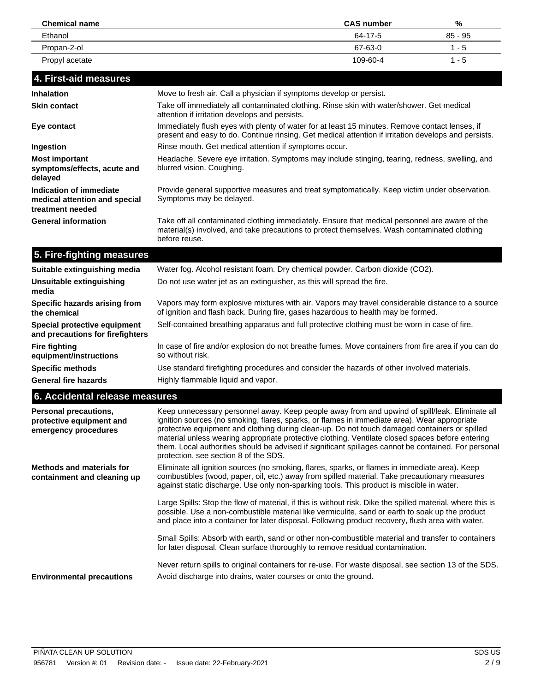| <b>Chemical name</b> | <b>CAS number</b> | %         |
|----------------------|-------------------|-----------|
| Ethanol              | 64-17-5           | $85 - 95$ |
| Propan-2-ol          | 67-63-0           | 1 - 5     |
| Propyl acetate       | 109-60-4          | $1 - 5$   |

## **4. First-aid measures**

| <b>Inhalation</b>                                                            | Move to fresh air. Call a physician if symptoms develop or persist.                                                                                                                                    |  |  |
|------------------------------------------------------------------------------|--------------------------------------------------------------------------------------------------------------------------------------------------------------------------------------------------------|--|--|
| <b>Skin contact</b>                                                          | Take off immediately all contaminated clothing. Rinse skin with water/shower. Get medical<br>attention if irritation develops and persists.                                                            |  |  |
| Eye contact                                                                  | Immediately flush eyes with plenty of water for at least 15 minutes. Remove contact lenses, if<br>present and easy to do. Continue rinsing. Get medical attention if irritation develops and persists. |  |  |
| Ingestion                                                                    | Rinse mouth. Get medical attention if symptoms occur.                                                                                                                                                  |  |  |
| <b>Most important</b><br>symptoms/effects, acute and<br>delayed              | Headache. Severe eye irritation. Symptoms may include stinging, tearing, redness, swelling, and<br>blurred vision. Coughing.                                                                           |  |  |
| Indication of immediate<br>medical attention and special<br>treatment needed | Provide general supportive measures and treat symptomatically. Keep victim under observation.<br>Symptoms may be delayed.                                                                              |  |  |
| <b>General information</b>                                                   | Take off all contaminated clothing immediately. Ensure that medical personnel are aware of the<br>material(s) involved, and take precautions to protect themselves. Wash contaminated clothing         |  |  |

## **5. Fire-fighting measures**

before reuse.

| Suitable extinguishing media                                     | Water fog. Alcohol resistant foam. Dry chemical powder. Carbon dioxide (CO2).                                                                                                         |  |  |
|------------------------------------------------------------------|---------------------------------------------------------------------------------------------------------------------------------------------------------------------------------------|--|--|
| Unsuitable extinguishing<br>media                                | Do not use water jet as an extinguisher, as this will spread the fire.                                                                                                                |  |  |
| Specific hazards arising from<br>the chemical                    | Vapors may form explosive mixtures with air. Vapors may travel considerable distance to a source<br>of ignition and flash back. During fire, gases hazardous to health may be formed. |  |  |
| Special protective equipment<br>and precautions for firefighters | Self-contained breathing apparatus and full protective clothing must be worn in case of fire.                                                                                         |  |  |
| <b>Fire fighting</b><br>equipment/instructions                   | In case of fire and/or explosion do not breathe fumes. Move containers from fire area if you can do<br>so without risk.                                                               |  |  |
| <b>Specific methods</b>                                          | Use standard firefighting procedures and consider the hazards of other involved materials.                                                                                            |  |  |
| <b>General fire hazards</b>                                      | Highly flammable liquid and vapor.                                                                                                                                                    |  |  |

| 6. Accidental release measures                                            |                                                                                                                                                                                                                                                                                                                                                                                                                                                                                                                                                      |  |  |
|---------------------------------------------------------------------------|------------------------------------------------------------------------------------------------------------------------------------------------------------------------------------------------------------------------------------------------------------------------------------------------------------------------------------------------------------------------------------------------------------------------------------------------------------------------------------------------------------------------------------------------------|--|--|
| Personal precautions,<br>protective equipment and<br>emergency procedures | Keep unnecessary personnel away. Keep people away from and upwind of spill/leak. Eliminate all<br>ignition sources (no smoking, flares, sparks, or flames in immediate area). Wear appropriate<br>protective equipment and clothing during clean-up. Do not touch damaged containers or spilled<br>material unless wearing appropriate protective clothing. Ventilate closed spaces before entering<br>them. Local authorities should be advised if significant spillages cannot be contained. For personal<br>protection, see section 8 of the SDS. |  |  |
| <b>Methods and materials for</b><br>containment and cleaning up           | Eliminate all ignition sources (no smoking, flares, sparks, or flames in immediate area). Keep<br>combustibles (wood, paper, oil, etc.) away from spilled material. Take precautionary measures<br>against static discharge. Use only non-sparking tools. This product is miscible in water.                                                                                                                                                                                                                                                         |  |  |
|                                                                           | Large Spills: Stop the flow of material, if this is without risk. Dike the spilled material, where this is<br>possible. Use a non-combustible material like vermiculite, sand or earth to soak up the product<br>and place into a container for later disposal. Following product recovery, flush area with water.                                                                                                                                                                                                                                   |  |  |
|                                                                           | Small Spills: Absorb with earth, sand or other non-combustible material and transfer to containers<br>for later disposal. Clean surface thoroughly to remove residual contamination.                                                                                                                                                                                                                                                                                                                                                                 |  |  |
| <b>Environmental precautions</b>                                          | Never return spills to original containers for re-use. For waste disposal, see section 13 of the SDS.<br>Avoid discharge into drains, water courses or onto the ground.                                                                                                                                                                                                                                                                                                                                                                              |  |  |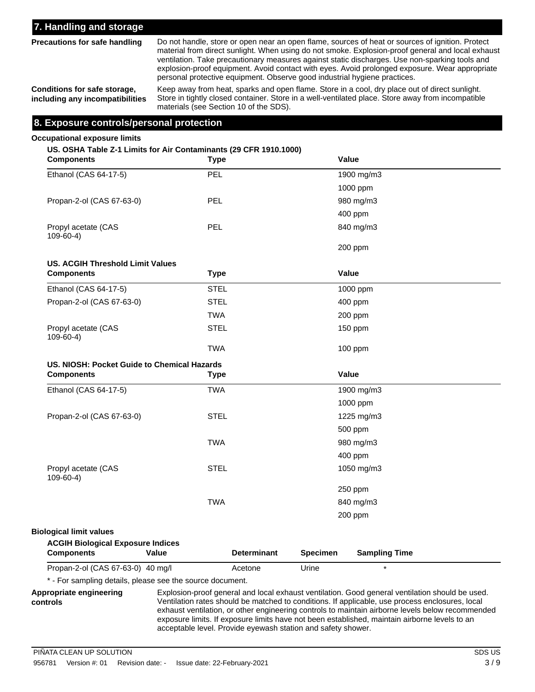### **7. Handling and storage**

**Precautions for safe handling**

Do not handle, store or open near an open flame, sources of heat or sources of ignition. Protect material from direct sunlight. When using do not smoke. Explosion-proof general and local exhaust ventilation. Take precautionary measures against static discharges. Use non-sparking tools and explosion-proof equipment. Avoid contact with eyes. Avoid prolonged exposure. Wear appropriate personal protective equipment. Observe good industrial hygiene practices.

**Conditions for safe storage, including any incompatibilities**

Keep away from heat, sparks and open flame. Store in a cool, dry place out of direct sunlight. Store in tightly closed container. Store in a well-ventilated place. Store away from incompatible materials (see Section 10 of the SDS).

#### **8. Exposure controls/personal protection**

#### **Occupational exposure limits**

#### **US. OSHA Table Z-1 Limits for Air Contaminants (29 CFR 1910.1000)**

| <b>Components</b>                                             | <b>Type</b>                 | Value                                   |
|---------------------------------------------------------------|-----------------------------|-----------------------------------------|
| Ethanol (CAS 64-17-5)                                         | <b>PEL</b>                  | 1900 mg/m3                              |
|                                                               |                             | 1000 ppm                                |
| Propan-2-ol (CAS 67-63-0)                                     | PEL                         | 980 mg/m3                               |
|                                                               |                             | 400 ppm                                 |
| Propyl acetate (CAS<br>$109-60-4$                             | <b>PEL</b>                  | 840 mg/m3                               |
|                                                               |                             | 200 ppm                                 |
| <b>US. ACGIH Threshold Limit Values</b>                       |                             |                                         |
| <b>Components</b>                                             | <b>Type</b>                 | Value                                   |
| Ethanol (CAS 64-17-5)                                         | <b>STEL</b>                 | 1000 ppm                                |
| Propan-2-ol (CAS 67-63-0)                                     | <b>STEL</b>                 | 400 ppm                                 |
|                                                               | <b>TWA</b>                  | 200 ppm                                 |
| Propyl acetate (CAS<br>$109 - 60 - 4$ )                       | <b>STEL</b>                 | 150 ppm                                 |
|                                                               | <b>TWA</b>                  | 100 ppm                                 |
| US. NIOSH: Pocket Guide to Chemical Hazards                   |                             |                                         |
| <b>Components</b>                                             | <b>Type</b>                 | Value                                   |
|                                                               |                             |                                         |
| Ethanol (CAS 64-17-5)                                         | <b>TWA</b>                  | 1900 mg/m3                              |
|                                                               |                             | 1000 ppm                                |
| Propan-2-ol (CAS 67-63-0)                                     | <b>STEL</b>                 | 1225 mg/m3                              |
|                                                               |                             | 500 ppm                                 |
|                                                               | <b>TWA</b>                  | 980 mg/m3                               |
|                                                               |                             | 400 ppm                                 |
| Propyl acetate (CAS<br>$109-60-4)$                            | <b>STEL</b>                 | 1050 mg/m3                              |
|                                                               |                             | 250 ppm                                 |
|                                                               | <b>TWA</b>                  | 840 mg/m3                               |
|                                                               |                             | 200 ppm                                 |
| <b>Biological limit values</b>                                |                             |                                         |
| <b>ACGIH Biological Exposure Indices</b><br><b>Components</b> | Value<br><b>Determinant</b> | <b>Specimen</b><br><b>Sampling Time</b> |

\* - For sampling details, please see the source document.

Explosion-proof general and local exhaust ventilation. Good general ventilation should be used. Ventilation rates should be matched to conditions. If applicable, use process enclosures, local exhaust ventilation, or other engineering controls to maintain airborne levels below recommended exposure limits. If exposure limits have not been established, maintain airborne levels to an acceptable level. Provide eyewash station and safety shower.

**Appropriate engineering controls**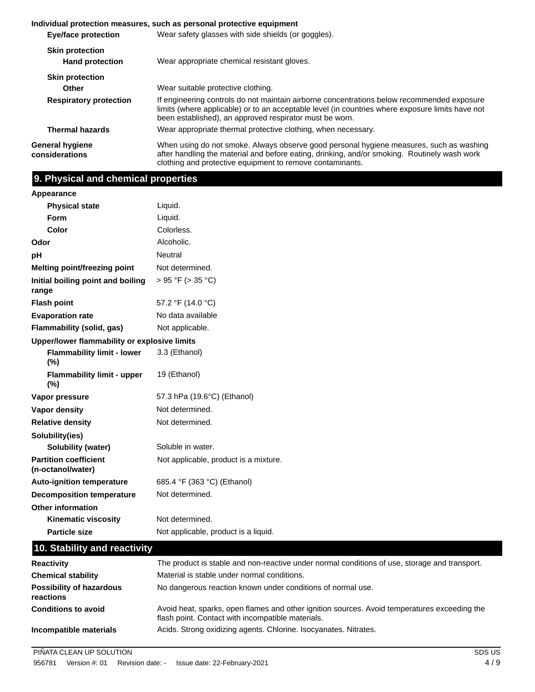|                                                  | Individual protection measures, such as personal protective equipment                                                                                                                                                                                     |  |  |
|--------------------------------------------------|-----------------------------------------------------------------------------------------------------------------------------------------------------------------------------------------------------------------------------------------------------------|--|--|
| <b>Eye/face protection</b>                       | Wear safety glasses with side shields (or goggles).                                                                                                                                                                                                       |  |  |
| <b>Skin protection</b><br><b>Hand protection</b> | Wear appropriate chemical resistant gloves.                                                                                                                                                                                                               |  |  |
| <b>Skin protection</b>                           |                                                                                                                                                                                                                                                           |  |  |
| <b>Other</b>                                     | Wear suitable protective clothing.                                                                                                                                                                                                                        |  |  |
| <b>Respiratory protection</b>                    | If engineering controls do not maintain airborne concentrations below recommended exposure<br>limits (where applicable) or to an acceptable level (in countries where exposure limits have not<br>been established), an approved respirator must be worn. |  |  |
| <b>Thermal hazards</b>                           | Wear appropriate thermal protective clothing, when necessary.                                                                                                                                                                                             |  |  |
| General hygiene<br>considerations                | When using do not smoke. Always observe good personal hygiene measures, such as washing<br>after handling the material and before eating, drinking, and/or smoking. Routinely wash work<br>clothing and protective equipment to remove contaminants.      |  |  |

## **9. Physical and chemical properties**

| Appearance                                        |                                                                                             |  |  |  |  |
|---------------------------------------------------|---------------------------------------------------------------------------------------------|--|--|--|--|
| <b>Physical state</b>                             | Liquid.                                                                                     |  |  |  |  |
| Form                                              | Liquid.                                                                                     |  |  |  |  |
| Color                                             | Colorless.                                                                                  |  |  |  |  |
| Odor                                              | Alcoholic.                                                                                  |  |  |  |  |
| pH                                                | <b>Neutral</b>                                                                              |  |  |  |  |
| Melting point/freezing point                      | Not determined.                                                                             |  |  |  |  |
| Initial boiling point and boiling<br>range        | > 95 °F (> 35 °C)                                                                           |  |  |  |  |
| <b>Flash point</b>                                | 57.2 °F (14.0 °C)                                                                           |  |  |  |  |
| <b>Evaporation rate</b>                           | No data available                                                                           |  |  |  |  |
| Flammability (solid, gas)                         | Not applicable.                                                                             |  |  |  |  |
| Upper/lower flammability or explosive limits      |                                                                                             |  |  |  |  |
| <b>Flammability limit - lower</b><br>(%)          | 3.3 (Ethanol)                                                                               |  |  |  |  |
| <b>Flammability limit - upper</b><br>(%)          | 19 (Ethanol)                                                                                |  |  |  |  |
| Vapor pressure                                    | 57.3 hPa (19.6°C) (Ethanol)                                                                 |  |  |  |  |
| <b>Vapor density</b>                              | Not determined.                                                                             |  |  |  |  |
| <b>Relative density</b>                           | Not determined.                                                                             |  |  |  |  |
| Solubility(ies)                                   |                                                                                             |  |  |  |  |
| Solubility (water)                                | Soluble in water.                                                                           |  |  |  |  |
| <b>Partition coefficient</b><br>(n-octanol/water) | Not applicable, product is a mixture.                                                       |  |  |  |  |
| <b>Auto-ignition temperature</b>                  | 685.4 °F (363 °C) (Ethanol)                                                                 |  |  |  |  |
| <b>Decomposition temperature</b>                  | Not determined.                                                                             |  |  |  |  |
| <b>Other information</b>                          |                                                                                             |  |  |  |  |
| <b>Kinematic viscosity</b>                        | Not determined.                                                                             |  |  |  |  |
| <b>Particle size</b>                              | Not applicable, product is a liquid.                                                        |  |  |  |  |
| 10. Stability and reactivity                      |                                                                                             |  |  |  |  |
| <b>Popotivity</b>                                 | The product is stable and non-reactive under normal conditions of use storage and transport |  |  |  |  |

| <b>Reactivity</b>                            | The product is stable and non-reactive under normal conditions of use, storage and transport.                                                     |
|----------------------------------------------|---------------------------------------------------------------------------------------------------------------------------------------------------|
| <b>Chemical stability</b>                    | Material is stable under normal conditions.                                                                                                       |
| <b>Possibility of hazardous</b><br>reactions | No dangerous reaction known under conditions of normal use.                                                                                       |
| <b>Conditions to avoid</b>                   | Avoid heat, sparks, open flames and other ignition sources. Avoid temperatures exceeding the<br>flash point. Contact with incompatible materials. |
| Incompatible materials                       | Acids. Strong oxidizing agents. Chlorine. Isocyanates. Nitrates.                                                                                  |

PIÑATA CLEAN UP SOLUTION SOLUTION SOLUTION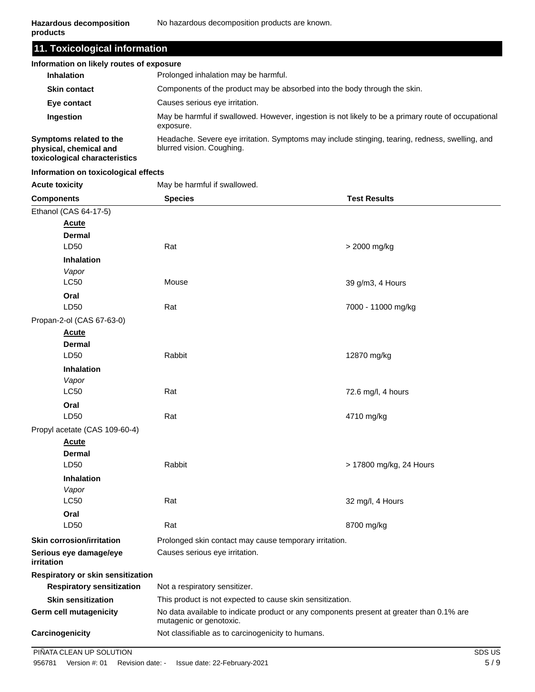**11. Toxicological information**

| Information on likely routes of exposure                                           |                                                                                                                              |  |  |
|------------------------------------------------------------------------------------|------------------------------------------------------------------------------------------------------------------------------|--|--|
| <b>Inhalation</b>                                                                  | Prolonged inhalation may be harmful.                                                                                         |  |  |
| <b>Skin contact</b>                                                                | Components of the product may be absorbed into the body through the skin.                                                    |  |  |
| Eye contact                                                                        | Causes serious eye irritation.                                                                                               |  |  |
| <b>Ingestion</b>                                                                   | May be harmful if swallowed. However, ingestion is not likely to be a primary route of occupational<br>exposure.             |  |  |
| Symptoms related to the<br>physical, chemical and<br>toxicological characteristics | Headache. Severe eye irritation. Symptoms may include stinging, tearing, redness, swelling, and<br>blurred vision. Coughing. |  |  |

#### **Information on toxicological effects**

Acute toxicity **May be harmful if swallowed.** 

| <b>Components</b>                    | <b>Species</b>                                                                                                      | <b>Test Results</b>     |  |
|--------------------------------------|---------------------------------------------------------------------------------------------------------------------|-------------------------|--|
| Ethanol (CAS 64-17-5)                |                                                                                                                     |                         |  |
| Acute                                |                                                                                                                     |                         |  |
| <b>Dermal</b>                        |                                                                                                                     |                         |  |
| LD50                                 | Rat<br>> 2000 mg/kg                                                                                                 |                         |  |
| <b>Inhalation</b>                    |                                                                                                                     |                         |  |
| Vapor                                |                                                                                                                     |                         |  |
| <b>LC50</b>                          | Mouse<br>39 g/m3, 4 Hours                                                                                           |                         |  |
| Oral                                 |                                                                                                                     |                         |  |
| LD50                                 | Rat                                                                                                                 | 7000 - 11000 mg/kg      |  |
| Propan-2-ol (CAS 67-63-0)            |                                                                                                                     |                         |  |
| <u>Acute</u>                         |                                                                                                                     |                         |  |
| <b>Dermal</b><br>LD50                | Rabbit                                                                                                              | 12870 mg/kg             |  |
|                                      |                                                                                                                     |                         |  |
| <b>Inhalation</b><br>Vapor           |                                                                                                                     |                         |  |
| <b>LC50</b>                          | Rat                                                                                                                 | 72.6 mg/l, 4 hours      |  |
| Oral                                 |                                                                                                                     |                         |  |
| LD50                                 | Rat                                                                                                                 | 4710 mg/kg              |  |
| Propyl acetate (CAS 109-60-4)        |                                                                                                                     |                         |  |
| Acute                                |                                                                                                                     |                         |  |
| <b>Dermal</b>                        |                                                                                                                     |                         |  |
| LD50                                 | Rabbit                                                                                                              | > 17800 mg/kg, 24 Hours |  |
| <b>Inhalation</b>                    |                                                                                                                     |                         |  |
| Vapor                                |                                                                                                                     |                         |  |
| <b>LC50</b>                          | Rat                                                                                                                 | 32 mg/l, 4 Hours        |  |
| Oral                                 |                                                                                                                     |                         |  |
| LD50                                 | Rat                                                                                                                 | 8700 mg/kg              |  |
| <b>Skin corrosion/irritation</b>     | Prolonged skin contact may cause temporary irritation.                                                              |                         |  |
| Serious eye damage/eye<br>irritation | Causes serious eye irritation.                                                                                      |                         |  |
| Respiratory or skin sensitization    |                                                                                                                     |                         |  |
| <b>Respiratory sensitization</b>     | Not a respiratory sensitizer.                                                                                       |                         |  |
| <b>Skin sensitization</b>            | This product is not expected to cause skin sensitization.                                                           |                         |  |
| <b>Germ cell mutagenicity</b>        | No data available to indicate product or any components present at greater than 0.1% are<br>mutagenic or genotoxic. |                         |  |
| Carcinogenicity                      | Not classifiable as to carcinogenicity to humans.                                                                   |                         |  |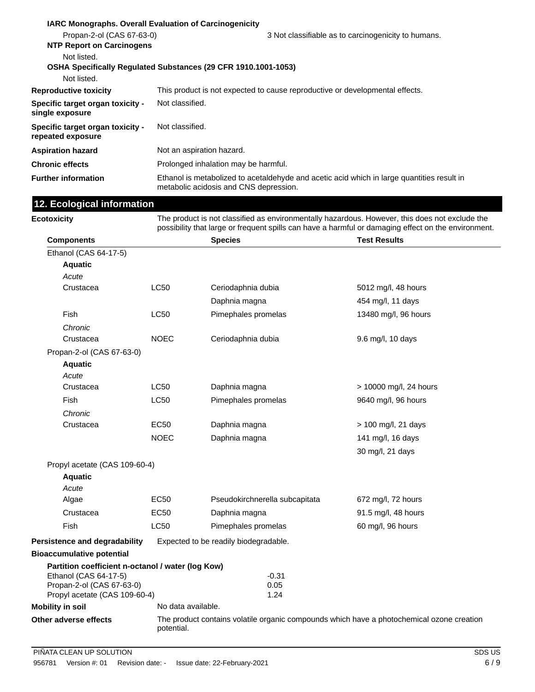|                                                               | <b>IARC Monographs. Overall Evaluation of Carcinogenicity</b>                                                                        |  |  |
|---------------------------------------------------------------|--------------------------------------------------------------------------------------------------------------------------------------|--|--|
| Propan-2-ol (CAS 67-63-0)<br><b>NTP Report on Carcinogens</b> | 3 Not classifiable as to carcinogenicity to humans.                                                                                  |  |  |
| Not listed.                                                   | OSHA Specifically Regulated Substances (29 CFR 1910.1001-1053)                                                                       |  |  |
| Not listed.                                                   |                                                                                                                                      |  |  |
| <b>Reproductive toxicity</b>                                  | This product is not expected to cause reproductive or developmental effects.                                                         |  |  |
| Specific target organ toxicity -<br>single exposure           | Not classified.                                                                                                                      |  |  |
| Specific target organ toxicity -<br>repeated exposure         | Not classified.                                                                                                                      |  |  |
| <b>Aspiration hazard</b>                                      | Not an aspiration hazard.                                                                                                            |  |  |
| <b>Chronic effects</b>                                        | Prolonged inhalation may be harmful.                                                                                                 |  |  |
| <b>Further information</b>                                    | Ethanol is metabolized to acetaldehyde and acetic acid which in large quantities result in<br>metabolic acidosis and CNS depression. |  |  |
| 12. Ecological information                                    |                                                                                                                                      |  |  |

| Ecotoxicity                                              |                                                                                                         | The product is not classified as environmentally hazardous. However, this does not exclude the<br>possibility that large or frequent spills can have a harmful or damaging effect on the environment. |                        |  |
|----------------------------------------------------------|---------------------------------------------------------------------------------------------------------|-------------------------------------------------------------------------------------------------------------------------------------------------------------------------------------------------------|------------------------|--|
| <b>Components</b>                                        |                                                                                                         | <b>Species</b>                                                                                                                                                                                        | <b>Test Results</b>    |  |
| Ethanol (CAS 64-17-5)                                    |                                                                                                         |                                                                                                                                                                                                       |                        |  |
| <b>Aquatic</b>                                           |                                                                                                         |                                                                                                                                                                                                       |                        |  |
| Acute                                                    |                                                                                                         |                                                                                                                                                                                                       |                        |  |
| Crustacea                                                | <b>LC50</b>                                                                                             | Ceriodaphnia dubia                                                                                                                                                                                    | 5012 mg/l, 48 hours    |  |
|                                                          |                                                                                                         | Daphnia magna                                                                                                                                                                                         | 454 mg/l, 11 days      |  |
| Fish                                                     | <b>LC50</b>                                                                                             | Pimephales promelas                                                                                                                                                                                   | 13480 mg/l, 96 hours   |  |
| Chronic                                                  |                                                                                                         |                                                                                                                                                                                                       |                        |  |
| Crustacea                                                | <b>NOEC</b>                                                                                             | Ceriodaphnia dubia                                                                                                                                                                                    | 9.6 mg/l, 10 days      |  |
| Propan-2-ol (CAS 67-63-0)                                |                                                                                                         |                                                                                                                                                                                                       |                        |  |
| <b>Aquatic</b>                                           |                                                                                                         |                                                                                                                                                                                                       |                        |  |
| Acute                                                    |                                                                                                         |                                                                                                                                                                                                       |                        |  |
| Crustacea                                                | <b>LC50</b>                                                                                             | Daphnia magna                                                                                                                                                                                         | > 10000 mg/l, 24 hours |  |
| Fish                                                     | <b>LC50</b>                                                                                             | Pimephales promelas                                                                                                                                                                                   | 9640 mg/l, 96 hours    |  |
| Chronic                                                  |                                                                                                         |                                                                                                                                                                                                       |                        |  |
| Crustacea                                                | <b>EC50</b>                                                                                             | Daphnia magna                                                                                                                                                                                         | > 100 mg/l, 21 days    |  |
|                                                          | <b>NOEC</b>                                                                                             | Daphnia magna                                                                                                                                                                                         | 141 mg/l, 16 days      |  |
|                                                          |                                                                                                         |                                                                                                                                                                                                       | 30 mg/l, 21 days       |  |
| Propyl acetate (CAS 109-60-4)                            |                                                                                                         |                                                                                                                                                                                                       |                        |  |
| <b>Aquatic</b>                                           |                                                                                                         |                                                                                                                                                                                                       |                        |  |
| Acute                                                    |                                                                                                         |                                                                                                                                                                                                       |                        |  |
| Algae                                                    | EC50                                                                                                    | Pseudokirchnerella subcapitata                                                                                                                                                                        | 672 mg/l, 72 hours     |  |
| Crustacea                                                | EC50                                                                                                    | Daphnia magna                                                                                                                                                                                         | 91.5 mg/l, 48 hours    |  |
| Fish                                                     | LC50                                                                                                    | Pimephales promelas                                                                                                                                                                                   | 60 mg/l, 96 hours      |  |
| Persistence and degradability                            |                                                                                                         | Expected to be readily biodegradable.                                                                                                                                                                 |                        |  |
| <b>Bioaccumulative potential</b>                         |                                                                                                         |                                                                                                                                                                                                       |                        |  |
| Partition coefficient n-octanol / water (log Kow)        |                                                                                                         |                                                                                                                                                                                                       |                        |  |
| Ethanol (CAS 64-17-5)                                    |                                                                                                         | $-0.31$                                                                                                                                                                                               |                        |  |
| Propan-2-ol (CAS 67-63-0)                                |                                                                                                         | 0.05                                                                                                                                                                                                  |                        |  |
| Propyl acetate (CAS 109-60-4)<br><b>Mobility in soil</b> | No data available.                                                                                      | 1.24                                                                                                                                                                                                  |                        |  |
|                                                          |                                                                                                         |                                                                                                                                                                                                       |                        |  |
| Other adverse effects                                    | The product contains volatile organic compounds which have a photochemical ozone creation<br>potential. |                                                                                                                                                                                                       |                        |  |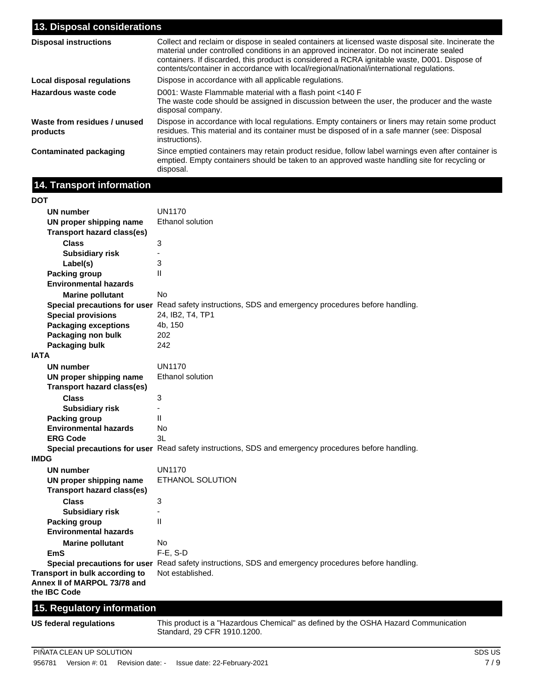| 13. Disposal considerations              |                                                                                                                                                                                                                                                                                                                                                                                               |  |  |
|------------------------------------------|-----------------------------------------------------------------------------------------------------------------------------------------------------------------------------------------------------------------------------------------------------------------------------------------------------------------------------------------------------------------------------------------------|--|--|
| <b>Disposal instructions</b>             | Collect and reclaim or dispose in sealed containers at licensed waste disposal site. Incinerate the<br>material under controlled conditions in an approved incinerator. Do not incinerate sealed<br>containers. If discarded, this product is considered a RCRA ignitable waste, D001. Dispose of<br>contents/container in accordance with local/regional/national/international regulations. |  |  |
| Local disposal regulations               | Dispose in accordance with all applicable regulations.                                                                                                                                                                                                                                                                                                                                        |  |  |
| Hazardous waste code                     | D001: Waste Flammable material with a flash point <140 F<br>The waste code should be assigned in discussion between the user, the producer and the waste<br>disposal company.                                                                                                                                                                                                                 |  |  |
| Waste from residues / unused<br>products | Dispose in accordance with local regulations. Empty containers or liners may retain some product<br>residues. This material and its container must be disposed of in a safe manner (see: Disposal<br>instructions).                                                                                                                                                                           |  |  |
| <b>Contaminated packaging</b>            | Since emptied containers may retain product residue, follow label warnings even after container is<br>emptied. Empty containers should be taken to an approved waste handling site for recycling or<br>disposal.                                                                                                                                                                              |  |  |

## **14. Transport information**

| DOT                                     |                                                                                                      |
|-----------------------------------------|------------------------------------------------------------------------------------------------------|
| <b>UN number</b>                        | <b>UN1170</b>                                                                                        |
| UN proper shipping name                 | Ethanol solution                                                                                     |
| <b>Transport hazard class(es)</b>       |                                                                                                      |
| <b>Class</b>                            | 3                                                                                                    |
| <b>Subsidiary risk</b>                  | ÷,                                                                                                   |
| Label(s)                                | 3                                                                                                    |
| <b>Packing group</b>                    | $\mathbf{I}$                                                                                         |
| <b>Environmental hazards</b>            |                                                                                                      |
| <b>Marine pollutant</b>                 | <b>No</b>                                                                                            |
|                                         | Special precautions for user Read safety instructions, SDS and emergency procedures before handling. |
| <b>Special provisions</b>               | 24, IB2, T4, TP1                                                                                     |
| <b>Packaging exceptions</b>             | 4b, 150                                                                                              |
| Packaging non bulk                      | 202                                                                                                  |
| Packaging bulk                          | 242                                                                                                  |
| <b>IATA</b>                             |                                                                                                      |
| UN number                               | UN1170                                                                                               |
| UN proper shipping name                 | Ethanol solution                                                                                     |
| <b>Transport hazard class(es)</b>       |                                                                                                      |
| <b>Class</b>                            | 3                                                                                                    |
| <b>Subsidiary risk</b>                  | L.                                                                                                   |
| <b>Packing group</b>                    | $\mathbf{I}$                                                                                         |
| <b>Environmental hazards</b>            | <b>No</b>                                                                                            |
| <b>ERG Code</b>                         | 3L                                                                                                   |
|                                         | Special precautions for user Read safety instructions, SDS and emergency procedures before handling. |
| <b>IMDG</b>                             |                                                                                                      |
| <b>UN number</b>                        | <b>UN1170</b>                                                                                        |
| UN proper shipping name                 | ETHANOL SOLUTION                                                                                     |
| <b>Transport hazard class(es)</b>       |                                                                                                      |
| <b>Class</b>                            | 3                                                                                                    |
| <b>Subsidiary risk</b>                  | $\overline{\phantom{a}}$                                                                             |
| <b>Packing group</b>                    | $\mathbf{I}$                                                                                         |
| <b>Environmental hazards</b>            |                                                                                                      |
| <b>Marine pollutant</b>                 | No.                                                                                                  |
| EmS                                     | F-E, S-D                                                                                             |
|                                         | Special precautions for user Read safety instructions, SDS and emergency procedures before handling. |
| Transport in bulk according to          | Not established.                                                                                     |
| Annex II of MARPOL 73/78 and            |                                                                                                      |
| the IBC Code                            |                                                                                                      |
| <b>Service</b> Construction<br>a.<br>ı. |                                                                                                      |

#### **15. Regulatory information**

**US federal regulations**

This product is a "Hazardous Chemical" as defined by the OSHA Hazard Communication Standard, 29 CFR 1910.1200.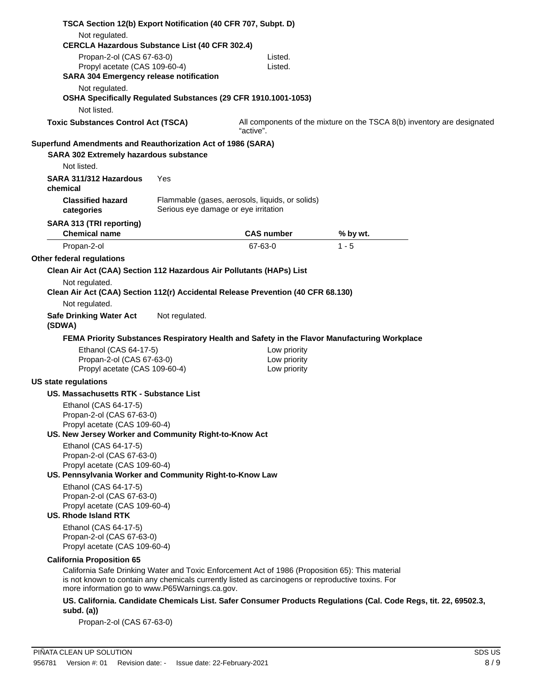| TSCA Section 12(b) Export Notification (40 CFR 707, Subpt. D)<br>Not regulated.                                                                                                                                                                         |                                                                                         |                   |                                                                                                                  |  |
|---------------------------------------------------------------------------------------------------------------------------------------------------------------------------------------------------------------------------------------------------------|-----------------------------------------------------------------------------------------|-------------------|------------------------------------------------------------------------------------------------------------------|--|
| <b>CERCLA Hazardous Substance List (40 CFR 302.4)</b>                                                                                                                                                                                                   |                                                                                         |                   |                                                                                                                  |  |
| Propan-2-ol (CAS 67-63-0)                                                                                                                                                                                                                               |                                                                                         | Listed.           |                                                                                                                  |  |
| Propyl acetate (CAS 109-60-4)<br><b>SARA 304 Emergency release notification</b>                                                                                                                                                                         |                                                                                         | Listed.           |                                                                                                                  |  |
| Not regulated.<br>OSHA Specifically Regulated Substances (29 CFR 1910.1001-1053)                                                                                                                                                                        |                                                                                         |                   |                                                                                                                  |  |
| Not listed.                                                                                                                                                                                                                                             |                                                                                         |                   |                                                                                                                  |  |
| <b>Toxic Substances Control Act (TSCA)</b>                                                                                                                                                                                                              |                                                                                         | "active".         | All components of the mixture on the TSCA 8(b) inventory are designated                                          |  |
| Superfund Amendments and Reauthorization Act of 1986 (SARA)                                                                                                                                                                                             |                                                                                         |                   |                                                                                                                  |  |
| SARA 302 Extremely hazardous substance                                                                                                                                                                                                                  |                                                                                         |                   |                                                                                                                  |  |
| Not listed.                                                                                                                                                                                                                                             |                                                                                         |                   |                                                                                                                  |  |
| SARA 311/312 Hazardous<br>chemical                                                                                                                                                                                                                      | Yes                                                                                     |                   |                                                                                                                  |  |
| <b>Classified hazard</b><br>categories                                                                                                                                                                                                                  | Flammable (gases, aerosols, liquids, or solids)<br>Serious eye damage or eye irritation |                   |                                                                                                                  |  |
| SARA 313 (TRI reporting)                                                                                                                                                                                                                                |                                                                                         |                   |                                                                                                                  |  |
| <b>Chemical name</b>                                                                                                                                                                                                                                    |                                                                                         | <b>CAS number</b> | % by wt.                                                                                                         |  |
| Propan-2-ol                                                                                                                                                                                                                                             |                                                                                         | 67-63-0           | $1 - 5$                                                                                                          |  |
| Other federal regulations                                                                                                                                                                                                                               |                                                                                         |                   |                                                                                                                  |  |
| Clean Air Act (CAA) Section 112 Hazardous Air Pollutants (HAPs) List                                                                                                                                                                                    |                                                                                         |                   |                                                                                                                  |  |
| Not regulated.                                                                                                                                                                                                                                          |                                                                                         |                   |                                                                                                                  |  |
| Clean Air Act (CAA) Section 112(r) Accidental Release Prevention (40 CFR 68.130)                                                                                                                                                                        |                                                                                         |                   |                                                                                                                  |  |
| Not regulated.                                                                                                                                                                                                                                          |                                                                                         |                   |                                                                                                                  |  |
| <b>Safe Drinking Water Act</b><br>(SDWA)                                                                                                                                                                                                                | Not regulated.                                                                          |                   |                                                                                                                  |  |
|                                                                                                                                                                                                                                                         |                                                                                         |                   | FEMA Priority Substances Respiratory Health and Safety in the Flavor Manufacturing Workplace                     |  |
| Ethanol (CAS 64-17-5)                                                                                                                                                                                                                                   |                                                                                         | Low priority      |                                                                                                                  |  |
| Propan-2-ol (CAS 67-63-0)                                                                                                                                                                                                                               |                                                                                         | Low priority      |                                                                                                                  |  |
| Propyl acetate (CAS 109-60-4)                                                                                                                                                                                                                           |                                                                                         | Low priority      |                                                                                                                  |  |
| US state regulations                                                                                                                                                                                                                                    |                                                                                         |                   |                                                                                                                  |  |
| <b>US. Massachusetts RTK - Substance List</b>                                                                                                                                                                                                           |                                                                                         |                   |                                                                                                                  |  |
| Ethanol (CAS 64-17-5)                                                                                                                                                                                                                                   |                                                                                         |                   |                                                                                                                  |  |
| Propan-2-ol (CAS 67-63-0)                                                                                                                                                                                                                               |                                                                                         |                   |                                                                                                                  |  |
| Propyl acetate (CAS 109-60-4)                                                                                                                                                                                                                           |                                                                                         |                   |                                                                                                                  |  |
| US. New Jersey Worker and Community Right-to-Know Act                                                                                                                                                                                                   |                                                                                         |                   |                                                                                                                  |  |
| Ethanol (CAS 64-17-5)<br>Propan-2-ol (CAS 67-63-0)                                                                                                                                                                                                      |                                                                                         |                   |                                                                                                                  |  |
| Propyl acetate (CAS 109-60-4)<br>US. Pennsylvania Worker and Community Right-to-Know Law                                                                                                                                                                |                                                                                         |                   |                                                                                                                  |  |
| Ethanol (CAS 64-17-5)                                                                                                                                                                                                                                   |                                                                                         |                   |                                                                                                                  |  |
| Propan-2-ol (CAS 67-63-0)                                                                                                                                                                                                                               |                                                                                         |                   |                                                                                                                  |  |
| Propyl acetate (CAS 109-60-4)                                                                                                                                                                                                                           |                                                                                         |                   |                                                                                                                  |  |
| <b>US. Rhode Island RTK</b>                                                                                                                                                                                                                             |                                                                                         |                   |                                                                                                                  |  |
| Ethanol (CAS 64-17-5)<br>Propan-2-ol (CAS 67-63-0)<br>Propyl acetate (CAS 109-60-4)                                                                                                                                                                     |                                                                                         |                   |                                                                                                                  |  |
| <b>California Proposition 65</b>                                                                                                                                                                                                                        |                                                                                         |                   |                                                                                                                  |  |
| California Safe Drinking Water and Toxic Enforcement Act of 1986 (Proposition 65): This material<br>is not known to contain any chemicals currently listed as carcinogens or reproductive toxins. For<br>more information go to www.P65Warnings.ca.gov. |                                                                                         |                   |                                                                                                                  |  |
| subd. $(a)$                                                                                                                                                                                                                                             |                                                                                         |                   | US. California. Candidate Chemicals List. Safer Consumer Products Regulations (Cal. Code Regs, tit. 22, 69502.3, |  |
| Propan-2-ol (CAS 67-63-0)                                                                                                                                                                                                                               |                                                                                         |                   |                                                                                                                  |  |
|                                                                                                                                                                                                                                                         |                                                                                         |                   |                                                                                                                  |  |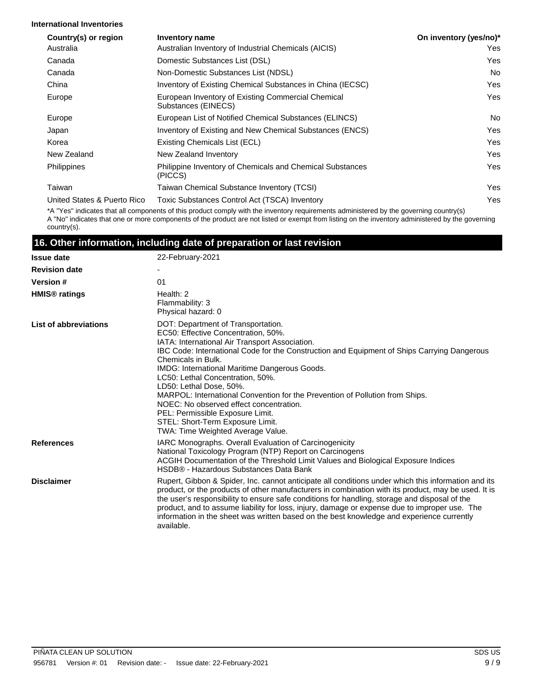#### **International Inventories**

| Country(s) or region        | <b>Inventory name</b>                                                     | On inventory (yes/no)* |
|-----------------------------|---------------------------------------------------------------------------|------------------------|
| Australia                   | Australian Inventory of Industrial Chemicals (AICIS)                      | Yes                    |
| Canada                      | Domestic Substances List (DSL)                                            | Yes                    |
| Canada                      | Non-Domestic Substances List (NDSL)                                       | No.                    |
| China                       | Inventory of Existing Chemical Substances in China (IECSC)                | Yes                    |
| Europe                      | European Inventory of Existing Commercial Chemical<br>Substances (EINECS) | Yes                    |
| Europe                      | European List of Notified Chemical Substances (ELINCS)                    | No.                    |
| Japan                       | Inventory of Existing and New Chemical Substances (ENCS)                  | Yes                    |
| Korea                       | Existing Chemicals List (ECL)                                             | Yes                    |
| New Zealand                 | New Zealand Inventory                                                     | Yes                    |
| <b>Philippines</b>          | Philippine Inventory of Chemicals and Chemical Substances<br>(PICCS)      | Yes                    |
| Taiwan                      | Taiwan Chemical Substance Inventory (TCSI)                                | Yes                    |
| United States & Puerto Rico | Toxic Substances Control Act (TSCA) Inventory                             | Yes                    |

\*A "Yes" indicates that all components of this product comply with the inventory requirements administered by the governing country(s) A "No" indicates that one or more components of the product are not listed or exempt from listing on the inventory administered by the governing country(s).

#### **16. Other information, including date of preparation or last revision**

| <b>Issue date</b>               | 22-February-2021                                                                                                                                                                                                                                                                                                                                                                                                                                                                                                                                                                                                |  |  |
|---------------------------------|-----------------------------------------------------------------------------------------------------------------------------------------------------------------------------------------------------------------------------------------------------------------------------------------------------------------------------------------------------------------------------------------------------------------------------------------------------------------------------------------------------------------------------------------------------------------------------------------------------------------|--|--|
| <b>Revision date</b>            |                                                                                                                                                                                                                                                                                                                                                                                                                                                                                                                                                                                                                 |  |  |
| <b>Version#</b>                 | 01                                                                                                                                                                                                                                                                                                                                                                                                                                                                                                                                                                                                              |  |  |
| <b>HMIS<sup>®</sup></b> ratings | Health: 2<br>Flammability: 3<br>Physical hazard: 0                                                                                                                                                                                                                                                                                                                                                                                                                                                                                                                                                              |  |  |
| List of abbreviations           | DOT: Department of Transportation.<br>EC50: Effective Concentration, 50%.<br>IATA: International Air Transport Association.<br>IBC Code: International Code for the Construction and Equipment of Ships Carrying Dangerous<br>Chemicals in Bulk.<br>IMDG: International Maritime Dangerous Goods.<br>LC50: Lethal Concentration, 50%.<br>LD50: Lethal Dose, 50%.<br>MARPOL: International Convention for the Prevention of Pollution from Ships.<br>NOEC: No observed effect concentration.<br>PEL: Permissible Exposure Limit.<br>STEL: Short-Term Exposure Limit.<br><b>TWA: Time Weighted Average Value.</b> |  |  |
| <b>References</b>               | <b>IARC Monographs. Overall Evaluation of Carcinogenicity</b><br>National Toxicology Program (NTP) Report on Carcinogens<br>ACGIH Documentation of the Threshold Limit Values and Biological Exposure Indices<br>HSDB® - Hazardous Substances Data Bank                                                                                                                                                                                                                                                                                                                                                         |  |  |
| <b>Disclaimer</b>               | Rupert, Gibbon & Spider, Inc. cannot anticipate all conditions under which this information and its<br>product, or the products of other manufacturers in combination with its product, may be used. It is<br>the user's responsibility to ensure safe conditions for handling, storage and disposal of the<br>product, and to assume liability for loss, injury, damage or expense due to improper use. The<br>information in the sheet was written based on the best knowledge and experience currently<br>available.                                                                                         |  |  |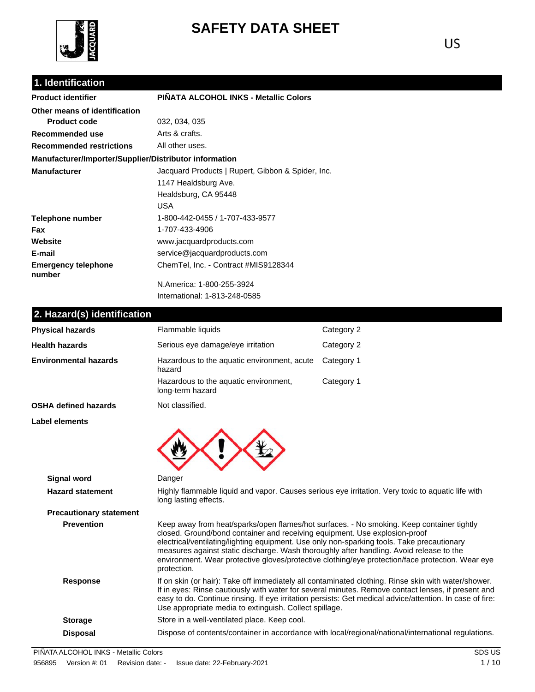

# **SAFETY DATA SHEET**

## **1. Identification**

| <b>Product identifier</b>                              | PIÑATA ALCOHOL INKS - Metallic Colors             |  |
|--------------------------------------------------------|---------------------------------------------------|--|
| Other means of identification                          |                                                   |  |
| <b>Product code</b>                                    | 032, 034, 035                                     |  |
| Recommended use                                        | Arts & crafts.                                    |  |
| <b>Recommended restrictions</b>                        | All other uses.                                   |  |
| Manufacturer/Importer/Supplier/Distributor information |                                                   |  |
| <b>Manufacturer</b>                                    | Jacquard Products   Rupert, Gibbon & Spider, Inc. |  |
|                                                        | 1147 Healdsburg Ave.                              |  |
|                                                        | Healdsburg, CA 95448                              |  |
|                                                        | USA                                               |  |
| Telephone number                                       | 1-800-442-0455 / 1-707-433-9577                   |  |
| <b>Fax</b>                                             | 1-707-433-4906                                    |  |
| Website                                                | www.jacquardproducts.com                          |  |
| E-mail                                                 | service@jacquardproducts.com                      |  |
| <b>Emergency telephone</b><br>number                   | ChemTel, Inc. - Contract #MIS9128344              |  |
|                                                        | N.America: 1-800-255-3924                         |  |
|                                                        | International: 1-813-248-0585                     |  |

## **2. Hazard(s) identification**

| Flammable liquids                                                                                                                                                                                                                                                                                                                                                               | Category 2                                                                                                                                                                                                                                                                                                            |
|---------------------------------------------------------------------------------------------------------------------------------------------------------------------------------------------------------------------------------------------------------------------------------------------------------------------------------------------------------------------------------|-----------------------------------------------------------------------------------------------------------------------------------------------------------------------------------------------------------------------------------------------------------------------------------------------------------------------|
| Serious eye damage/eye irritation                                                                                                                                                                                                                                                                                                                                               | Category 2                                                                                                                                                                                                                                                                                                            |
| Hazardous to the aquatic environment, acute<br>hazard                                                                                                                                                                                                                                                                                                                           | Category 1                                                                                                                                                                                                                                                                                                            |
| Hazardous to the aquatic environment,<br>long-term hazard                                                                                                                                                                                                                                                                                                                       | Category 1                                                                                                                                                                                                                                                                                                            |
| Not classified.                                                                                                                                                                                                                                                                                                                                                                 |                                                                                                                                                                                                                                                                                                                       |
|                                                                                                                                                                                                                                                                                                                                                                                 |                                                                                                                                                                                                                                                                                                                       |
| Danger                                                                                                                                                                                                                                                                                                                                                                          |                                                                                                                                                                                                                                                                                                                       |
| long lasting effects.                                                                                                                                                                                                                                                                                                                                                           | Highly flammable liquid and vapor. Causes serious eye irritation. Very toxic to aquatic life with                                                                                                                                                                                                                     |
|                                                                                                                                                                                                                                                                                                                                                                                 |                                                                                                                                                                                                                                                                                                                       |
|                                                                                                                                                                                                                                                                                                                                                                                 |                                                                                                                                                                                                                                                                                                                       |
| Keep away from heat/sparks/open flames/hot surfaces. - No smoking. Keep container tightly<br>closed. Ground/bond container and receiving equipment. Use explosion-proof<br>electrical/ventilating/lighting equipment. Use only non-sparking tools. Take precautionary<br>measures against static discharge. Wash thoroughly after handling. Avoid release to the<br>protection. | environment. Wear protective gloves/protective clothing/eye protection/face protection. Wear eye                                                                                                                                                                                                                      |
| Use appropriate media to extinguish. Collect spillage.                                                                                                                                                                                                                                                                                                                          | If on skin (or hair): Take off immediately all contaminated clothing. Rinse skin with water/shower.<br>If in eyes: Rinse cautiously with water for several minutes. Remove contact lenses, if present and<br>easy to do. Continue rinsing. If eye irritation persists: Get medical advice/attention. In case of fire: |
| Store in a well-ventilated place. Keep cool.                                                                                                                                                                                                                                                                                                                                    |                                                                                                                                                                                                                                                                                                                       |
|                                                                                                                                                                                                                                                                                                                                                                                 |                                                                                                                                                                                                                                                                                                                       |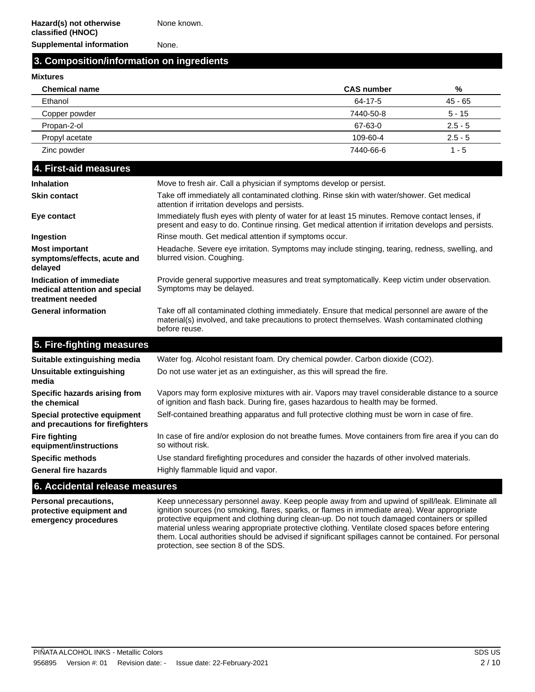None known.

**Supplemental information** None.

#### **3. Composition/information on ingredients**

#### **Mixtures**

| <b>Chemical name</b> | <b>CAS number</b> | %         |
|----------------------|-------------------|-----------|
| Ethanol              | 64-17-5           | 45 - 65   |
| Copper powder        | 7440-50-8         | $5 - 15$  |
| Propan-2-ol          | 67-63-0           | $2.5 - 5$ |
| Propyl acetate       | 109-60-4          | $2.5 - 5$ |
| Zinc powder          | 7440-66-6         | 1 - 5     |

| 4. First-aid measures                                                        |                                                                                                                                                                                                                 |
|------------------------------------------------------------------------------|-----------------------------------------------------------------------------------------------------------------------------------------------------------------------------------------------------------------|
| <b>Inhalation</b>                                                            | Move to fresh air. Call a physician if symptoms develop or persist.                                                                                                                                             |
| <b>Skin contact</b>                                                          | Take off immediately all contaminated clothing. Rinse skin with water/shower. Get medical<br>attention if irritation develops and persists.                                                                     |
| Eye contact                                                                  | Immediately flush eyes with plenty of water for at least 15 minutes. Remove contact lenses, if<br>present and easy to do. Continue rinsing. Get medical attention if irritation develops and persists.          |
| Ingestion                                                                    | Rinse mouth. Get medical attention if symptoms occur.                                                                                                                                                           |
| <b>Most important</b><br>symptoms/effects, acute and<br>delayed              | Headache. Severe eye irritation. Symptoms may include stinging, tearing, redness, swelling, and<br>blurred vision. Coughing.                                                                                    |
| Indication of immediate<br>medical attention and special<br>treatment needed | Provide general supportive measures and treat symptomatically. Keep victim under observation.<br>Symptoms may be delayed.                                                                                       |
| <b>General information</b>                                                   | Take off all contaminated clothing immediately. Ensure that medical personnel are aware of the<br>material(s) involved, and take precautions to protect themselves. Wash contaminated clothing<br>before reuse. |

| <b>U. LIFE LIGILIUS INGGOULES</b>                                |                                                                                                                                                                                       |
|------------------------------------------------------------------|---------------------------------------------------------------------------------------------------------------------------------------------------------------------------------------|
| Suitable extinguishing media                                     | Water fog. Alcohol resistant foam. Dry chemical powder. Carbon dioxide (CO2).                                                                                                         |
| Unsuitable extinguishing<br>media                                | Do not use water jet as an extinguisher, as this will spread the fire.                                                                                                                |
| Specific hazards arising from<br>the chemical                    | Vapors may form explosive mixtures with air. Vapors may travel considerable distance to a source<br>of ignition and flash back. During fire, gases hazardous to health may be formed. |
| Special protective equipment<br>and precautions for firefighters | Self-contained breathing apparatus and full protective clothing must be worn in case of fire.                                                                                         |
| Fire fighting<br>equipment/instructions                          | In case of fire and/or explosion do not breathe fumes. Move containers from fire area if you can do<br>so without risk.                                                               |
| <b>Specific methods</b>                                          | Use standard firefighting procedures and consider the hazards of other involved materials.                                                                                            |
| <b>General fire hazards</b>                                      | Highly flammable liquid and vapor.                                                                                                                                                    |
|                                                                  |                                                                                                                                                                                       |

#### **6. Accidental release measures**

**5. Fire-fighting measures**

**Personal precautions, protective equipment and emergency procedures**

Keep unnecessary personnel away. Keep people away from and upwind of spill/leak. Eliminate all ignition sources (no smoking, flares, sparks, or flames in immediate area). Wear appropriate protective equipment and clothing during clean-up. Do not touch damaged containers or spilled material unless wearing appropriate protective clothing. Ventilate closed spaces before entering them. Local authorities should be advised if significant spillages cannot be contained. For personal protection, see section 8 of the SDS.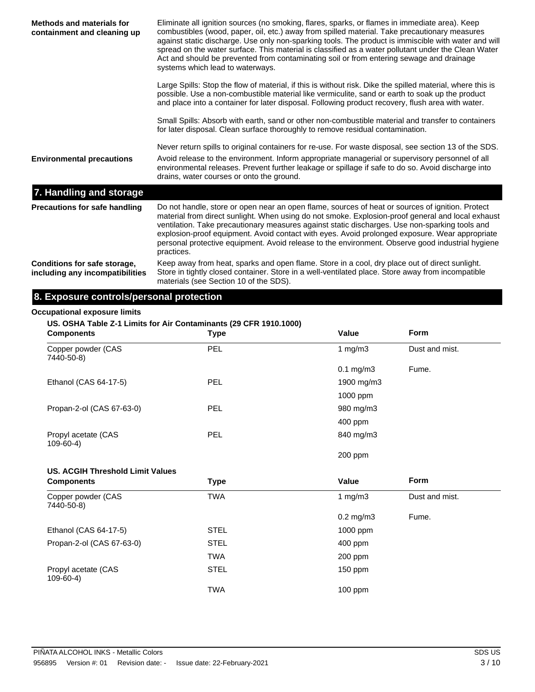| Methods and materials for<br>containment and cleaning up        | Eliminate all ignition sources (no smoking, flares, sparks, or flames in immediate area). Keep<br>combustibles (wood, paper, oil, etc.) away from spilled material. Take precautionary measures<br>against static discharge. Use only non-sparking tools. The product is immiscible with water and will<br>spread on the water surface. This material is classified as a water pollutant under the Clean Water<br>Act and should be prevented from contaminating soil or from entering sewage and drainage<br>systems which lead to waterways. |  |  |
|-----------------------------------------------------------------|------------------------------------------------------------------------------------------------------------------------------------------------------------------------------------------------------------------------------------------------------------------------------------------------------------------------------------------------------------------------------------------------------------------------------------------------------------------------------------------------------------------------------------------------|--|--|
|                                                                 | Large Spills: Stop the flow of material, if this is without risk. Dike the spilled material, where this is<br>possible. Use a non-combustible material like vermiculite, sand or earth to soak up the product<br>and place into a container for later disposal. Following product recovery, flush area with water.                                                                                                                                                                                                                             |  |  |
|                                                                 | Small Spills: Absorb with earth, sand or other non-combustible material and transfer to containers<br>for later disposal. Clean surface thoroughly to remove residual contamination.                                                                                                                                                                                                                                                                                                                                                           |  |  |
| <b>Environmental precautions</b>                                | Never return spills to original containers for re-use. For waste disposal, see section 13 of the SDS.<br>Avoid release to the environment. Inform appropriate managerial or supervisory personnel of all<br>environmental releases. Prevent further leakage or spillage if safe to do so. Avoid discharge into<br>drains, water courses or onto the ground.                                                                                                                                                                                    |  |  |
| 7. Handling and storage                                         |                                                                                                                                                                                                                                                                                                                                                                                                                                                                                                                                                |  |  |
| Precautions for safe handling                                   | Do not handle, store or open near an open flame, sources of heat or sources of ignition. Protect<br>material from direct sunlight. When using do not smoke. Explosion-proof general and local exhaust<br>ventilation. Take precautionary measures against static discharges. Use non-sparking tools and<br>explosion-proof equipment. Avoid contact with eyes. Avoid prolonged exposure. Wear appropriate<br>personal protective equipment. Avoid release to the environment. Observe good industrial hygiene<br>practices.                    |  |  |
| Conditions for safe storage,<br>including any incompatibilities | Keep away from heat, sparks and open flame. Store in a cool, dry place out of direct sunlight.<br>Store in tightly closed container. Store in a well-ventilated place. Store away from incompatible<br>materials (see Section 10 of the SDS).                                                                                                                                                                                                                                                                                                  |  |  |

## **8. Exposure controls/personal protection**

#### **Occupational exposure limits**

**US. OSHA Table Z-1 Limits for Air Contaminants (29 CFR 1910.1000)**

| <b>Components</b>                     | <b>Type</b> | Value                  | <b>Form</b>    |
|---------------------------------------|-------------|------------------------|----------------|
| Copper powder (CAS<br>7440-50-8)      | PEL         | 1 mg/m $3$             | Dust and mist. |
|                                       |             | $0.1 \,\mathrm{mg/m3}$ | Fume.          |
| Ethanol (CAS 64-17-5)                 | <b>PEL</b>  | 1900 mg/m3             |                |
|                                       |             | 1000 ppm               |                |
| Propan-2-ol (CAS 67-63-0)             | <b>PEL</b>  | 980 mg/m3              |                |
|                                       |             | 400 ppm                |                |
| Propyl acetate (CAS<br>$109 - 60 - 4$ | <b>PEL</b>  | 840 mg/m3              |                |

200 ppm

#### **US. ACGIH Threshold Limit Values**

| <b>Components</b>                  | <b>Type</b> | Value                | <b>Form</b>    |
|------------------------------------|-------------|----------------------|----------------|
| Copper powder (CAS<br>7440-50-8)   | <b>TWA</b>  | 1 $mq/m3$            | Dust and mist. |
|                                    |             | $0.2 \text{ mg/m}$ 3 | Fume.          |
| Ethanol (CAS 64-17-5)              | <b>STEL</b> | 1000 ppm             |                |
| Propan-2-ol (CAS 67-63-0)          | <b>STEL</b> | $400$ ppm            |                |
|                                    | <b>TWA</b>  | 200 ppm              |                |
| Propyl acetate (CAS<br>$109-60-4)$ | <b>STEL</b> | $150$ ppm            |                |
|                                    | <b>TWA</b>  | $100$ ppm            |                |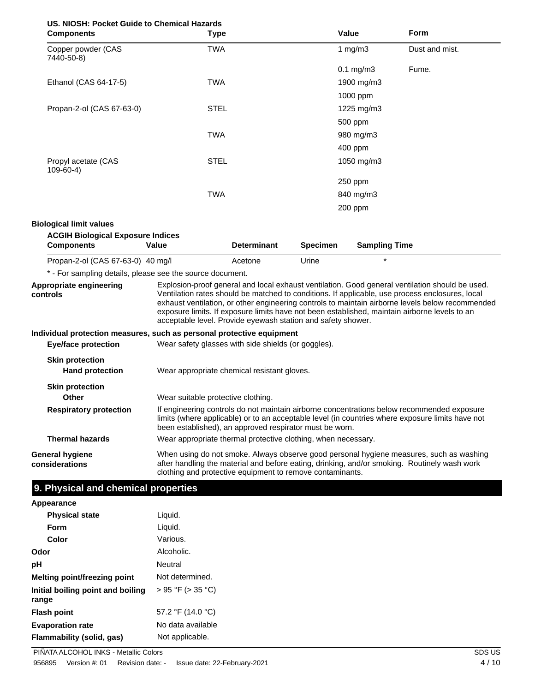| US, NIOSH: Pocket Guide to Chemical Hazards |
|---------------------------------------------|
|---------------------------------------------|

| <b>Components</b>                                                     | <b>Type</b>                                                   |                                                                                                                                                                                                                                                           |                 | Value                | Form                                                                                                                                                                                                                                                                                                                                                                                                    |
|-----------------------------------------------------------------------|---------------------------------------------------------------|-----------------------------------------------------------------------------------------------------------------------------------------------------------------------------------------------------------------------------------------------------------|-----------------|----------------------|---------------------------------------------------------------------------------------------------------------------------------------------------------------------------------------------------------------------------------------------------------------------------------------------------------------------------------------------------------------------------------------------------------|
| Copper powder (CAS<br>7440-50-8)                                      | <b>TWA</b>                                                    |                                                                                                                                                                                                                                                           |                 | 1 $mg/m3$            | Dust and mist.                                                                                                                                                                                                                                                                                                                                                                                          |
|                                                                       |                                                               |                                                                                                                                                                                                                                                           |                 | $0.1$ mg/m $3$       | Fume.                                                                                                                                                                                                                                                                                                                                                                                                   |
| Ethanol (CAS 64-17-5)                                                 | <b>TWA</b>                                                    |                                                                                                                                                                                                                                                           |                 | 1900 mg/m3           |                                                                                                                                                                                                                                                                                                                                                                                                         |
|                                                                       |                                                               |                                                                                                                                                                                                                                                           |                 | 1000 ppm             |                                                                                                                                                                                                                                                                                                                                                                                                         |
| Propan-2-ol (CAS 67-63-0)                                             | <b>STEL</b>                                                   |                                                                                                                                                                                                                                                           |                 | 1225 mg/m3           |                                                                                                                                                                                                                                                                                                                                                                                                         |
|                                                                       |                                                               |                                                                                                                                                                                                                                                           |                 | 500 ppm              |                                                                                                                                                                                                                                                                                                                                                                                                         |
|                                                                       | <b>TWA</b>                                                    |                                                                                                                                                                                                                                                           |                 | 980 mg/m3            |                                                                                                                                                                                                                                                                                                                                                                                                         |
|                                                                       |                                                               |                                                                                                                                                                                                                                                           |                 | 400 ppm              |                                                                                                                                                                                                                                                                                                                                                                                                         |
| Propyl acetate (CAS<br>$109-60-4)$                                    | <b>STEL</b>                                                   |                                                                                                                                                                                                                                                           |                 | 1050 mg/m3           |                                                                                                                                                                                                                                                                                                                                                                                                         |
|                                                                       |                                                               |                                                                                                                                                                                                                                                           |                 | 250 ppm              |                                                                                                                                                                                                                                                                                                                                                                                                         |
|                                                                       | <b>TWA</b>                                                    |                                                                                                                                                                                                                                                           |                 | 840 mg/m3            |                                                                                                                                                                                                                                                                                                                                                                                                         |
|                                                                       |                                                               |                                                                                                                                                                                                                                                           |                 | 200 ppm              |                                                                                                                                                                                                                                                                                                                                                                                                         |
| <b>Biological limit values</b>                                        |                                                               |                                                                                                                                                                                                                                                           |                 |                      |                                                                                                                                                                                                                                                                                                                                                                                                         |
| <b>ACGIH Biological Exposure Indices</b><br><b>Components</b>         | Value                                                         | <b>Determinant</b>                                                                                                                                                                                                                                        | <b>Specimen</b> | <b>Sampling Time</b> |                                                                                                                                                                                                                                                                                                                                                                                                         |
| Propan-2-ol (CAS 67-63-0) 40 mg/l                                     |                                                               | Acetone                                                                                                                                                                                                                                                   | Urine           |                      |                                                                                                                                                                                                                                                                                                                                                                                                         |
| * - For sampling details, please see the source document.             |                                                               |                                                                                                                                                                                                                                                           |                 |                      |                                                                                                                                                                                                                                                                                                                                                                                                         |
| Appropriate engineering<br>controls                                   | acceptable level. Provide eyewash station and safety shower.  |                                                                                                                                                                                                                                                           |                 |                      | Explosion-proof general and local exhaust ventilation. Good general ventilation should be used.<br>Ventilation rates should be matched to conditions. If applicable, use process enclosures, local<br>exhaust ventilation, or other engineering controls to maintain airborne levels below recommended<br>exposure limits. If exposure limits have not been established, maintain airborne levels to an |
| Individual protection measures, such as personal protective equipment |                                                               |                                                                                                                                                                                                                                                           |                 |                      |                                                                                                                                                                                                                                                                                                                                                                                                         |
| <b>Eye/face protection</b>                                            | Wear safety glasses with side shields (or goggles).           |                                                                                                                                                                                                                                                           |                 |                      |                                                                                                                                                                                                                                                                                                                                                                                                         |
| <b>Skin protection</b><br><b>Hand protection</b>                      |                                                               | Wear appropriate chemical resistant gloves.                                                                                                                                                                                                               |                 |                      |                                                                                                                                                                                                                                                                                                                                                                                                         |
| <b>Skin protection</b><br>Other                                       | Wear suitable protective clothing.                            |                                                                                                                                                                                                                                                           |                 |                      |                                                                                                                                                                                                                                                                                                                                                                                                         |
| <b>Respiratory protection</b>                                         |                                                               | If engineering controls do not maintain airborne concentrations below recommended exposure<br>limits (where applicable) or to an acceptable level (in countries where exposure limits have not<br>been established), an approved respirator must be worn. |                 |                      |                                                                                                                                                                                                                                                                                                                                                                                                         |
|                                                                       | Wear appropriate thermal protective clothing, when necessary. |                                                                                                                                                                                                                                                           |                 |                      |                                                                                                                                                                                                                                                                                                                                                                                                         |
| <b>Thermal hazards</b>                                                |                                                               |                                                                                                                                                                                                                                                           |                 |                      |                                                                                                                                                                                                                                                                                                                                                                                                         |

**Appearance Physical state** Liquid.

| Form                                       | Liquid.           |
|--------------------------------------------|-------------------|
| Color                                      | Various.          |
| Odor                                       | Alcoholic.        |
| рH                                         | Neutral           |
| Melting point/freezing point               | Not determined.   |
| Initial boiling point and boiling<br>range | > 95 °F (> 35 °C) |
| <b>Flash point</b>                         | 57.2 °F (14.0 °C) |
| <b>Evaporation rate</b>                    | No data available |
| Flammability (solid, gas)                  | Not applicable.   |

PIÑATA ALCOHOL INKS - Metallic Colors SDS US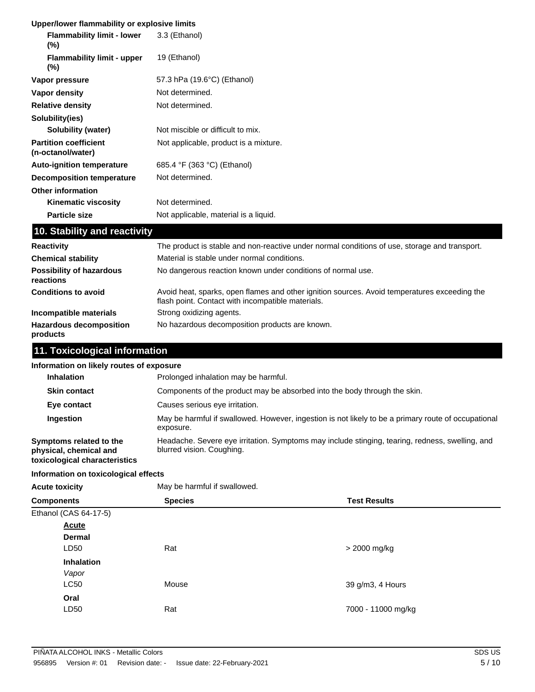#### **Upper/lower flammability or explosive limits**

| <b>Flammability limit - lower</b><br>$(\%)$       | 3.3 (Ethanol)                                                                                                                                     |
|---------------------------------------------------|---------------------------------------------------------------------------------------------------------------------------------------------------|
| <b>Flammability limit - upper</b><br>(%)          | 19 (Ethanol)                                                                                                                                      |
| Vapor pressure                                    | 57.3 hPa (19.6°C) (Ethanol)                                                                                                                       |
| <b>Vapor density</b>                              | Not determined.                                                                                                                                   |
| <b>Relative density</b>                           | Not determined.                                                                                                                                   |
| Solubility(ies)                                   |                                                                                                                                                   |
| <b>Solubility (water)</b>                         | Not miscible or difficult to mix.                                                                                                                 |
| <b>Partition coefficient</b><br>(n-octanol/water) | Not applicable, product is a mixture.                                                                                                             |
| <b>Auto-ignition temperature</b>                  | 685.4 °F (363 °C) (Ethanol)                                                                                                                       |
| <b>Decomposition temperature</b>                  | Not determined.                                                                                                                                   |
| <b>Other information</b>                          |                                                                                                                                                   |
| <b>Kinematic viscosity</b>                        | Not determined.                                                                                                                                   |
| <b>Particle size</b>                              | Not applicable, material is a liquid.                                                                                                             |
| 10. Stability and reactivity                      |                                                                                                                                                   |
| <b>Reactivity</b>                                 | The product is stable and non-reactive under normal conditions of use, storage and transport.                                                     |
| <b>Chemical stability</b>                         | Material is stable under normal conditions.                                                                                                       |
| <b>Possibility of hazardous</b><br>reactions      | No dangerous reaction known under conditions of normal use.                                                                                       |
| <b>Conditions to avoid</b>                        | Avoid heat, sparks, open flames and other ignition sources. Avoid temperatures exceeding the<br>flash point. Contact with incompatible materials. |
| Incompatible materials                            | Strong oxidizing agents.                                                                                                                          |
| <b>Hazardous decomposition</b><br>products        | No hazardous decomposition products are known.                                                                                                    |

### **11. Toxicological information**

#### **Information on likely routes of exposure**

| Prolonged inhalation may be harmful.                                                                                         |
|------------------------------------------------------------------------------------------------------------------------------|
| Components of the product may be absorbed into the body through the skin.                                                    |
| Causes serious eye irritation.                                                                                               |
| May be harmful if swallowed. However, ingestion is not likely to be a primary route of occupational<br>exposure.             |
| Headache. Severe eye irritation. Symptoms may include stinging, tearing, redness, swelling, and<br>blurred vision. Coughing. |
|                                                                                                                              |

#### **Information on toxicological effects**

Acute toxicity **May be harmful if swallowed.** 

| <b>Species</b><br><b>Components</b> |       | <b>Test Results</b> |  |
|-------------------------------------|-------|---------------------|--|
| Ethanol (CAS 64-17-5)               |       |                     |  |
| <b>Acute</b>                        |       |                     |  |
| <b>Dermal</b>                       |       |                     |  |
| LD50                                | Rat   | > 2000 mg/kg        |  |
| Inhalation                          |       |                     |  |
| Vapor                               |       |                     |  |
| <b>LC50</b>                         | Mouse | 39 g/m3, 4 Hours    |  |
| Oral                                |       |                     |  |
| LD50                                | Rat   | 7000 - 11000 mg/kg  |  |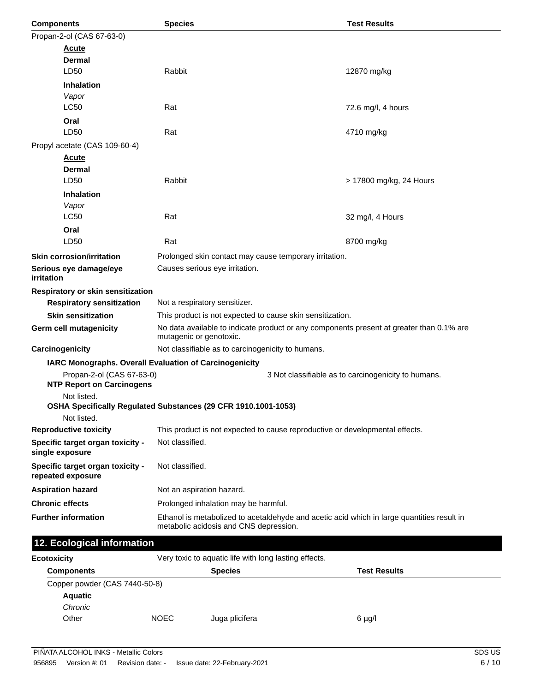| <b>Components</b>                                      | <b>Species</b>                                                                                                                       | <b>Test Results</b>                                 |  |
|--------------------------------------------------------|--------------------------------------------------------------------------------------------------------------------------------------|-----------------------------------------------------|--|
| Propan-2-ol (CAS 67-63-0)                              |                                                                                                                                      |                                                     |  |
| <u>Acute</u>                                           |                                                                                                                                      |                                                     |  |
| <b>Dermal</b>                                          |                                                                                                                                      |                                                     |  |
| LD50                                                   | Rabbit                                                                                                                               | 12870 mg/kg                                         |  |
| <b>Inhalation</b>                                      |                                                                                                                                      |                                                     |  |
| Vapor<br><b>LC50</b>                                   | Rat                                                                                                                                  |                                                     |  |
|                                                        |                                                                                                                                      | 72.6 mg/l, 4 hours                                  |  |
| Oral<br>LD50                                           | Rat                                                                                                                                  | 4710 mg/kg                                          |  |
| Propyl acetate (CAS 109-60-4)                          |                                                                                                                                      |                                                     |  |
| <b>Acute</b>                                           |                                                                                                                                      |                                                     |  |
| <b>Dermal</b>                                          |                                                                                                                                      |                                                     |  |
| LD50                                                   | Rabbit                                                                                                                               | > 17800 mg/kg, 24 Hours                             |  |
| <b>Inhalation</b>                                      |                                                                                                                                      |                                                     |  |
| Vapor                                                  |                                                                                                                                      |                                                     |  |
| <b>LC50</b>                                            | Rat                                                                                                                                  | 32 mg/l, 4 Hours                                    |  |
| Oral                                                   |                                                                                                                                      |                                                     |  |
| LD50                                                   | Rat                                                                                                                                  | 8700 mg/kg                                          |  |
| <b>Skin corrosion/irritation</b>                       | Prolonged skin contact may cause temporary irritation.                                                                               |                                                     |  |
| Serious eye damage/eye<br>irritation                   | Causes serious eye irritation.                                                                                                       |                                                     |  |
| Respiratory or skin sensitization                      |                                                                                                                                      |                                                     |  |
| <b>Respiratory sensitization</b>                       | Not a respiratory sensitizer.                                                                                                        |                                                     |  |
| <b>Skin sensitization</b>                              | This product is not expected to cause skin sensitization.                                                                            |                                                     |  |
| <b>Germ cell mutagenicity</b>                          | No data available to indicate product or any components present at greater than 0.1% are<br>mutagenic or genotoxic.                  |                                                     |  |
| Carcinogenicity                                        | Not classifiable as to carcinogenicity to humans.                                                                                    |                                                     |  |
| IARC Monographs. Overall Evaluation of Carcinogenicity |                                                                                                                                      |                                                     |  |
| Propan-2-ol (CAS 67-63-0)                              |                                                                                                                                      | 3 Not classifiable as to carcinogenicity to humans. |  |
| <b>NTP Report on Carcinogens</b><br>Not listed.        |                                                                                                                                      |                                                     |  |
|                                                        | OSHA Specifically Regulated Substances (29 CFR 1910.1001-1053)                                                                       |                                                     |  |
| Not listed.                                            |                                                                                                                                      |                                                     |  |
| <b>Reproductive toxicity</b>                           | This product is not expected to cause reproductive or developmental effects.                                                         |                                                     |  |
| Specific target organ toxicity -<br>single exposure    | Not classified.                                                                                                                      |                                                     |  |
| Specific target organ toxicity -<br>repeated exposure  | Not classified.                                                                                                                      |                                                     |  |
| <b>Aspiration hazard</b>                               | Not an aspiration hazard.                                                                                                            |                                                     |  |
| <b>Chronic effects</b>                                 | Prolonged inhalation may be harmful.                                                                                                 |                                                     |  |
| <b>Further information</b>                             | Ethanol is metabolized to acetaldehyde and acetic acid which in large quantities result in<br>metabolic acidosis and CNS depression. |                                                     |  |
| 12. Ecological information                             |                                                                                                                                      |                                                     |  |
| <b>Ecotoxicity</b>                                     | Very toxic to aquatic life with long lasting effects.                                                                                |                                                     |  |

| <b>Components</b>             |             | <b>Species</b> | <b>Test Results</b> |
|-------------------------------|-------------|----------------|---------------------|
| Copper powder (CAS 7440-50-8) |             |                |                     |
| <b>Aquatic</b>                |             |                |                     |
| Chronic                       |             |                |                     |
| Other                         | <b>NOEC</b> | Juga plicifera | $6 \mu g/l$         |
|                               |             |                |                     |

▊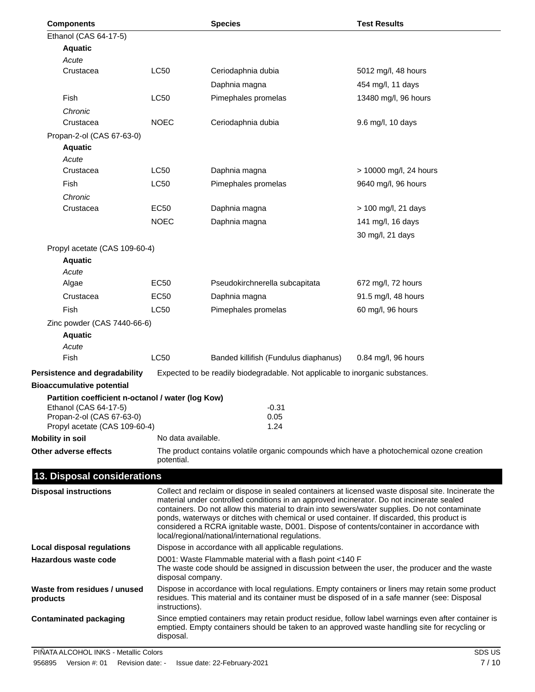| <b>Components</b>                                          |                    | <b>Species</b>                                                                             | <b>Test Results</b>                                                                                                                                                                                 |
|------------------------------------------------------------|--------------------|--------------------------------------------------------------------------------------------|-----------------------------------------------------------------------------------------------------------------------------------------------------------------------------------------------------|
| Ethanol (CAS 64-17-5)                                      |                    |                                                                                            |                                                                                                                                                                                                     |
| <b>Aquatic</b>                                             |                    |                                                                                            |                                                                                                                                                                                                     |
| Acute                                                      |                    |                                                                                            |                                                                                                                                                                                                     |
| Crustacea                                                  | <b>LC50</b>        | Ceriodaphnia dubia                                                                         | 5012 mg/l, 48 hours                                                                                                                                                                                 |
|                                                            |                    | Daphnia magna                                                                              | 454 mg/l, 11 days                                                                                                                                                                                   |
| Fish                                                       | <b>LC50</b>        | Pimephales promelas                                                                        | 13480 mg/l, 96 hours                                                                                                                                                                                |
| Chronic                                                    |                    |                                                                                            |                                                                                                                                                                                                     |
| Crustacea                                                  | <b>NOEC</b>        | Ceriodaphnia dubia                                                                         | 9.6 mg/l, 10 days                                                                                                                                                                                   |
| Propan-2-ol (CAS 67-63-0)                                  |                    |                                                                                            |                                                                                                                                                                                                     |
| <b>Aquatic</b>                                             |                    |                                                                                            |                                                                                                                                                                                                     |
| Acute<br>Crustacea                                         | <b>LC50</b>        |                                                                                            | > 10000 mg/l, 24 hours                                                                                                                                                                              |
|                                                            |                    | Daphnia magna                                                                              |                                                                                                                                                                                                     |
| Fish                                                       | <b>LC50</b>        | Pimephales promelas                                                                        | 9640 mg/l, 96 hours                                                                                                                                                                                 |
| Chronic<br>Crustacea                                       | <b>EC50</b>        | Daphnia magna                                                                              | > 100 mg/l, 21 days                                                                                                                                                                                 |
|                                                            | <b>NOEC</b>        | Daphnia magna                                                                              | 141 mg/l, 16 days                                                                                                                                                                                   |
|                                                            |                    |                                                                                            |                                                                                                                                                                                                     |
|                                                            |                    |                                                                                            | 30 mg/l, 21 days                                                                                                                                                                                    |
| Propyl acetate (CAS 109-60-4)<br><b>Aquatic</b>            |                    |                                                                                            |                                                                                                                                                                                                     |
| Acute                                                      |                    |                                                                                            |                                                                                                                                                                                                     |
| Algae                                                      | <b>EC50</b>        | Pseudokirchnerella subcapitata                                                             | 672 mg/l, 72 hours                                                                                                                                                                                  |
| Crustacea                                                  | <b>EC50</b>        | Daphnia magna                                                                              | 91.5 mg/l, 48 hours                                                                                                                                                                                 |
| Fish                                                       | LC50               | Pimephales promelas                                                                        | 60 mg/l, 96 hours                                                                                                                                                                                   |
| Zinc powder (CAS 7440-66-6)                                |                    |                                                                                            |                                                                                                                                                                                                     |
| <b>Aquatic</b>                                             |                    |                                                                                            |                                                                                                                                                                                                     |
| Acute                                                      |                    |                                                                                            |                                                                                                                                                                                                     |
| Fish                                                       | LC50               | Banded killifish (Fundulus diaphanus)                                                      | 0.84 mg/l, 96 hours                                                                                                                                                                                 |
| Persistence and degradability                              |                    | Expected to be readily biodegradable. Not applicable to inorganic substances.              |                                                                                                                                                                                                     |
| <b>Bioaccumulative potential</b>                           |                    |                                                                                            |                                                                                                                                                                                                     |
| Partition coefficient n-octanol / water (log Kow)          |                    |                                                                                            |                                                                                                                                                                                                     |
| Ethanol (CAS 64-17-5)                                      |                    | $-0.31$                                                                                    |                                                                                                                                                                                                     |
| Propan-2-ol (CAS 67-63-0)<br>Propyl acetate (CAS 109-60-4) |                    | 0.05<br>1.24                                                                               |                                                                                                                                                                                                     |
| <b>Mobility in soil</b>                                    | No data available. |                                                                                            |                                                                                                                                                                                                     |
| Other adverse effects                                      |                    |                                                                                            | The product contains volatile organic compounds which have a photochemical ozone creation                                                                                                           |
|                                                            | potential.         |                                                                                            |                                                                                                                                                                                                     |
| 13. Disposal considerations                                |                    |                                                                                            |                                                                                                                                                                                                     |
| <b>Disposal instructions</b>                               |                    |                                                                                            | Collect and reclaim or dispose in sealed containers at licensed waste disposal site. Incinerate the                                                                                                 |
|                                                            |                    | material under controlled conditions in an approved incinerator. Do not incinerate sealed  |                                                                                                                                                                                                     |
|                                                            |                    | ponds, waterways or ditches with chemical or used container. If discarded, this product is | containers. Do not allow this material to drain into sewers/water supplies. Do not contaminate                                                                                                      |
|                                                            |                    | considered a RCRA ignitable waste, D001. Dispose of contents/container in accordance with  |                                                                                                                                                                                                     |
|                                                            |                    | local/regional/national/international regulations.                                         |                                                                                                                                                                                                     |
| <b>Local disposal regulations</b>                          |                    | Dispose in accordance with all applicable regulations.                                     |                                                                                                                                                                                                     |
| <b>Hazardous waste code</b>                                | disposal company.  | D001: Waste Flammable material with a flash point <140 F                                   | The waste code should be assigned in discussion between the user, the producer and the waste                                                                                                        |
| Waste from residues / unused<br>products                   | instructions).     |                                                                                            | Dispose in accordance with local regulations. Empty containers or liners may retain some product<br>residues. This material and its container must be disposed of in a safe manner (see: Disposal   |
| <b>Contaminated packaging</b>                              | disposal.          |                                                                                            | Since emptied containers may retain product residue, follow label warnings even after container is<br>emptied. Empty containers should be taken to an approved waste handling site for recycling or |
|                                                            |                    |                                                                                            |                                                                                                                                                                                                     |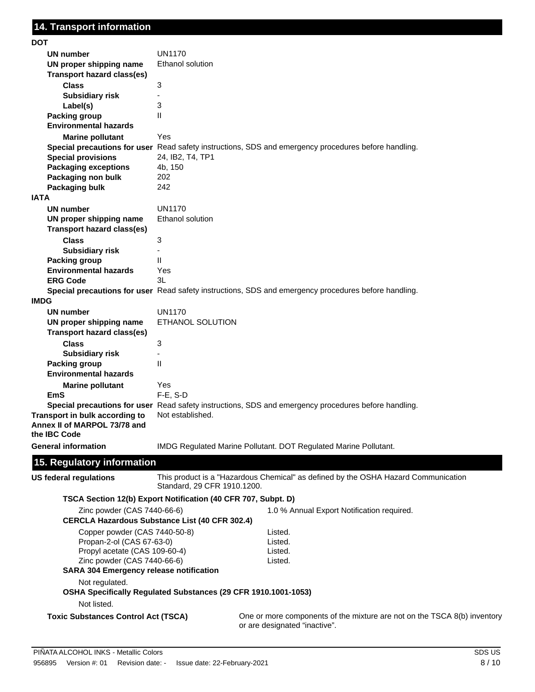| DOT                                                          |                                                                                                                   |
|--------------------------------------------------------------|-------------------------------------------------------------------------------------------------------------------|
| UN number                                                    | <b>UN1170</b>                                                                                                     |
| UN proper shipping name<br><b>Transport hazard class(es)</b> | <b>Ethanol solution</b>                                                                                           |
| <b>Class</b>                                                 | 3                                                                                                                 |
| <b>Subsidiary risk</b>                                       |                                                                                                                   |
|                                                              | 3                                                                                                                 |
| Label(s)                                                     | $\mathsf{II}$                                                                                                     |
| <b>Packing group</b>                                         |                                                                                                                   |
| <b>Environmental hazards</b>                                 |                                                                                                                   |
| <b>Marine pollutant</b>                                      | Yes                                                                                                               |
|                                                              | Special precautions for user Read safety instructions, SDS and emergency procedures before handling.              |
| <b>Special provisions</b>                                    | 24, IB2, T4, TP1                                                                                                  |
| <b>Packaging exceptions</b>                                  | 4b, 150                                                                                                           |
| Packaging non bulk                                           | 202                                                                                                               |
| Packaging bulk                                               | 242                                                                                                               |
| <b>IATA</b>                                                  |                                                                                                                   |
| UN number                                                    | <b>UN1170</b>                                                                                                     |
| UN proper shipping name                                      | Ethanol solution                                                                                                  |
| <b>Transport hazard class(es)</b>                            |                                                                                                                   |
| <b>Class</b>                                                 | 3                                                                                                                 |
| <b>Subsidiary risk</b>                                       |                                                                                                                   |
| <b>Packing group</b>                                         | Ш                                                                                                                 |
| <b>Environmental hazards</b>                                 | Yes                                                                                                               |
| <b>ERG Code</b>                                              | 3L                                                                                                                |
|                                                              | Special precautions for user Read safety instructions, SDS and emergency procedures before handling.              |
| <b>IMDG</b>                                                  |                                                                                                                   |
| UN number                                                    | <b>UN1170</b>                                                                                                     |
| UN proper shipping name                                      | ETHANOL SOLUTION                                                                                                  |
| Transport hazard class(es)                                   |                                                                                                                   |
| <b>Class</b>                                                 | 3                                                                                                                 |
| <b>Subsidiary risk</b>                                       |                                                                                                                   |
| <b>Packing group</b>                                         | $\mathsf{II}$                                                                                                     |
| <b>Environmental hazards</b>                                 |                                                                                                                   |
|                                                              | Yes                                                                                                               |
| <b>Marine pollutant</b><br><b>EmS</b>                        | $F-E$ , $S-D$                                                                                                     |
|                                                              | Special precautions for user Read safety instructions, SDS and emergency procedures before handling.              |
| Transport in bulk according to                               | Not established.                                                                                                  |
| Annex II of MARPOL 73/78 and                                 |                                                                                                                   |
| the IBC Code                                                 |                                                                                                                   |
| <b>General information</b>                                   | IMDG Regulated Marine Pollutant. DOT Regulated Marine Pollutant.                                                  |
|                                                              |                                                                                                                   |
| 15. Regulatory information                                   |                                                                                                                   |
| <b>US federal regulations</b>                                | This product is a "Hazardous Chemical" as defined by the OSHA Hazard Communication<br>Standard, 29 CFR 1910.1200. |
|                                                              | TSCA Section 12(b) Export Notification (40 CFR 707, Subpt. D)                                                     |
| Zinc powder (CAS 7440-66-6)                                  | 1.0 % Annual Export Notification required.<br><b>CERCLA Hazardous Substance List (40 CFR 302.4)</b>               |
| Copper powder (CAS 7440-50-8)                                | Listed.                                                                                                           |
| Propan-2-ol (CAS 67-63-0)                                    | Listed.                                                                                                           |
| Propyl acetate (CAS 109-60-4)                                | Listed.                                                                                                           |
| Zinc powder (CAS 7440-66-6)                                  | Listed.                                                                                                           |
| <b>SARA 304 Emergency release notification</b>               |                                                                                                                   |
| Not regulated.                                               |                                                                                                                   |
|                                                              | OSHA Specifically Regulated Substances (29 CFR 1910.1001-1053)                                                    |
| Not listed.                                                  |                                                                                                                   |
| <b>Toxic Substances Control Act (TSCA)</b>                   | One or more components of the mixture are not on the TSCA 8(b) inventory<br>or are designated "inactive".         |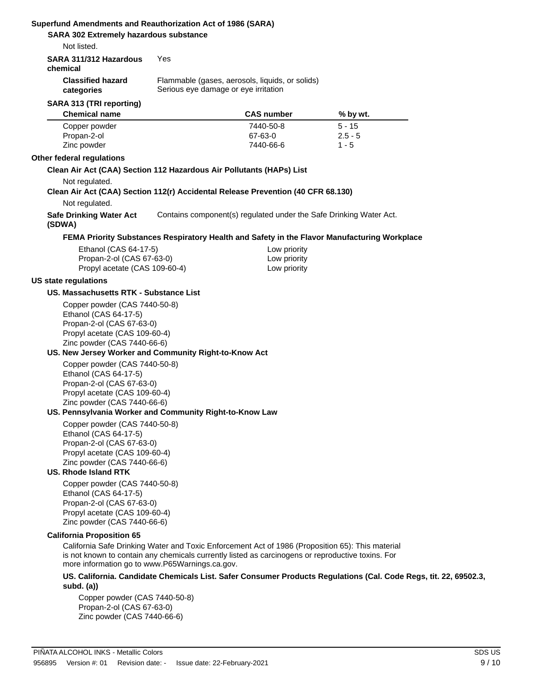| Not listed.                                                                                                                                                                                                    |     |                                                                                         |                                                                                              |
|----------------------------------------------------------------------------------------------------------------------------------------------------------------------------------------------------------------|-----|-----------------------------------------------------------------------------------------|----------------------------------------------------------------------------------------------|
| SARA 311/312 Hazardous<br>chemical                                                                                                                                                                             | Yes |                                                                                         |                                                                                              |
| <b>Classified hazard</b><br>categories                                                                                                                                                                         |     | Flammable (gases, aerosols, liquids, or solids)<br>Serious eye damage or eye irritation |                                                                                              |
| SARA 313 (TRI reporting)                                                                                                                                                                                       |     |                                                                                         |                                                                                              |
| <b>Chemical name</b>                                                                                                                                                                                           |     | <b>CAS number</b>                                                                       | % by wt.                                                                                     |
| Copper powder<br>Propan-2-ol<br>Zinc powder                                                                                                                                                                    |     | 7440-50-8<br>67-63-0<br>7440-66-6                                                       | $5 - 15$<br>$2.5 - 5$<br>$1 - 5$                                                             |
| Other federal regulations                                                                                                                                                                                      |     |                                                                                         |                                                                                              |
| Clean Air Act (CAA) Section 112 Hazardous Air Pollutants (HAPs) List                                                                                                                                           |     |                                                                                         |                                                                                              |
| Not regulated.                                                                                                                                                                                                 |     |                                                                                         |                                                                                              |
| Clean Air Act (CAA) Section 112(r) Accidental Release Prevention (40 CFR 68.130)                                                                                                                               |     |                                                                                         |                                                                                              |
| Not regulated.                                                                                                                                                                                                 |     |                                                                                         |                                                                                              |
| <b>Safe Drinking Water Act</b><br>(SDWA)                                                                                                                                                                       |     | Contains component(s) regulated under the Safe Drinking Water Act.                      |                                                                                              |
|                                                                                                                                                                                                                |     |                                                                                         | FEMA Priority Substances Respiratory Health and Safety in the Flavor Manufacturing Workplace |
| Ethanol (CAS 64-17-5)                                                                                                                                                                                          |     | Low priority                                                                            |                                                                                              |
| Propan-2-ol (CAS 67-63-0)                                                                                                                                                                                      |     | Low priority                                                                            |                                                                                              |
| Propyl acetate (CAS 109-60-4)                                                                                                                                                                                  |     | Low priority                                                                            |                                                                                              |
| <b>US state regulations</b>                                                                                                                                                                                    |     |                                                                                         |                                                                                              |
| US. Massachusetts RTK - Substance List                                                                                                                                                                         |     |                                                                                         |                                                                                              |
| Copper powder (CAS 7440-50-8)<br>Ethanol (CAS 64-17-5)<br>Propan-2-ol (CAS 67-63-0)<br>Propyl acetate (CAS 109-60-4)<br>Zinc powder (CAS 7440-66-6)                                                            |     |                                                                                         |                                                                                              |
| US. New Jersey Worker and Community Right-to-Know Act                                                                                                                                                          |     |                                                                                         |                                                                                              |
| Copper powder (CAS 7440-50-8)<br>Ethanol (CAS 64-17-5)<br>Propan-2-ol (CAS 67-63-0)<br>Propyl acetate (CAS 109-60-4)<br>Zinc powder (CAS 7440-66-6)<br>US. Pennsylvania Worker and Community Right-to-Know Law |     |                                                                                         |                                                                                              |
| Copper powder (CAS 7440-50-8)<br>Ethanol (CAS 64-17-5)<br>Propan-2-ol (CAS 67-63-0)<br>Propyl acetate (CAS 109-60-4)<br>Zinc powder (CAS 7440-66-6)                                                            |     |                                                                                         |                                                                                              |
| <b>US. Rhode Island RTK</b>                                                                                                                                                                                    |     |                                                                                         |                                                                                              |
| Copper powder (CAS 7440-50-8)<br>Ethanol (CAS 64-17-5)<br>Propan-2-ol (CAS 67-63-0)<br>Propyl acetate (CAS 109-60-4)                                                                                           |     |                                                                                         |                                                                                              |

California Safe Drinking Water and Toxic Enforcement Act of 1986 (Proposition 65): This material is not known to contain any chemicals currently listed as carcinogens or reproductive toxins. For more information go to www.P65Warnings.ca.gov.

**US. California. Candidate Chemicals List. Safer Consumer Products Regulations (Cal. Code Regs, tit. 22, 69502.3, subd. (a))**

Copper powder (CAS 7440-50-8) Propan-2-ol (CAS 67-63-0) Zinc powder (CAS 7440-66-6)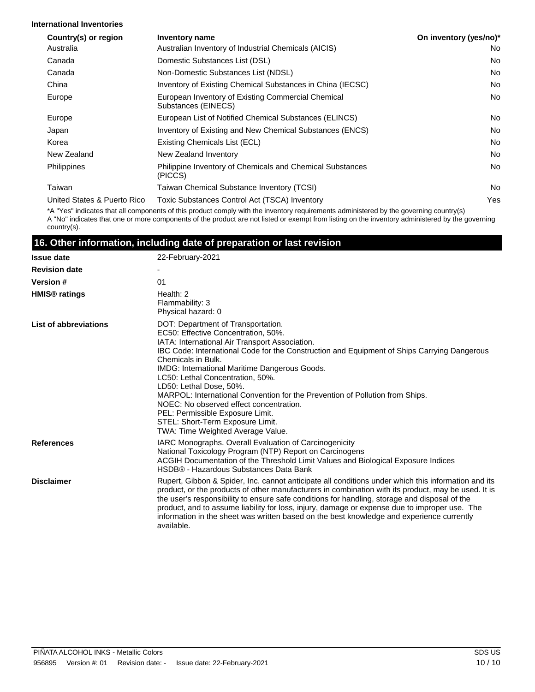#### **International Inventories**

| Country(s) or region        | Inventory name                                                            | On inventory (yes/no)* |
|-----------------------------|---------------------------------------------------------------------------|------------------------|
| Australia                   | Australian Inventory of Industrial Chemicals (AICIS)                      | No.                    |
| Canada                      | Domestic Substances List (DSL)                                            | No.                    |
| Canada                      | Non-Domestic Substances List (NDSL)                                       | <b>No</b>              |
| China                       | Inventory of Existing Chemical Substances in China (IECSC)                | No.                    |
| Europe                      | European Inventory of Existing Commercial Chemical<br>Substances (EINECS) | <b>No</b>              |
| Europe                      | European List of Notified Chemical Substances (ELINCS)                    | No.                    |
| Japan                       | Inventory of Existing and New Chemical Substances (ENCS)                  | No.                    |
| Korea                       | Existing Chemicals List (ECL)                                             | No.                    |
| New Zealand                 | New Zealand Inventory                                                     | No.                    |
| <b>Philippines</b>          | Philippine Inventory of Chemicals and Chemical Substances<br>(PICCS)      | <b>No</b>              |
| Taiwan                      | Taiwan Chemical Substance Inventory (TCSI)                                | <b>No</b>              |
| United States & Puerto Rico | Toxic Substances Control Act (TSCA) Inventory                             | Yes                    |

\*A "Yes" indicates that all components of this product comply with the inventory requirements administered by the governing country(s) A "No" indicates that one or more components of the product are not listed or exempt from listing on the inventory administered by the governing country(s).

#### **16. Other information, including date of preparation or last revision**

| <b>Issue date</b>               | 22-February-2021                                                                                                                                                                                                                                                                                                                                                                                                                                                                                                                                                                                                |
|---------------------------------|-----------------------------------------------------------------------------------------------------------------------------------------------------------------------------------------------------------------------------------------------------------------------------------------------------------------------------------------------------------------------------------------------------------------------------------------------------------------------------------------------------------------------------------------------------------------------------------------------------------------|
| <b>Revision date</b>            |                                                                                                                                                                                                                                                                                                                                                                                                                                                                                                                                                                                                                 |
| <b>Version #</b>                | 01                                                                                                                                                                                                                                                                                                                                                                                                                                                                                                                                                                                                              |
| <b>HMIS<sup>®</sup></b> ratings | Health: 2<br>Flammability: 3<br>Physical hazard: 0                                                                                                                                                                                                                                                                                                                                                                                                                                                                                                                                                              |
| List of abbreviations           | DOT: Department of Transportation.<br>EC50: Effective Concentration, 50%.<br>IATA: International Air Transport Association.<br>IBC Code: International Code for the Construction and Equipment of Ships Carrying Dangerous<br>Chemicals in Bulk.<br>IMDG: International Maritime Dangerous Goods.<br>LC50: Lethal Concentration, 50%.<br>LD50: Lethal Dose, 50%.<br>MARPOL: International Convention for the Prevention of Pollution from Ships.<br>NOEC: No observed effect concentration.<br>PEL: Permissible Exposure Limit.<br>STEL: Short-Term Exposure Limit.<br><b>TWA: Time Weighted Average Value.</b> |
| <b>References</b>               | IARC Monographs. Overall Evaluation of Carcinogenicity<br>National Toxicology Program (NTP) Report on Carcinogens<br>ACGIH Documentation of the Threshold Limit Values and Biological Exposure Indices<br>HSDB® - Hazardous Substances Data Bank                                                                                                                                                                                                                                                                                                                                                                |
| <b>Disclaimer</b>               | Rupert, Gibbon & Spider, Inc. cannot anticipate all conditions under which this information and its<br>product, or the products of other manufacturers in combination with its product, may be used. It is<br>the user's responsibility to ensure safe conditions for handling, storage and disposal of the<br>product, and to assume liability for loss, injury, damage or expense due to improper use. The<br>information in the sheet was written based on the best knowledge and experience currently<br>available.                                                                                         |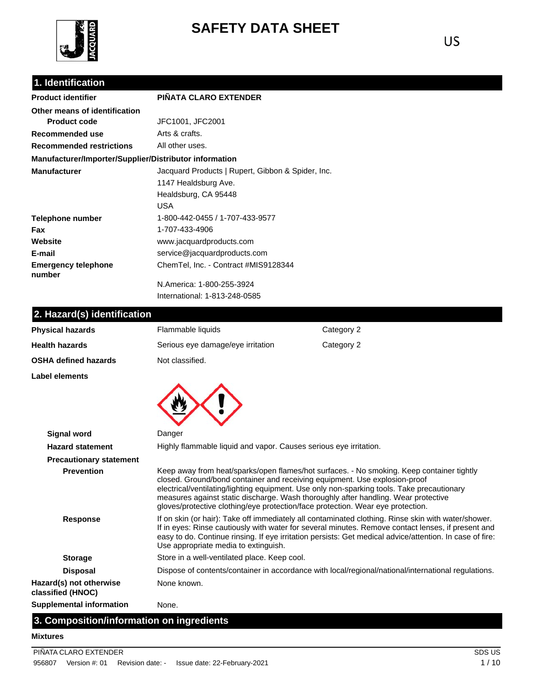

# **SAFETY DATA SHEET**

US

## **1. Identification**

| <b>Product identifier</b>                              | <b>PIÑATA CLARO EXTENDER</b>                      |
|--------------------------------------------------------|---------------------------------------------------|
| Other means of identification                          |                                                   |
| <b>Product code</b>                                    | JFC1001, JFC2001                                  |
| Recommended use                                        | Arts & crafts.                                    |
| <b>Recommended restrictions</b>                        | All other uses.                                   |
| Manufacturer/Importer/Supplier/Distributor information |                                                   |
| <b>Manufacturer</b>                                    | Jacquard Products   Rupert, Gibbon & Spider, Inc. |
|                                                        | 1147 Healdsburg Ave.                              |
|                                                        | Healdsburg, CA 95448                              |
|                                                        | USA                                               |
| Telephone number                                       | 1-800-442-0455 / 1-707-433-9577                   |
| Fax                                                    | 1-707-433-4906                                    |
| Website                                                | www.jacquardproducts.com                          |
| E-mail                                                 | service@jacquardproducts.com                      |
| <b>Emergency telephone</b><br>number                   | ChemTel, Inc. - Contract #MIS9128344              |
|                                                        | N.America: 1-800-255-3924                         |

International: 1-813-248-0585

## **2. Hazard(s) identification**

| <b>Physical hazards</b>                      | Flammable liquids                                                                                                                                             | Category 2                                                                                                                                                                                                                                                                                                            |
|----------------------------------------------|---------------------------------------------------------------------------------------------------------------------------------------------------------------|-----------------------------------------------------------------------------------------------------------------------------------------------------------------------------------------------------------------------------------------------------------------------------------------------------------------------|
| <b>Health hazards</b>                        | Serious eye damage/eye irritation                                                                                                                             | Category 2                                                                                                                                                                                                                                                                                                            |
| OSHA defined hazards                         | Not classified.                                                                                                                                               |                                                                                                                                                                                                                                                                                                                       |
| Label elements                               |                                                                                                                                                               |                                                                                                                                                                                                                                                                                                                       |
|                                              |                                                                                                                                                               |                                                                                                                                                                                                                                                                                                                       |
| <b>Signal word</b>                           | Danger                                                                                                                                                        |                                                                                                                                                                                                                                                                                                                       |
| <b>Hazard statement</b>                      | Highly flammable liquid and vapor. Causes serious eye irritation.                                                                                             |                                                                                                                                                                                                                                                                                                                       |
| <b>Precautionary statement</b>               |                                                                                                                                                               |                                                                                                                                                                                                                                                                                                                       |
| <b>Prevention</b>                            | closed. Ground/bond container and receiving equipment. Use explosion-proof<br>gloves/protective clothing/eye protection/face protection. Wear eye protection. | Keep away from heat/sparks/open flames/hot surfaces. - No smoking. Keep container tightly<br>electrical/ventilating/lighting equipment. Use only non-sparking tools. Take precautionary<br>measures against static discharge. Wash thoroughly after handling. Wear protective                                         |
| <b>Response</b>                              | Use appropriate media to extinguish.                                                                                                                          | If on skin (or hair): Take off immediately all contaminated clothing. Rinse skin with water/shower.<br>If in eyes: Rinse cautiously with water for several minutes. Remove contact lenses, if present and<br>easy to do. Continue rinsing. If eye irritation persists: Get medical advice/attention. In case of fire: |
| <b>Storage</b>                               | Store in a well-ventilated place. Keep cool.                                                                                                                  |                                                                                                                                                                                                                                                                                                                       |
| <b>Disposal</b>                              |                                                                                                                                                               | Dispose of contents/container in accordance with local/regional/national/international regulations.                                                                                                                                                                                                                   |
| Hazard(s) not otherwise<br>classified (HNOC) | None known.                                                                                                                                                   |                                                                                                                                                                                                                                                                                                                       |
| <b>Supplemental information</b>              | None.                                                                                                                                                         |                                                                                                                                                                                                                                                                                                                       |

## **3. Composition/information on ingredients**

#### **Mixtures**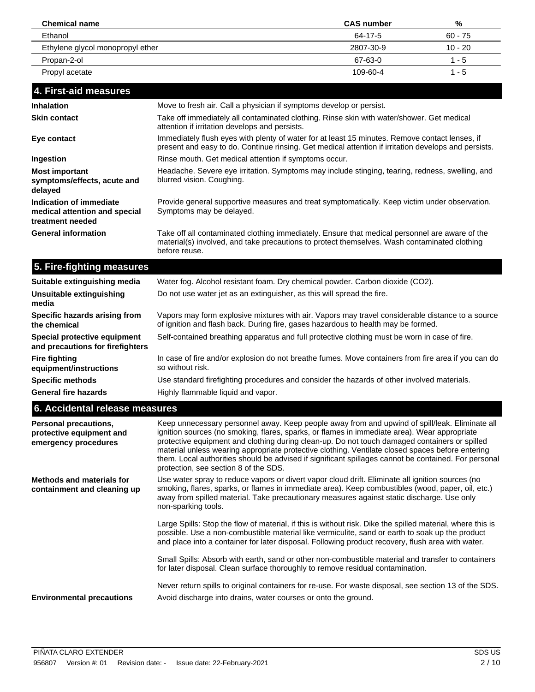| <b>Chemical name</b>             | <b>CAS</b> number | %         |
|----------------------------------|-------------------|-----------|
| Ethanol                          | 64-17-5           | $60 - 75$ |
| Ethylene glycol monopropyl ether | 2807-30-9         | $10 - 20$ |
| Propan-2-ol                      | 67-63-0           | 1 - 5     |
| Propyl acetate                   | 109-60-4          | $1 - 5$   |
|                                  |                   |           |

| 14. First-ald measures                                                       |                                                                                                                                                                                                                 |  |  |  |  |
|------------------------------------------------------------------------------|-----------------------------------------------------------------------------------------------------------------------------------------------------------------------------------------------------------------|--|--|--|--|
| <b>Inhalation</b>                                                            | Move to fresh air. Call a physician if symptoms develop or persist.                                                                                                                                             |  |  |  |  |
| <b>Skin contact</b>                                                          | Take off immediately all contaminated clothing. Rinse skin with water/shower. Get medical<br>attention if irritation develops and persists.                                                                     |  |  |  |  |
| Eye contact                                                                  | Immediately flush eyes with plenty of water for at least 15 minutes. Remove contact lenses, if<br>present and easy to do. Continue rinsing. Get medical attention if irritation develops and persists.          |  |  |  |  |
| Ingestion                                                                    | Rinse mouth. Get medical attention if symptoms occur.                                                                                                                                                           |  |  |  |  |
| <b>Most important</b><br>symptoms/effects, acute and<br>delayed              | Headache. Severe eye irritation. Symptoms may include stinging, tearing, redness, swelling, and<br>blurred vision. Coughing.                                                                                    |  |  |  |  |
| Indication of immediate<br>medical attention and special<br>treatment needed | Provide general supportive measures and treat symptomatically. Keep victim under observation.<br>Symptoms may be delayed.                                                                                       |  |  |  |  |
| <b>General information</b>                                                   | Take off all contaminated clothing immediately. Ensure that medical personnel are aware of the<br>material(s) involved, and take precautions to protect themselves. Wash contaminated clothing<br>before reuse. |  |  |  |  |

### **5. Fire-fighting measures Suitable extinguishing media** Water fog. Alcohol resistant foam. Dry chemical powder. Carbon dioxide (CO2).

| Suitable extinguishing media                                     | Water fog. Alcohol resistant foam. Dry chemical powder. Carbon dioxide (CO2).                                                                                                         |
|------------------------------------------------------------------|---------------------------------------------------------------------------------------------------------------------------------------------------------------------------------------|
| Unsuitable extinguishing<br>media                                | Do not use water jet as an extinguisher, as this will spread the fire.                                                                                                                |
| Specific hazards arising from<br>the chemical                    | Vapors may form explosive mixtures with air. Vapors may travel considerable distance to a source<br>of ignition and flash back. During fire, gases hazardous to health may be formed. |
| Special protective equipment<br>and precautions for firefighters | Self-contained breathing apparatus and full protective clothing must be worn in case of fire.                                                                                         |
| <b>Fire fighting</b><br>equipment/instructions                   | In case of fire and/or explosion do not breathe fumes. Move containers from fire area if you can do<br>so without risk.                                                               |
| <b>Specific methods</b>                                          | Use standard firefighting procedures and consider the hazards of other involved materials.                                                                                            |
| <b>General fire hazards</b>                                      | Highly flammable liquid and vapor.                                                                                                                                                    |
|                                                                  |                                                                                                                                                                                       |

## **6. Accidental release measures**

| <b>Personal precautions,</b><br>protective equipment and<br>emergency procedures | Keep unnecessary personnel away. Keep people away from and upwind of spill/leak. Eliminate all<br>ignition sources (no smoking, flares, sparks, or flames in immediate area). Wear appropriate<br>protective equipment and clothing during clean-up. Do not touch damaged containers or spilled<br>material unless wearing appropriate protective clothing. Ventilate closed spaces before entering<br>them. Local authorities should be advised if significant spillages cannot be contained. For personal<br>protection, see section 8 of the SDS. |
|----------------------------------------------------------------------------------|------------------------------------------------------------------------------------------------------------------------------------------------------------------------------------------------------------------------------------------------------------------------------------------------------------------------------------------------------------------------------------------------------------------------------------------------------------------------------------------------------------------------------------------------------|
| <b>Methods and materials for</b><br>containment and cleaning up                  | Use water spray to reduce vapors or divert vapor cloud drift. Eliminate all ignition sources (no<br>smoking, flares, sparks, or flames in immediate area). Keep combustibles (wood, paper, oil, etc.)<br>away from spilled material. Take precautionary measures against static discharge. Use only<br>non-sparking tools.                                                                                                                                                                                                                           |
|                                                                                  | Large Spills: Stop the flow of material, if this is without risk. Dike the spilled material, where this is<br>possible. Use a non-combustible material like vermiculite, sand or earth to soak up the product<br>and place into a container for later disposal. Following product recovery, flush area with water.                                                                                                                                                                                                                                   |
|                                                                                  | Small Spills: Absorb with earth, sand or other non-combustible material and transfer to containers<br>for later disposal. Clean surface thoroughly to remove residual contamination.                                                                                                                                                                                                                                                                                                                                                                 |
| <b>Environmental precautions</b>                                                 | Never return spills to original containers for re-use. For waste disposal, see section 13 of the SDS.<br>Avoid discharge into drains, water courses or onto the ground.                                                                                                                                                                                                                                                                                                                                                                              |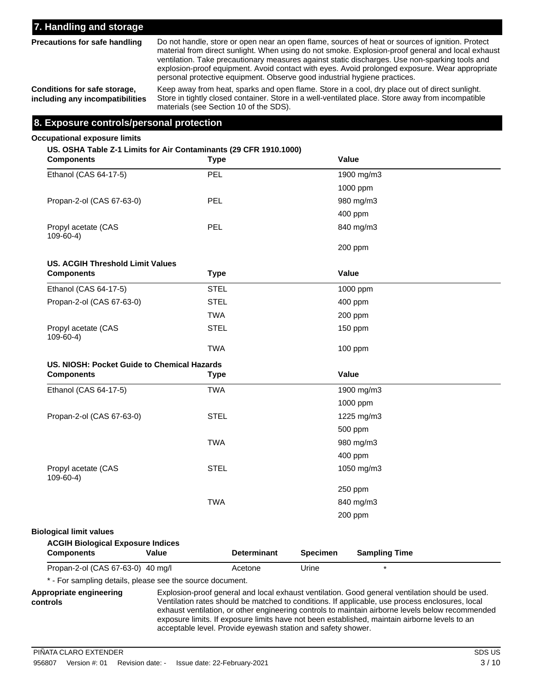### **7. Handling and storage**

**Precautions for safe handling**

Do not handle, store or open near an open flame, sources of heat or sources of ignition. Protect material from direct sunlight. When using do not smoke. Explosion-proof general and local exhaust ventilation. Take precautionary measures against static discharges. Use non-sparking tools and explosion-proof equipment. Avoid contact with eyes. Avoid prolonged exposure. Wear appropriate personal protective equipment. Observe good industrial hygiene practices.

**Conditions for safe storage, including any incompatibilities**

Keep away from heat, sparks and open flame. Store in a cool, dry place out of direct sunlight. Store in tightly closed container. Store in a well-ventilated place. Store away from incompatible materials (see Section 10 of the SDS).

#### **8. Exposure controls/personal protection**

#### **Occupational exposure limits**

#### **US. OSHA Table Z-1 Limits for Air Contaminants (29 CFR 1910.1000)**

| <b>Components</b>                           | <b>Type</b> |                    |                 | Value                |
|---------------------------------------------|-------------|--------------------|-----------------|----------------------|
| Ethanol (CAS 64-17-5)                       | PEL         |                    |                 | 1900 mg/m3           |
|                                             |             |                    |                 | 1000 ppm             |
| Propan-2-ol (CAS 67-63-0)                   | <b>PEL</b>  |                    |                 | 980 mg/m3            |
|                                             |             |                    |                 | 400 ppm              |
| Propyl acetate (CAS<br>$109 - 60 - 4$       | PEL         |                    |                 | 840 mg/m3            |
|                                             |             |                    |                 | 200 ppm              |
| <b>US. ACGIH Threshold Limit Values</b>     |             |                    |                 |                      |
| <b>Components</b>                           | <b>Type</b> |                    |                 | Value                |
| Ethanol (CAS 64-17-5)                       | <b>STEL</b> |                    |                 | 1000 ppm             |
| Propan-2-ol (CAS 67-63-0)                   | <b>STEL</b> |                    |                 | 400 ppm              |
|                                             | <b>TWA</b>  |                    |                 | 200 ppm              |
| Propyl acetate (CAS<br>$109-60-4)$          | <b>STEL</b> |                    |                 | 150 ppm              |
|                                             | <b>TWA</b>  |                    |                 | 100 ppm              |
| US. NIOSH: Pocket Guide to Chemical Hazards |             |                    |                 |                      |
| <b>Components</b>                           | <b>Type</b> |                    |                 | Value                |
| Ethanol (CAS 64-17-5)                       | <b>TWA</b>  |                    |                 | 1900 mg/m3           |
|                                             |             |                    |                 | 1000 ppm             |
| Propan-2-ol (CAS 67-63-0)                   | <b>STEL</b> |                    |                 | 1225 mg/m3           |
|                                             |             |                    |                 | 500 ppm              |
|                                             | <b>TWA</b>  |                    |                 | 980 mg/m3            |
|                                             |             |                    |                 | 400 ppm              |
| Propyl acetate (CAS<br>$109 - 60 - 4$       | <b>STEL</b> |                    |                 | 1050 mg/m3           |
|                                             |             |                    |                 | 250 ppm              |
|                                             | <b>TWA</b>  |                    |                 | 840 mg/m3            |
|                                             |             |                    |                 | 200 ppm              |
| <b>Biological limit values</b>              |             |                    |                 |                      |
| <b>ACGIH Biological Exposure Indices</b>    |             |                    |                 |                      |
| <b>Components</b>                           | Value       | <b>Determinant</b> | <b>Specimen</b> | <b>Sampling Time</b> |
| Propan-2-ol (CAS 67-63-0) 40 mg/l           |             | Acetone            | Urine           | $\star$              |

\* - For sampling details, please see the source document.

Explosion-proof general and local exhaust ventilation. Good general ventilation should be used. Ventilation rates should be matched to conditions. If applicable, use process enclosures, local exhaust ventilation, or other engineering controls to maintain airborne levels below recommended exposure limits. If exposure limits have not been established, maintain airborne levels to an acceptable level. Provide eyewash station and safety shower.

**Appropriate engineering controls**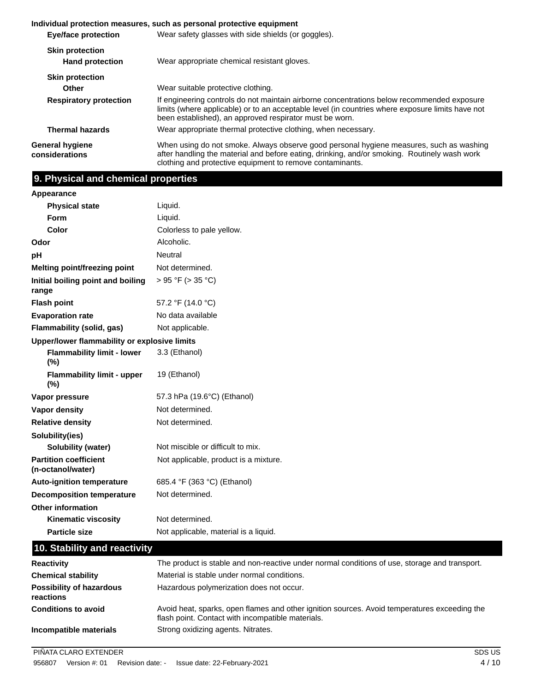|                                                  | Individual protection measures, such as personal protective equipment                                                                                                                                                                                     |  |  |
|--------------------------------------------------|-----------------------------------------------------------------------------------------------------------------------------------------------------------------------------------------------------------------------------------------------------------|--|--|
| <b>Eye/face protection</b>                       | Wear safety glasses with side shields (or goggles).                                                                                                                                                                                                       |  |  |
| <b>Skin protection</b><br><b>Hand protection</b> | Wear appropriate chemical resistant gloves.                                                                                                                                                                                                               |  |  |
| <b>Skin protection</b>                           |                                                                                                                                                                                                                                                           |  |  |
| Other                                            | Wear suitable protective clothing.                                                                                                                                                                                                                        |  |  |
| <b>Respiratory protection</b>                    | If engineering controls do not maintain airborne concentrations below recommended exposure<br>limits (where applicable) or to an acceptable level (in countries where exposure limits have not<br>been established), an approved respirator must be worn. |  |  |
| <b>Thermal hazards</b>                           | Wear appropriate thermal protective clothing, when necessary.                                                                                                                                                                                             |  |  |
| General hygiene<br>considerations                | When using do not smoke. Always observe good personal hygiene measures, such as washing<br>after handling the material and before eating, drinking, and/or smoking. Routinely wash work<br>clothing and protective equipment to remove contaminants.      |  |  |

## **9. Physical and chemical properties**

**Appearance**

| <b>Physical state</b>                             | Liquid.                                                                                                                                           |
|---------------------------------------------------|---------------------------------------------------------------------------------------------------------------------------------------------------|
| Form                                              | Liquid.                                                                                                                                           |
| Color                                             | Colorless to pale yellow.                                                                                                                         |
| Odor                                              | Alcoholic.                                                                                                                                        |
| рH                                                | Neutral                                                                                                                                           |
| Melting point/freezing point                      | Not determined.                                                                                                                                   |
| Initial boiling point and boiling<br>range        | > 95 °F (> 35 °C)                                                                                                                                 |
| <b>Flash point</b>                                | 57.2 °F (14.0 °C)                                                                                                                                 |
| <b>Evaporation rate</b>                           | No data available                                                                                                                                 |
| Flammability (solid, gas)                         | Not applicable.                                                                                                                                   |
| Upper/lower flammability or explosive limits      |                                                                                                                                                   |
| <b>Flammability limit - lower</b><br>(%)          | 3.3 (Ethanol)                                                                                                                                     |
| <b>Flammability limit - upper</b><br>(%)          | 19 (Ethanol)                                                                                                                                      |
| Vapor pressure                                    | 57.3 hPa (19.6°C) (Ethanol)                                                                                                                       |
| Vapor density                                     | Not determined.                                                                                                                                   |
| <b>Relative density</b>                           | Not determined.                                                                                                                                   |
| Solubility(ies)                                   |                                                                                                                                                   |
| <b>Solubility (water)</b>                         | Not miscible or difficult to mix.                                                                                                                 |
| <b>Partition coefficient</b><br>(n-octanol/water) | Not applicable, product is a mixture.                                                                                                             |
| <b>Auto-ignition temperature</b>                  | 685.4 °F (363 °C) (Ethanol)                                                                                                                       |
| <b>Decomposition temperature</b>                  | Not determined.                                                                                                                                   |
| <b>Other information</b>                          |                                                                                                                                                   |
| <b>Kinematic viscosity</b>                        | Not determined.                                                                                                                                   |
| <b>Particle size</b>                              | Not applicable, material is a liquid.                                                                                                             |
| 10. Stability and reactivity                      |                                                                                                                                                   |
| <b>Reactivity</b>                                 | The product is stable and non-reactive under normal conditions of use, storage and transport.                                                     |
| <b>Chemical stability</b>                         | Material is stable under normal conditions.                                                                                                       |
| <b>Possibility of hazardous</b><br>reactions      | Hazardous polymerization does not occur.                                                                                                          |
| <b>Conditions to avoid</b>                        | Avoid heat, sparks, open flames and other ignition sources. Avoid temperatures exceeding the<br>flash point. Contact with incompatible materials. |

**Incompatible materials** Strong oxidizing agents. Nitrates.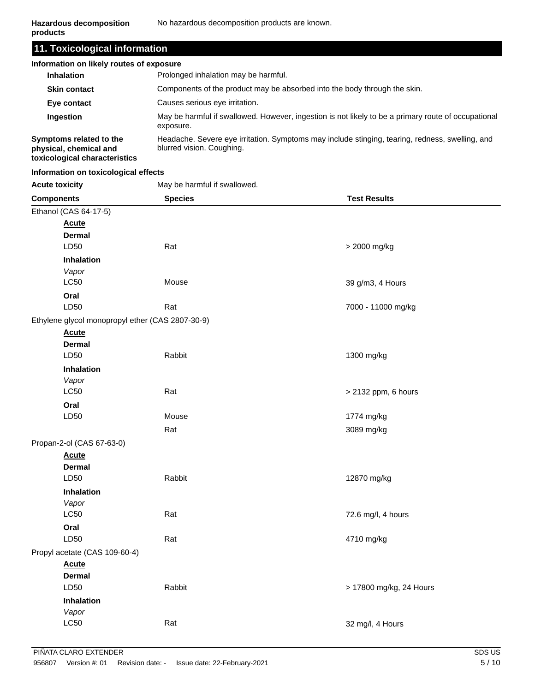| 11. Toxicological information |  |
|-------------------------------|--|

| Information on likely routes of exposure                                           |                                                                                                                              |  |
|------------------------------------------------------------------------------------|------------------------------------------------------------------------------------------------------------------------------|--|
| <b>Inhalation</b>                                                                  | Prolonged inhalation may be harmful.                                                                                         |  |
| <b>Skin contact</b>                                                                | Components of the product may be absorbed into the body through the skin.                                                    |  |
| Eye contact                                                                        | Causes serious eye irritation.                                                                                               |  |
| Ingestion                                                                          | May be harmful if swallowed. However, ingestion is not likely to be a primary route of occupational<br>exposure.             |  |
| Symptoms related to the<br>physical, chemical and<br>toxicological characteristics | Headache. Severe eye irritation. Symptoms may include stinging, tearing, redness, swelling, and<br>blurred vision. Coughing. |  |

#### **Information on toxicological effects**

Acute toxicity **May be harmful if swallowed.** 

| <b>Components</b>                                | <b>Species</b> | <b>Test Results</b>     |
|--------------------------------------------------|----------------|-------------------------|
| Ethanol (CAS 64-17-5)                            |                |                         |
| <b>Acute</b>                                     |                |                         |
| <b>Dermal</b>                                    |                |                         |
| LD50                                             | Rat            | > 2000 mg/kg            |
| Inhalation                                       |                |                         |
| Vapor                                            |                |                         |
| <b>LC50</b>                                      | Mouse          | 39 g/m3, 4 Hours        |
| Oral                                             |                |                         |
| LD50                                             | Rat            | 7000 - 11000 mg/kg      |
| Ethylene glycol monopropyl ether (CAS 2807-30-9) |                |                         |
| <b>Acute</b>                                     |                |                         |
| <b>Dermal</b><br>LD50                            | Rabbit         | 1300 mg/kg              |
|                                                  |                |                         |
| Inhalation<br>Vapor                              |                |                         |
| LC50                                             | Rat            | > 2132 ppm, 6 hours     |
| Oral                                             |                |                         |
| LD50                                             | Mouse          | 1774 mg/kg              |
|                                                  | Rat            | 3089 mg/kg              |
| Propan-2-ol (CAS 67-63-0)                        |                |                         |
| <b>Acute</b>                                     |                |                         |
| <b>Dermal</b>                                    |                |                         |
| LD50                                             | Rabbit         | 12870 mg/kg             |
| <b>Inhalation</b>                                |                |                         |
| Vapor                                            |                |                         |
| <b>LC50</b>                                      | Rat            | 72.6 mg/l, 4 hours      |
| Oral                                             |                |                         |
| LD50                                             | Rat            | 4710 mg/kg              |
| Propyl acetate (CAS 109-60-4)                    |                |                         |
| <b>Acute</b>                                     |                |                         |
| <b>Dermal</b>                                    |                |                         |
| LD50                                             | Rabbit         | > 17800 mg/kg, 24 Hours |
| <b>Inhalation</b>                                |                |                         |
| Vapor                                            |                |                         |
| LC50                                             | Rat            | 32 mg/l, 4 Hours        |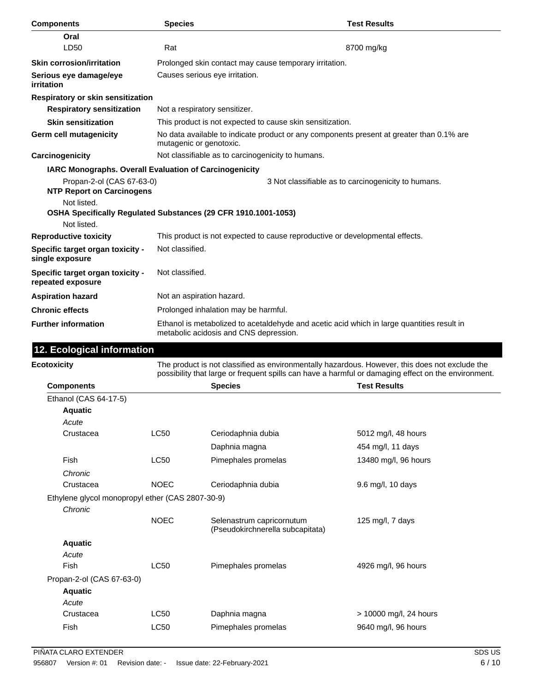| <b>Components</b>                                                             | <b>Species</b>                                    | <b>Test Results</b>                                                                                                                                                                                   |
|-------------------------------------------------------------------------------|---------------------------------------------------|-------------------------------------------------------------------------------------------------------------------------------------------------------------------------------------------------------|
| Oral                                                                          |                                                   |                                                                                                                                                                                                       |
| LD50                                                                          | Rat                                               | 8700 mg/kg                                                                                                                                                                                            |
| <b>Skin corrosion/irritation</b>                                              |                                                   | Prolonged skin contact may cause temporary irritation.                                                                                                                                                |
| Serious eye damage/eye<br>irritation                                          | Causes serious eye irritation.                    |                                                                                                                                                                                                       |
| Respiratory or skin sensitization                                             |                                                   |                                                                                                                                                                                                       |
| <b>Respiratory sensitization</b>                                              | Not a respiratory sensitizer.                     |                                                                                                                                                                                                       |
| <b>Skin sensitization</b>                                                     |                                                   | This product is not expected to cause skin sensitization.                                                                                                                                             |
| Germ cell mutagenicity                                                        | mutagenic or genotoxic.                           | No data available to indicate product or any components present at greater than 0.1% are                                                                                                              |
| Carcinogenicity                                                               | Not classifiable as to carcinogenicity to humans. |                                                                                                                                                                                                       |
| IARC Monographs. Overall Evaluation of Carcinogenicity                        |                                                   |                                                                                                                                                                                                       |
| Propan-2-ol (CAS 67-63-0)<br><b>NTP Report on Carcinogens</b>                 |                                                   | 3 Not classifiable as to carcinogenicity to humans.                                                                                                                                                   |
| Not listed.<br>OSHA Specifically Regulated Substances (29 CFR 1910.1001-1053) |                                                   |                                                                                                                                                                                                       |
| Not listed.                                                                   |                                                   |                                                                                                                                                                                                       |
| <b>Reproductive toxicity</b>                                                  | Not classified.                                   | This product is not expected to cause reproductive or developmental effects.                                                                                                                          |
| Specific target organ toxicity -<br>single exposure                           |                                                   |                                                                                                                                                                                                       |
| Specific target organ toxicity -<br>repeated exposure                         | Not classified.                                   |                                                                                                                                                                                                       |
| <b>Aspiration hazard</b>                                                      | Not an aspiration hazard.                         |                                                                                                                                                                                                       |
| <b>Chronic effects</b>                                                        | Prolonged inhalation may be harmful.              |                                                                                                                                                                                                       |
| <b>Further information</b>                                                    | metabolic acidosis and CNS depression.            | Ethanol is metabolized to acetaldehyde and acetic acid which in large quantities result in                                                                                                            |
| 12. Ecological information                                                    |                                                   |                                                                                                                                                                                                       |
| <b>Ecotoxicity</b>                                                            |                                                   | The product is not classified as environmentally hazardous. However, this does not exclude the<br>possibility that large or frequent spills can have a harmful or damaging effect on the environment. |
| <b>Components</b>                                                             | <b>Species</b>                                    | <b>Test Results</b>                                                                                                                                                                                   |
| Ethanol (CAS 64-17-5)                                                         |                                                   |                                                                                                                                                                                                       |
| <b>Aquatic</b>                                                                |                                                   |                                                                                                                                                                                                       |

Crustacea LC50 Ceriodaphnia dubia 5012 mg/l, 48 hours

Fish CC50 Pimephales promelas 13480 mg/l, 96 hours

Crustacea NOEC Ceriodaphnia dubia 9.6 mg/l, 10 days

Fish CC50 Pimephales promelas 4926 mg/l, 96 hours

Crustacea LC50 Daphnia magna > 10000 mg/l, 24 hours Fish LC50 Pimephales promelas 9640 mg/l, 96 hours

Daphnia magna **1988** and 154 mg/l, 11 days

NOEC Selenastrum capricornutum 125 mg/l, 7 days (Pseudokirchnerella subcapitata)

Ethylene glycol monopropyl ether (CAS 2807-30-9)

*Acute*

*Chronic*

*Chronic*

**Aquatic** *Acute*

**Aquatic** *Acute*

Propan-2-ol (CAS 67-63-0)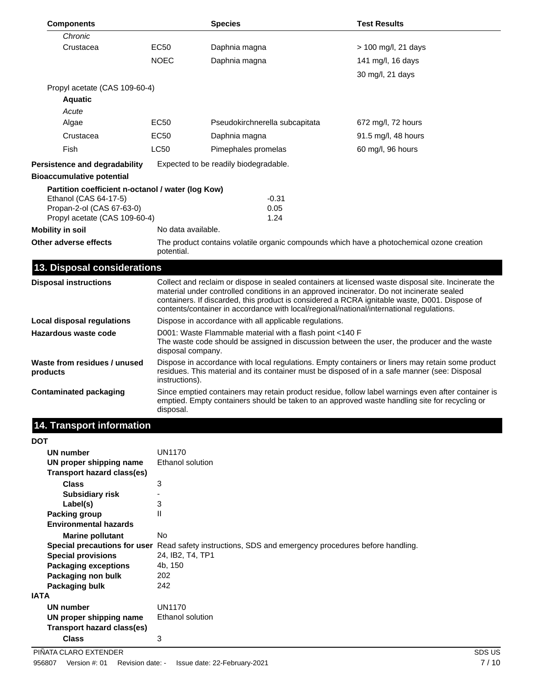| <b>Components</b>                                                                                                                        |                                                        | <b>Species</b>                                                                                                                                                                                                                                                                                                                                                                                | <b>Test Results</b> |
|------------------------------------------------------------------------------------------------------------------------------------------|--------------------------------------------------------|-----------------------------------------------------------------------------------------------------------------------------------------------------------------------------------------------------------------------------------------------------------------------------------------------------------------------------------------------------------------------------------------------|---------------------|
| Chronic                                                                                                                                  |                                                        |                                                                                                                                                                                                                                                                                                                                                                                               |                     |
| Crustacea                                                                                                                                | EC50                                                   | Daphnia magna                                                                                                                                                                                                                                                                                                                                                                                 | > 100 mg/l, 21 days |
|                                                                                                                                          | <b>NOEC</b>                                            | Daphnia magna                                                                                                                                                                                                                                                                                                                                                                                 | 141 mg/l, 16 days   |
|                                                                                                                                          |                                                        |                                                                                                                                                                                                                                                                                                                                                                                               | 30 mg/l, 21 days    |
| Propyl acetate (CAS 109-60-4)                                                                                                            |                                                        |                                                                                                                                                                                                                                                                                                                                                                                               |                     |
| <b>Aquatic</b>                                                                                                                           |                                                        |                                                                                                                                                                                                                                                                                                                                                                                               |                     |
| Acute                                                                                                                                    |                                                        |                                                                                                                                                                                                                                                                                                                                                                                               |                     |
| Algae                                                                                                                                    | EC50                                                   | Pseudokirchnerella subcapitata                                                                                                                                                                                                                                                                                                                                                                | 672 mg/l, 72 hours  |
| Crustacea                                                                                                                                | EC50                                                   | Daphnia magna                                                                                                                                                                                                                                                                                                                                                                                 | 91.5 mg/l, 48 hours |
| Fish                                                                                                                                     | LC50                                                   | Pimephales promelas                                                                                                                                                                                                                                                                                                                                                                           | 60 mg/l, 96 hours   |
| Persistence and degradability                                                                                                            |                                                        | Expected to be readily biodegradable.                                                                                                                                                                                                                                                                                                                                                         |                     |
| <b>Bioaccumulative potential</b>                                                                                                         |                                                        |                                                                                                                                                                                                                                                                                                                                                                                               |                     |
| Partition coefficient n-octanol / water (log Kow)<br>Ethanol (CAS 64-17-5)<br>Propan-2-ol (CAS 67-63-0)<br>Propyl acetate (CAS 109-60-4) |                                                        | $-0.31$<br>0.05<br>1.24                                                                                                                                                                                                                                                                                                                                                                       |                     |
| <b>Mobility in soil</b>                                                                                                                  | No data available.                                     |                                                                                                                                                                                                                                                                                                                                                                                               |                     |
| Other adverse effects                                                                                                                    | potential.                                             | The product contains volatile organic compounds which have a photochemical ozone creation                                                                                                                                                                                                                                                                                                     |                     |
| 13. Disposal considerations                                                                                                              |                                                        |                                                                                                                                                                                                                                                                                                                                                                                               |                     |
| <b>Disposal instructions</b>                                                                                                             |                                                        | Collect and reclaim or dispose in sealed containers at licensed waste disposal site. Incinerate the<br>material under controlled conditions in an approved incinerator. Do not incinerate sealed<br>containers. If discarded, this product is considered a RCRA ignitable waste, D001. Dispose of<br>contents/container in accordance with local/regional/national/international regulations. |                     |
| <b>Local disposal regulations</b>                                                                                                        | Dispose in accordance with all applicable regulations. |                                                                                                                                                                                                                                                                                                                                                                                               |                     |
| Hazardous waste code                                                                                                                     | disposal company.                                      | D001: Waste Flammable material with a flash point <140 F<br>The waste code should be assigned in discussion between the user, the producer and the waste                                                                                                                                                                                                                                      |                     |
| Waste from residues / unused<br>products                                                                                                 | instructions).                                         | Dispose in accordance with local regulations. Empty containers or liners may retain some product<br>residues. This material and its container must be disposed of in a safe manner (see: Disposal                                                                                                                                                                                             |                     |
| <b>Contaminated packaging</b>                                                                                                            | disposal.                                              | Since emptied containers may retain product residue, follow label warnings even after container is<br>emptied. Empty containers should be taken to an approved waste handling site for recycling or                                                                                                                                                                                           |                     |

## **14. Transport information**

| <b>DOT</b>                   |                                                                                                      |
|------------------------------|------------------------------------------------------------------------------------------------------|
| <b>UN number</b>             | UN1170                                                                                               |
| UN proper shipping name      | Ethanol solution                                                                                     |
| Transport hazard class(es)   |                                                                                                      |
| <b>Class</b>                 | 3                                                                                                    |
| <b>Subsidiary risk</b>       |                                                                                                      |
| Label(s)                     | 3                                                                                                    |
| Packing group                | $\mathsf{II}$                                                                                        |
| <b>Environmental hazards</b> |                                                                                                      |
| <b>Marine pollutant</b>      | <b>No</b>                                                                                            |
|                              | Special precautions for user Read safety instructions, SDS and emergency procedures before handling. |
| <b>Special provisions</b>    | 24, IB2, T4, TP1                                                                                     |
| <b>Packaging exceptions</b>  | 4b, 150                                                                                              |
| Packaging non bulk           | 202                                                                                                  |
| Packaging bulk               | 242                                                                                                  |
| <b>IATA</b>                  |                                                                                                      |
| <b>UN number</b>             | UN1170                                                                                               |
| UN proper shipping name      | Ethanol solution                                                                                     |
| Transport hazard class(es)   |                                                                                                      |
| <b>Class</b>                 | 3                                                                                                    |
|                              |                                                                                                      |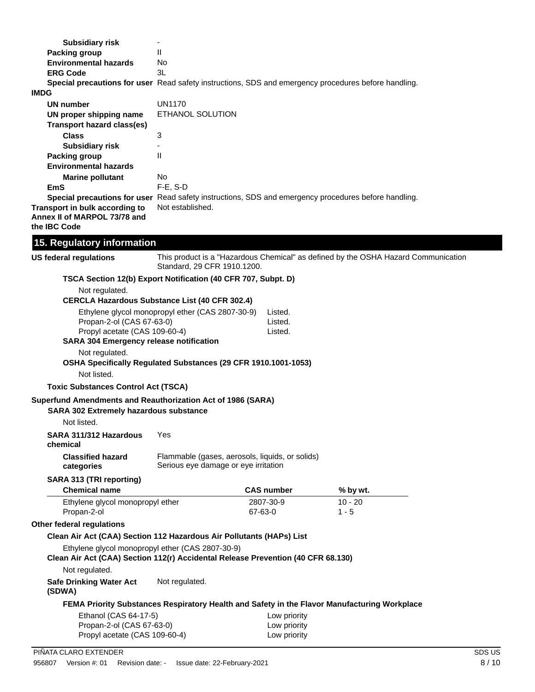| <b>Subsidiary risk</b>            |                                                                                                                   |  |  |
|-----------------------------------|-------------------------------------------------------------------------------------------------------------------|--|--|
| Packing group                     | Ш                                                                                                                 |  |  |
| <b>Environmental hazards</b>      | No                                                                                                                |  |  |
| <b>ERG Code</b>                   | 3L                                                                                                                |  |  |
|                                   | <b>Special precautions for user</b> Read safety instructions, SDS and emergency procedures before handling.       |  |  |
| <b>IMDG</b>                       |                                                                                                                   |  |  |
| <b>UN number</b>                  | <b>UN1170</b>                                                                                                     |  |  |
| UN proper shipping name           | ETHANOL SOLUTION                                                                                                  |  |  |
| <b>Transport hazard class(es)</b> |                                                                                                                   |  |  |
| <b>Class</b>                      | 3                                                                                                                 |  |  |
| <b>Subsidiary risk</b>            |                                                                                                                   |  |  |
| Packing group                     | $\mathsf{II}$                                                                                                     |  |  |
| <b>Environmental hazards</b>      |                                                                                                                   |  |  |
| <b>Marine pollutant</b>           | No                                                                                                                |  |  |
| EmS                               | $F-E. S-D$                                                                                                        |  |  |
|                                   | Special precautions for user Read safety instructions, SDS and emergency procedures before handling.              |  |  |
| Transport in bulk according to    | Not established.                                                                                                  |  |  |
| Annex II of MARPOL 73/78 and      |                                                                                                                   |  |  |
| the IBC Code                      |                                                                                                                   |  |  |
| 15. Regulatory information        |                                                                                                                   |  |  |
| <b>US federal regulations</b>     | This product is a "Hazardous Chemical" as defined by the OSHA Hazard Communication<br>Standard, 29 CFR 1910.1200. |  |  |
|                                   | TSCA Section 12(b) Export Notification (40 CFR 707, Subpt. D)                                                     |  |  |
| Not regulated.                    |                                                                                                                   |  |  |
|                                   | <b>CERCLA Hazardous Substance List (40 CFR 302.4)</b>                                                             |  |  |
| Propan-2-ol (CAS 67-63-0)         | Ethylene glycol monopropyl ether (CAS 2807-30-9)<br>Listed.<br>Listed.                                            |  |  |

Propyl acetate (CAS 109-60-4) Listed. **SARA 304 Emergency release notification**

Not regulated.

**OSHA Specifically Regulated Substances (29 CFR 1910.1001-1053)**

Not listed.

**Toxic Substances Control Act (TSCA)**

**Superfund Amendments and Reauthorization Act of 1986 (SARA)**

#### **SARA 302 Extremely hazardous substance**

Not listed.

| SARA 311/312 Hazardous<br>chemical | Yes                                     |  |
|------------------------------------|-----------------------------------------|--|
| <b>Classified hazard</b>           | Flammable (gases, aerosols, liquids, or |  |
| categories                         | Serious eye damage or eye irritation    |  |

### **SARA 313 (TRI reporting)**

| <b>Chemical name</b>             | <b>CAS number</b> | % by wt. |  |
|----------------------------------|-------------------|----------|--|
| Ethylene glycol monopropyl ether | 2807-30-9         | 10 - 20  |  |
| Propan-2-ol                      | 67-63-0           | $1 - 5$  |  |

solids)

**Other federal regulations**

L,

#### **Clean Air Act (CAA) Section 112 Hazardous Air Pollutants (HAPs) List**

Ethylene glycol monopropyl ether (CAS 2807-30-9)

#### **Clean Air Act (CAA) Section 112(r) Accidental Release Prevention (40 CFR 68.130)**

Not regulated.

**Safe Drinking Water Act** Not regulated.

**(SDWA)**

#### **FEMA Priority Substances Respiratory Health and Safety in the Flavor Manufacturing Workplace**

| Ethanol (CAS 64-17-5)         | Low priority |
|-------------------------------|--------------|
| Propan-2-ol (CAS 67-63-0)     | Low priority |
| Propyl acetate (CAS 109-60-4) | Low priority |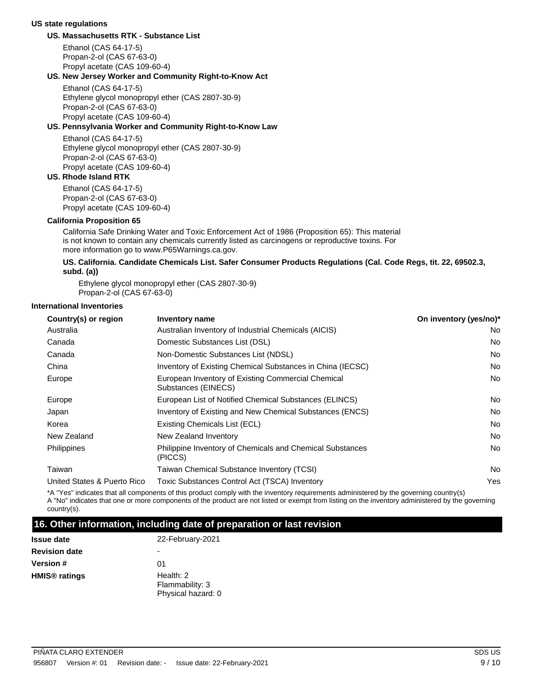#### **US state regulations**

#### **US. Massachusetts RTK - Substance List**

Ethanol (CAS 64-17-5) Propan-2-ol (CAS 67-63-0) Propyl acetate (CAS 109-60-4)

#### **US. New Jersey Worker and Community Right-to-Know Act**

Ethanol (CAS 64-17-5) Ethylene glycol monopropyl ether (CAS 2807-30-9) Propan-2-ol (CAS 67-63-0) Propyl acetate (CAS 109-60-4)

#### **US. Pennsylvania Worker and Community Right-to-Know Law**

Ethanol (CAS 64-17-5) Ethylene glycol monopropyl ether (CAS 2807-30-9) Propan-2-ol (CAS 67-63-0) Propyl acetate (CAS 109-60-4)

#### **US. Rhode Island RTK**

Ethanol (CAS 64-17-5) Propan-2-ol (CAS 67-63-0) Propyl acetate (CAS 109-60-4)

#### **California Proposition 65**

California Safe Drinking Water and Toxic Enforcement Act of 1986 (Proposition 65): This material is not known to contain any chemicals currently listed as carcinogens or reproductive toxins. For more information go to www.P65Warnings.ca.gov.

#### **US. California. Candidate Chemicals List. Safer Consumer Products Regulations (Cal. Code Regs, tit. 22, 69502.3, subd. (a))**

Ethylene glycol monopropyl ether (CAS 2807-30-9) Propan-2-ol (CAS 67-63-0)

#### **International Inventories**

| Country(s) or region        | Inventory name                                                            | On inventory (yes/no)* |
|-----------------------------|---------------------------------------------------------------------------|------------------------|
| Australia                   | Australian Inventory of Industrial Chemicals (AICIS)                      | No                     |
| Canada                      | Domestic Substances List (DSL)                                            | No                     |
| Canada                      | Non-Domestic Substances List (NDSL)                                       | No                     |
| China                       | Inventory of Existing Chemical Substances in China (IECSC)                | No                     |
| Europe                      | European Inventory of Existing Commercial Chemical<br>Substances (EINECS) | No                     |
| Europe                      | European List of Notified Chemical Substances (ELINCS)                    | No                     |
| Japan                       | Inventory of Existing and New Chemical Substances (ENCS)                  | No                     |
| Korea                       | Existing Chemicals List (ECL)                                             | <b>No</b>              |
| New Zealand                 | New Zealand Inventory                                                     | No                     |
| Philippines                 | Philippine Inventory of Chemicals and Chemical Substances<br>(PICCS)      | <b>No</b>              |
| Taiwan                      | Taiwan Chemical Substance Inventory (TCSI)                                | No                     |
| United States & Puerto Rico | Toxic Substances Control Act (TSCA) Inventory                             | Yes                    |
|                             |                                                                           |                        |

\*A "Yes" indicates that all components of this product comply with the inventory requirements administered by the governing country(s) A "No" indicates that one or more components of the product are not listed or exempt from listing on the inventory administered by the governing country(s).

#### **16. Other information, including date of preparation or last revision**

| <b>Issue date</b>               | 22-February-2021   |  |
|---------------------------------|--------------------|--|
| <b>Revision date</b>            |                    |  |
| Version #                       | 01                 |  |
| <b>HMIS<sup>®</sup> ratings</b> | Health: 2          |  |
|                                 | Flammability: 3    |  |
|                                 | Physical hazard: 0 |  |